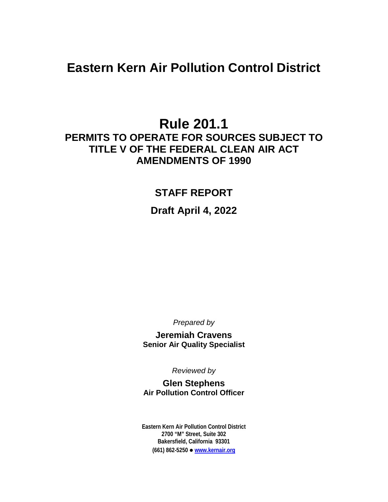# **Eastern Kern Air Pollution Control District**

# **Rule 201.1 PERMITS TO OPERATE FOR SOURCES SUBJECT TO TITLE V OF THE FEDERAL CLEAN AIR ACT AMENDMENTS OF 1990**

## **STAFF REPORT**

## **Draft April 4, 2022**

*Prepared by*

**Jeremiah Cravens Senior Air Quality Specialist**

*Reviewed by*

**Glen Stephens Air Pollution Control Officer**

**Eastern Kern Air Pollution Control District 2700 "M" Street, Suite 302 Bakersfield, California 93301 (661) 862-5250 [www.kernair.org](http://www.kernair.org/)**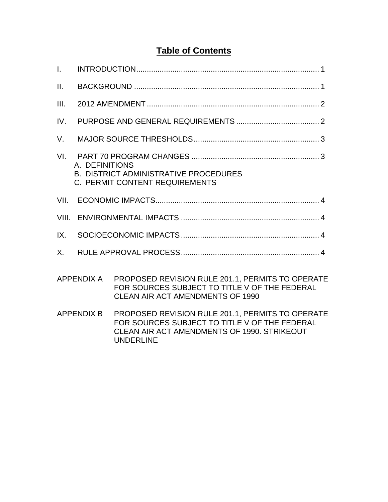# **Table of Contents**

| $\mathbf{L}$      |                                                                                                  |                                                                                                                                                                      |
|-------------------|--------------------------------------------------------------------------------------------------|----------------------------------------------------------------------------------------------------------------------------------------------------------------------|
| II.               |                                                                                                  |                                                                                                                                                                      |
| III.              |                                                                                                  |                                                                                                                                                                      |
| IV.               |                                                                                                  |                                                                                                                                                                      |
| V.                |                                                                                                  |                                                                                                                                                                      |
| VI.               | A. DEFINITIONS<br><b>B. DISTRICT ADMINISTRATIVE PROCEDURES</b><br>C. PERMIT CONTENT REQUIREMENTS |                                                                                                                                                                      |
| VII.              |                                                                                                  |                                                                                                                                                                      |
| VIII.             |                                                                                                  |                                                                                                                                                                      |
| IX.               |                                                                                                  |                                                                                                                                                                      |
| X.                |                                                                                                  |                                                                                                                                                                      |
| <b>APPENDIX A</b> |                                                                                                  | PROPOSED REVISION RULE 201.1, PERMITS TO OPERATE<br>FOR SOURCES SUBJECT TO TITLE V OF THE FEDERAL<br><b>CLEAN AIR ACT AMENDMENTS OF 1990</b>                         |
| <b>APPENDIX B</b> |                                                                                                  | PROPOSED REVISION RULE 201.1, PERMITS TO OPERATE<br>FOR SOURCES SUBJECT TO TITLE V OF THE FEDERAL<br>CLEAN AIR ACT AMENDMENTS OF 1990, STRIKEOUT<br><b>UNDERLINE</b> |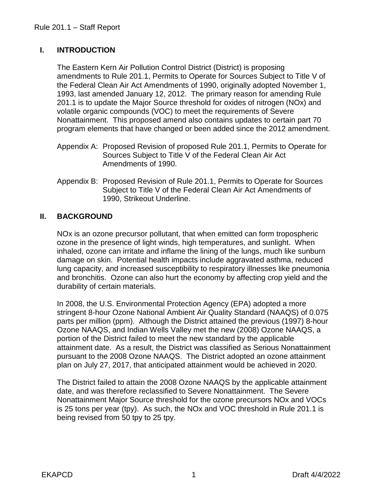## **I. INTRODUCTION**

The Eastern Kern Air Pollution Control District (District) is proposing amendments to Rule 201.1, Permits to Operate for Sources Subject to Title V of the Federal Clean Air Act Amendments of 1990, originally adopted November 1, 1993, last amended January 12, 2012. The primary reason for amending Rule 201.1 is to update the Major Source threshold for oxides of nitrogen (NOx) and volatile organic compounds (VOC) to meet the requirements of Severe Nonattainment. This proposed amend also contains updates to certain part 70 program elements that have changed or been added since the 2012 amendment.

- Appendix A: Proposed Revision of proposed Rule 201.1, Permits to Operate for Sources Subject to Title V of the Federal Clean Air Act Amendments of 1990.
- Appendix B: Proposed Revision of Rule 201.1, Permits to Operate for Sources Subject to Title V of the Federal Clean Air Act Amendments of 1990, Strikeout Underline.

## **II. BACKGROUND**

NOx is an ozone precursor pollutant, that when emitted can form tropospheric ozone in the presence of light winds, high temperatures, and sunlight. When inhaled, ozone can irritate and inflame the lining of the lungs, much like sunburn damage on skin. Potential health impacts include aggravated asthma, reduced lung capacity, and increased susceptibility to respiratory illnesses like pneumonia and bronchitis. Ozone can also hurt the economy by affecting crop yield and the durability of certain materials.

In 2008, the U.S. Environmental Protection Agency (EPA) adopted a more stringent 8-hour Ozone National Ambient Air Quality Standard (NAAQS) of 0.075 parts per million (ppm). Although the District attained the previous (1997) 8-hour Ozone NAAQS, and Indian Wells Valley met the new (2008) Ozone NAAQS, a portion of the District failed to meet the new standard by the applicable attainment date. As a result, the District was classified as Serious Nonattainment pursuant to the 2008 Ozone NAAQS. The District adopted an ozone attainment plan on July 27, 2017, that anticipated attainment would be achieved in 2020.

The District failed to attain the 2008 Ozone NAAQS by the applicable attainment date, and was therefore reclassified to Severe Nonattainment. The Severe Nonattainment Major Source threshold for the ozone precursors NOx and VOCs is 25 tons per year (tpy). As such, the NOx and VOC threshold in Rule 201.1 is being revised from 50 tpy to 25 tpy.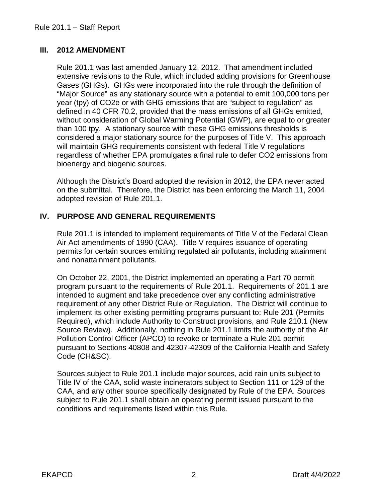## **III. 2012 AMENDMENT**

Rule 201.1 was last amended January 12, 2012. That amendment included extensive revisions to the Rule, which included adding provisions for Greenhouse Gases (GHGs). GHGs were incorporated into the rule through the definition of "Major Source" as any stationary source with a potential to emit 100,000 tons per year (tpy) of CO2e or with GHG emissions that are "subject to regulation" as defined in 40 CFR 70.2, provided that the mass emissions of all GHGs emitted, without consideration of Global Warming Potential (GWP), are equal to or greater than 100 tpy. A stationary source with these GHG emissions thresholds is considered a major stationary source for the purposes of Title V. This approach will maintain GHG requirements consistent with federal Title V regulations regardless of whether EPA promulgates a final rule to defer CO2 emissions from bioenergy and biogenic sources.

Although the District's Board adopted the revision in 2012, the EPA never acted on the submittal. Therefore, the District has been enforcing the March 11, 2004 adopted revision of Rule 201.1.

## **IV. PURPOSE AND GENERAL REQUIREMENTS**

Rule 201.1 is intended to implement requirements of Title V of the Federal Clean Air Act amendments of 1990 (CAA). Title V requires issuance of operating permits for certain sources emitting regulated air pollutants, including attainment and nonattainment pollutants.

On October 22, 2001, the District implemented an operating a Part 70 permit program pursuant to the requirements of Rule 201.1. Requirements of 201.1 are intended to augment and take precedence over any conflicting administrative requirement of any other District Rule or Regulation. The District will continue to implement its other existing permitting programs pursuant to: Rule 201 (Permits Required), which include Authority to Construct provisions, and Rule 210.1 (New Source Review). Additionally, nothing in Rule 201.1 limits the authority of the Air Pollution Control Officer (APCO) to revoke or terminate a Rule 201 permit pursuant to Sections 40808 and 42307-42309 of the California Health and Safety Code (CH&SC).

Sources subject to Rule 201.1 include major sources, acid rain units subject to Title IV of the CAA, solid waste incinerators subject to Section 111 or 129 of the CAA, and any other source specifically designated by Rule of the EPA. Sources subject to Rule 201.1 shall obtain an operating permit issued pursuant to the conditions and requirements listed within this Rule.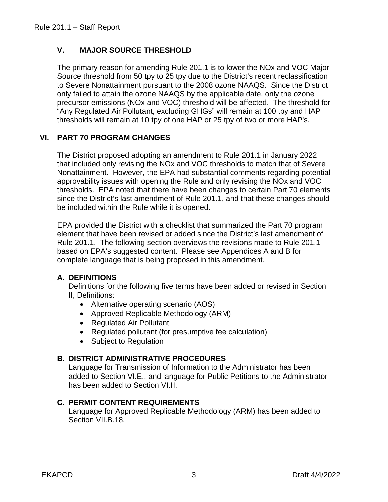## **V. MAJOR SOURCE THRESHOLD**

The primary reason for amending Rule 201.1 is to lower the NOx and VOC Major Source threshold from 50 tpy to 25 tpy due to the District's recent reclassification to Severe Nonattainment pursuant to the 2008 ozone NAAQS. Since the District only failed to attain the ozone NAAQS by the applicable date, only the ozone precursor emissions (NOx and VOC) threshold will be affected. The threshold for "Any Regulated Air Pollutant, excluding GHGs" will remain at 100 tpy and HAP thresholds will remain at 10 tpy of one HAP or 25 tpy of two or more HAP's.

### **VI. PART 70 PROGRAM CHANGES**

The District proposed adopting an amendment to Rule 201.1 in January 2022 that included only revising the NOx and VOC thresholds to match that of Severe Nonattainment. However, the EPA had substantial comments regarding potential approvability issues with opening the Rule and only revising the NOx and VOC thresholds. EPA noted that there have been changes to certain Part 70 elements since the District's last amendment of Rule 201.1, and that these changes should be included within the Rule while it is opened.

EPA provided the District with a checklist that summarized the Part 70 program element that have been revised or added since the District's last amendment of Rule 201.1. The following section overviews the revisions made to Rule 201.1 based on EPA's suggested content. Please see Appendices A and B for complete language that is being proposed in this amendment.

#### **A. DEFINITIONS**

Definitions for the following five terms have been added or revised in Section II, Definitions:

- Alternative operating scenario (AOS)
- Approved Replicable Methodology (ARM)
- Regulated Air Pollutant
- Regulated pollutant (for presumptive fee calculation)
- Subject to Regulation

### **B. DISTRICT ADMINISTRATIVE PROCEDURES**

Language for Transmission of Information to the Administrator has been added to Section VI.E., and language for Public Petitions to the Administrator has been added to Section VI.H.

### **C. PERMIT CONTENT REQUIREMENTS**

Language for Approved Replicable Methodology (ARM) has been added to Section VII.B.18.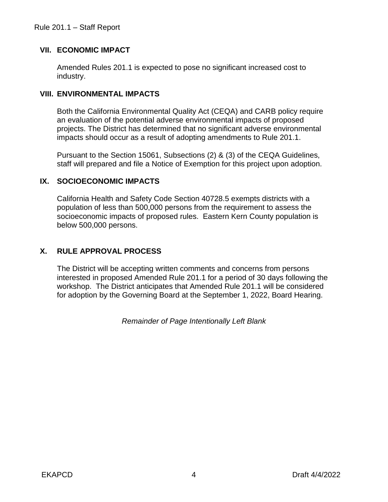### **VII. ECONOMIC IMPACT**

Amended Rules 201.1 is expected to pose no significant increased cost to industry.

## **VIII. ENVIRONMENTAL IMPACTS**

Both the California Environmental Quality Act (CEQA) and CARB policy require an evaluation of the potential adverse environmental impacts of proposed projects. The District has determined that no significant adverse environmental impacts should occur as a result of adopting amendments to Rule 201.1.

Pursuant to the Section 15061, Subsections (2) & (3) of the CEQA Guidelines, staff will prepared and file a Notice of Exemption for this project upon adoption.

## **IX. SOCIOECONOMIC IMPACTS**

California Health and Safety Code Section 40728.5 exempts districts with a population of less than 500,000 persons from the requirement to assess the socioeconomic impacts of proposed rules. Eastern Kern County population is below 500,000 persons.

## **X. RULE APPROVAL PROCESS**

The District will be accepting written comments and concerns from persons interested in proposed Amended Rule 201.1 for a period of 30 days following the workshop. The District anticipates that Amended Rule 201.1 will be considered for adoption by the Governing Board at the September 1, 2022, Board Hearing.

*Remainder of Page Intentionally Left Blank*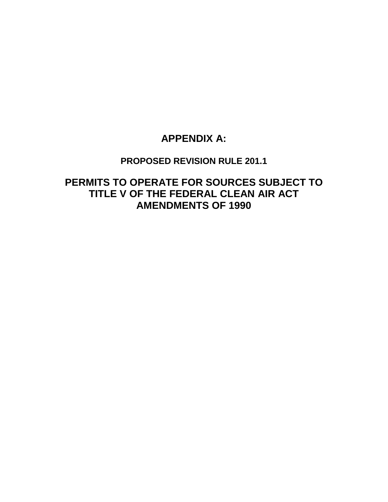## **APPENDIX A:**

## **PROPOSED REVISION RULE 201.1**

**PERMITS TO OPERATE FOR SOURCES SUBJECT TO TITLE V OF THE FEDERAL CLEAN AIR ACT AMENDMENTS OF 1990**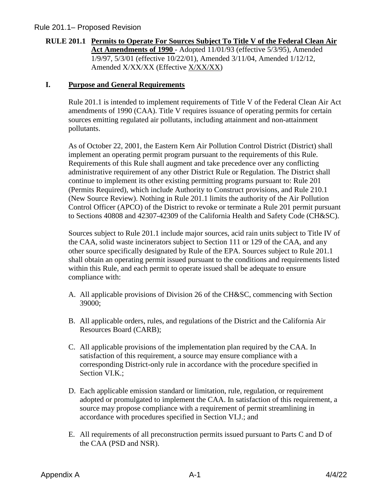#### **RULE 201.1 Permits to Operate For Sources Subject To Title V of the Federal Clean Air Act Amendments of 1990** - Adopted 11/01/93 (effective 5/3/95), Amended 1/9/97, 5/3/01 (effective 10/22/01), Amended 3/11/04, Amended 1/12/12, Amended X/XX/XX (Effective X/XX/XX)

#### **I. Purpose and General Requirements**

Rule 201.1 is intended to implement requirements of Title V of the Federal Clean Air Act amendments of 1990 (CAA). Title V requires issuance of operating permits for certain sources emitting regulated air pollutants, including attainment and non-attainment pollutants.

As of October 22, 2001, the Eastern Kern Air Pollution Control District (District) shall implement an operating permit program pursuant to the requirements of this Rule. Requirements of this Rule shall augment and take precedence over any conflicting administrative requirement of any other District Rule or Regulation. The District shall continue to implement its other existing permitting programs pursuant to: Rule 201 (Permits Required), which include Authority to Construct provisions, and Rule 210.1 (New Source Review). Nothing in Rule 201.1 limits the authority of the Air Pollution Control Officer (APCO) of the District to revoke or terminate a Rule 201 permit pursuant to Sections 40808 and 42307-42309 of the California Health and Safety Code (CH&SC).

Sources subject to Rule 201.1 include major sources, acid rain units subject to Title IV of the CAA, solid waste incinerators subject to Section 111 or 129 of the CAA, and any other source specifically designated by Rule of the EPA. Sources subject to Rule 201.1 shall obtain an operating permit issued pursuant to the conditions and requirements listed within this Rule, and each permit to operate issued shall be adequate to ensure compliance with:

- A. All applicable provisions of Division 26 of the CH&SC, commencing with Section 39000;
- B. All applicable orders, rules, and regulations of the District and the California Air Resources Board (CARB);
- C. All applicable provisions of the implementation plan required by the CAA. In satisfaction of this requirement, a source may ensure compliance with a corresponding District-only rule in accordance with the procedure specified in Section VI.K.;
- D. Each applicable emission standard or limitation, rule, regulation, or requirement adopted or promulgated to implement the CAA. In satisfaction of this requirement, a source may propose compliance with a requirement of permit streamlining in accordance with procedures specified in Section VI.J.; and
- E. All requirements of all preconstruction permits issued pursuant to Parts C and D of the CAA (PSD and NSR).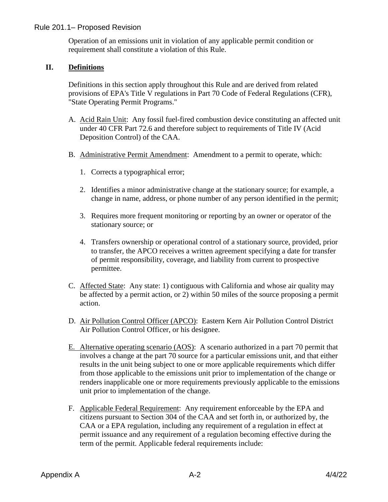Operation of an emissions unit in violation of any applicable permit condition or requirement shall constitute a violation of this Rule.

#### **II. Definitions**

Definitions in this section apply throughout this Rule and are derived from related provisions of EPA's Title V regulations in Part 70 Code of Federal Regulations (CFR), "State Operating Permit Programs."

- A. Acid Rain Unit: Any fossil fuel-fired combustion device constituting an affected unit under 40 CFR Part 72.6 and therefore subject to requirements of Title IV (Acid Deposition Control) of the CAA.
- B. Administrative Permit Amendment: Amendment to a permit to operate, which:
	- 1. Corrects a typographical error;
	- 2. Identifies a minor administrative change at the stationary source; for example, a change in name, address, or phone number of any person identified in the permit;
	- 3. Requires more frequent monitoring or reporting by an owner or operator of the stationary source; or
	- 4. Transfers ownership or operational control of a stationary source, provided, prior to transfer, the APCO receives a written agreement specifying a date for transfer of permit responsibility, coverage, and liability from current to prospective permittee.
- C. Affected State: Any state: 1) contiguous with California and whose air quality may be affected by a permit action, or 2) within 50 miles of the source proposing a permit action.
- D. Air Pollution Control Officer (APCO): Eastern Kern Air Pollution Control District Air Pollution Control Officer, or his designee.
- E. Alternative operating scenario (AOS): A scenario authorized in a part 70 permit that involves a change at the part 70 source for a particular emissions unit, and that either results in the unit being subject to one or more applicable requirements which differ from those applicable to the emissions unit prior to implementation of the change or renders inapplicable one or more requirements previously applicable to the emissions unit prior to implementation of the change.
- F. Applicable Federal Requirement: Any requirement enforceable by the EPA and citizens pursuant to Section 304 of the CAA and set forth in, or authorized by, the CAA or a EPA regulation, including any requirement of a regulation in effect at permit issuance and any requirement of a regulation becoming effective during the term of the permit. Applicable federal requirements include: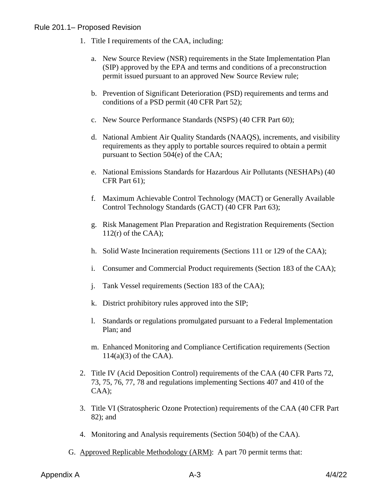- 1. Title I requirements of the CAA, including:
	- a. New Source Review (NSR) requirements in the State Implementation Plan (SIP) approved by the EPA and terms and conditions of a preconstruction permit issued pursuant to an approved New Source Review rule;
	- b. Prevention of Significant Deterioration (PSD) requirements and terms and conditions of a PSD permit (40 CFR Part 52);
	- c. New Source Performance Standards (NSPS) (40 CFR Part 60);
	- d. National Ambient Air Quality Standards (NAAQS), increments, and visibility requirements as they apply to portable sources required to obtain a permit pursuant to Section 504(e) of the CAA;
	- e. National Emissions Standards for Hazardous Air Pollutants (NESHAPs) (40 CFR Part 61);
	- f. Maximum Achievable Control Technology (MACT) or Generally Available Control Technology Standards (GACT) (40 CFR Part 63);
	- g. Risk Management Plan Preparation and Registration Requirements (Section  $112(r)$  of the CAA);
	- h. Solid Waste Incineration requirements (Sections 111 or 129 of the CAA);
	- i. Consumer and Commercial Product requirements (Section 183 of the CAA);
	- j. Tank Vessel requirements (Section 183 of the CAA);
	- k. District prohibitory rules approved into the SIP;
	- l. Standards or regulations promulgated pursuant to a Federal Implementation Plan; and
	- m. Enhanced Monitoring and Compliance Certification requirements (Section 114(a)(3) of the CAA).
- 2. Title IV (Acid Deposition Control) requirements of the CAA (40 CFR Parts 72, 73, 75, 76, 77, 78 and regulations implementing Sections 407 and 410 of the CAA);
- 3. Title VI (Stratospheric Ozone Protection) requirements of the CAA (40 CFR Part 82); and
- 4. Monitoring and Analysis requirements (Section 504(b) of the CAA).
- G. Approved Replicable Methodology (ARM): A part 70 permit terms that: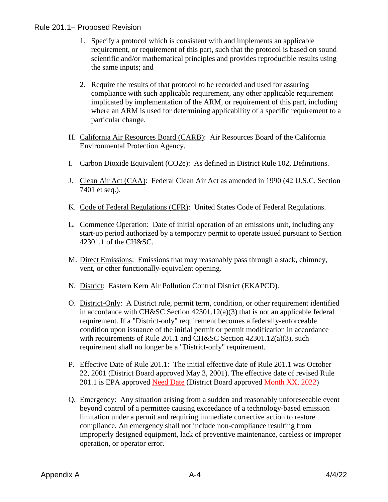- 1. Specify a protocol which is consistent with and implements an applicable requirement, or requirement of this part, such that the protocol is based on sound scientific and/or mathematical principles and provides reproducible results using the same inputs; and
- 2. Require the results of that protocol to be recorded and used for assuring compliance with such applicable requirement, any other applicable requirement implicated by implementation of the ARM, or requirement of this part, including where an ARM is used for determining applicability of a specific requirement to a particular change.
- H. California Air Resources Board (CARB): Air Resources Board of the California Environmental Protection Agency.
- I. Carbon Dioxide Equivalent (CO2e): As defined in District Rule 102, Definitions.
- J. Clean Air Act (CAA): Federal Clean Air Act as amended in 1990 (42 U.S.C. Section 7401 et seq.).
- K. Code of Federal Regulations (CFR): United States Code of Federal Regulations.
- L. Commence Operation: Date of initial operation of an emissions unit, including any start-up period authorized by a temporary permit to operate issued pursuant to Section 42301.1 of the CH&SC.
- M. Direct Emissions: Emissions that may reasonably pass through a stack, chimney, vent, or other functionally-equivalent opening.
- N. District: Eastern Kern Air Pollution Control District (EKAPCD).
- O. District-Only: A District rule, permit term, condition, or other requirement identified in accordance with CH&SC Section 42301.12(a)(3) that is not an applicable federal requirement. If a "District-only" requirement becomes a federally-enforceable condition upon issuance of the initial permit or permit modification in accordance with requirements of Rule 201.1 and CH&SC Section 42301.12(a)(3), such requirement shall no longer be a "District-only" requirement.
- P. Effective Date of Rule 201.1: The initial effective date of Rule 201.1 was October 22, 2001 (District Board approved May 3, 2001). The effective date of revised Rule 201.1 is EPA approved Need Date (District Board approved Month XX, 2022)
- Q. Emergency: Any situation arising from a sudden and reasonably unforeseeable event beyond control of a permittee causing exceedance of a technology-based emission limitation under a permit and requiring immediate corrective action to restore compliance. An emergency shall not include non-compliance resulting from improperly designed equipment, lack of preventive maintenance, careless or improper operation, or operator error.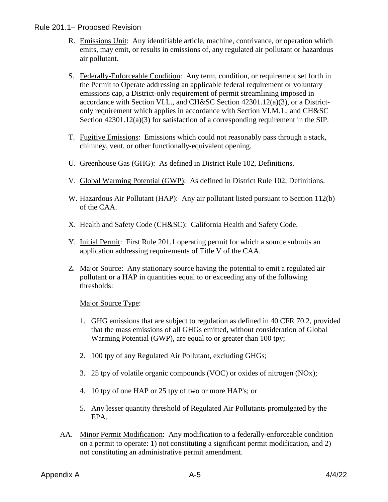- R. Emissions Unit: Any identifiable article, machine, contrivance, or operation which emits, may emit, or results in emissions of, any regulated air pollutant or hazardous air pollutant.
- S. Federally-Enforceable Condition: Any term, condition, or requirement set forth in the Permit to Operate addressing an applicable federal requirement or voluntary emissions cap, a District-only requirement of permit streamlining imposed in accordance with Section VI.L., and CH&SC Section 42301.12(a)(3), or a Districtonly requirement which applies in accordance with Section VI.M.1., and CH&SC Section 42301.12(a)(3) for satisfaction of a corresponding requirement in the SIP.
- T. Fugitive Emissions: Emissions which could not reasonably pass through a stack, chimney, vent, or other functionally-equivalent opening.
- U. Greenhouse Gas (GHG): As defined in District Rule 102, Definitions.
- V. Global Warming Potential (GWP): As defined in District Rule 102, Definitions.
- W. Hazardous Air Pollutant (HAP): Any air pollutant listed pursuant to Section 112(b) of the CAA.
- X. Health and Safety Code (CH&SC): California Health and Safety Code.
- Y. Initial Permit: First Rule 201.1 operating permit for which a source submits an application addressing requirements of Title V of the CAA.
- Z. Major Source: Any stationary source having the potential to emit a regulated air pollutant or a HAP in quantities equal to or exceeding any of the following thresholds:

Major Source Type:

- 1. GHG emissions that are subject to regulation as defined in 40 CFR 70.2, provided that the mass emissions of all GHGs emitted, without consideration of Global Warming Potential (GWP), are equal to or greater than 100 tpy;
- 2. 100 tpy of any Regulated Air Pollutant, excluding GHGs;
- 3. 25 tpy of volatile organic compounds (VOC) or oxides of nitrogen (NOx);
- 4. 10 tpy of one HAP or 25 tpy of two or more HAP's; or
- 5. Any lesser quantity threshold of Regulated Air Pollutants promulgated by the EPA.
- AA. Minor Permit Modification: Any modification to a federally-enforceable condition on a permit to operate: 1) not constituting a significant permit modification, and 2) not constituting an administrative permit amendment.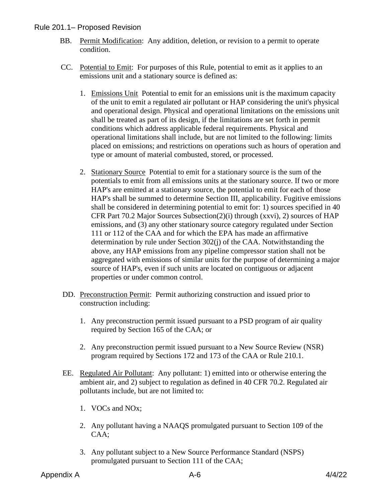- BB. Permit Modification: Any addition, deletion, or revision to a permit to operate condition.
- CC. Potential to Emit: For purposes of this Rule, potential to emit as it applies to an emissions unit and a stationary source is defined as:
	- 1. Emissions Unit Potential to emit for an emissions unit is the maximum capacity of the unit to emit a regulated air pollutant or HAP considering the unit's physical and operational design. Physical and operational limitations on the emissions unit shall be treated as part of its design, if the limitations are set forth in permit conditions which address applicable federal requirements. Physical and operational limitations shall include, but are not limited to the following: limits placed on emissions; and restrictions on operations such as hours of operation and type or amount of material combusted, stored, or processed.
	- 2. Stationary Source Potential to emit for a stationary source is the sum of the potentials to emit from all emissions units at the stationary source. If two or more HAP's are emitted at a stationary source, the potential to emit for each of those HAP's shall be summed to determine Section III, applicability. Fugitive emissions shall be considered in determining potential to emit for: 1) sources specified in 40 CFR Part 70.2 Major Sources Subsection(2)(i) through (xxvi), 2) sources of HAP emissions, and (3) any other stationary source category regulated under Section 111 or 112 of the CAA and for which the EPA has made an affirmative determination by rule under Section 302(j) of the CAA. Notwithstanding the above, any HAP emissions from any pipeline compressor station shall not be aggregated with emissions of similar units for the purpose of determining a major source of HAP's, even if such units are located on contiguous or adjacent properties or under common control.
- DD. Preconstruction Permit: Permit authorizing construction and issued prior to construction including:
	- 1. Any preconstruction permit issued pursuant to a PSD program of air quality required by Section 165 of the CAA; or
	- 2. Any preconstruction permit issued pursuant to a New Source Review (NSR) program required by Sections 172 and 173 of the CAA or Rule 210.1.
- EE. Regulated Air Pollutant: Any pollutant: 1) emitted into or otherwise entering the ambient air, and 2) subject to regulation as defined in 40 CFR 70.2. Regulated air pollutants include, but are not limited to:
	- 1. VOCs and NOx;
	- 2. Any pollutant having a NAAQS promulgated pursuant to Section 109 of the CAA;
	- 3. Any pollutant subject to a New Source Performance Standard (NSPS) promulgated pursuant to Section 111 of the CAA;

Appendix A  $A$ -6  $A/4/22$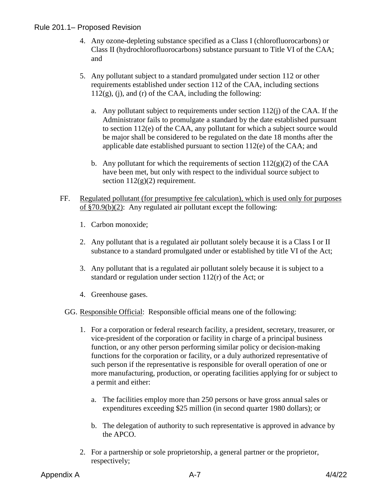- 4. Any ozone-depleting substance specified as a Class I (chlorofluorocarbons) or Class II (hydrochlorofluorocarbons) substance pursuant to Title VI of the CAA; and
- 5. Any pollutant subject to a standard promulgated under section 112 or other requirements established under section 112 of the CAA, including sections  $112(g)$ , (i), and (r) of the CAA, including the following:
	- a. Any pollutant subject to requirements under section 112(j) of the CAA. If the Administrator fails to promulgate a standard by the date established pursuant to section 112(e) of the CAA, any pollutant for which a subject source would be major shall be considered to be regulated on the date 18 months after the applicable date established pursuant to section 112(e) of the CAA; and
	- b. Any pollutant for which the requirements of section  $112(g)(2)$  of the CAA have been met, but only with respect to the individual source subject to section  $112(g)(2)$  requirement.
- FF. Regulated pollutant (for presumptive fee calculation), which is used only for purposes of §70.9(b)(2): Any regulated air pollutant except the following:
	- 1. Carbon monoxide;
	- 2. Any pollutant that is a regulated air pollutant solely because it is a Class I or II substance to a standard promulgated under or established by title VI of the Act;
	- 3. Any pollutant that is a regulated air pollutant solely because it is subject to a standard or regulation under section 112(r) of the Act; or
	- 4. Greenhouse gases.

GG. Responsible Official: Responsible official means one of the following:

- 1. For a corporation or federal research facility, a president, secretary, treasurer, or vice-president of the corporation or facility in charge of a principal business function, or any other person performing similar policy or decision-making functions for the corporation or facility, or a duly authorized representative of such person if the representative is responsible for overall operation of one or more manufacturing, production, or operating facilities applying for or subject to a permit and either:
	- a. The facilities employ more than 250 persons or have gross annual sales or expenditures exceeding \$25 million (in second quarter 1980 dollars); or
	- b. The delegation of authority to such representative is approved in advance by the APCO.
- 2. For a partnership or sole proprietorship, a general partner or the proprietor, respectively;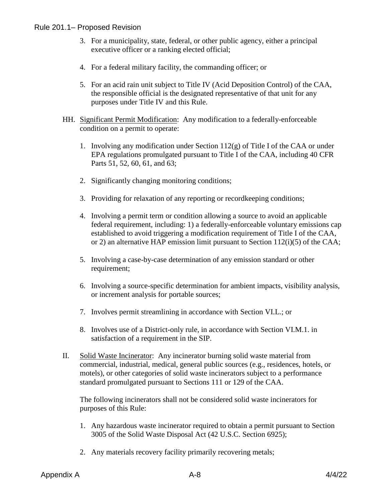- 3. For a municipality, state, federal, or other public agency, either a principal executive officer or a ranking elected official;
- 4. For a federal military facility, the commanding officer; or
- 5. For an acid rain unit subject to Title IV (Acid Deposition Control) of the CAA, the responsible official is the designated representative of that unit for any purposes under Title IV and this Rule.
- HH. Significant Permit Modification: Any modification to a federally-enforceable condition on a permit to operate:
	- 1. Involving any modification under Section 112(g) of Title I of the CAA or under EPA regulations promulgated pursuant to Title I of the CAA, including 40 CFR Parts 51, 52, 60, 61, and 63;
	- 2. Significantly changing monitoring conditions;
	- 3. Providing for relaxation of any reporting or recordkeeping conditions;
	- 4. Involving a permit term or condition allowing a source to avoid an applicable federal requirement, including: 1) a federally-enforceable voluntary emissions cap established to avoid triggering a modification requirement of Title I of the CAA, or 2) an alternative HAP emission limit pursuant to Section 112(i)(5) of the CAA;
	- 5. Involving a case-by-case determination of any emission standard or other requirement;
	- 6. Involving a source-specific determination for ambient impacts, visibility analysis, or increment analysis for portable sources;
	- 7. Involves permit streamlining in accordance with Section VI.L.; or
	- 8. Involves use of a District-only rule, in accordance with Section VI.M.1. in satisfaction of a requirement in the SIP.
- II. Solid Waste Incinerator: Any incinerator burning solid waste material from commercial, industrial, medical, general public sources (e.g., residences, hotels, or motels), or other categories of solid waste incinerators subject to a performance standard promulgated pursuant to Sections 111 or 129 of the CAA.

The following incinerators shall not be considered solid waste incinerators for purposes of this Rule:

- 1. Any hazardous waste incinerator required to obtain a permit pursuant to Section 3005 of the Solid Waste Disposal Act (42 U.S.C. Section 6925);
- 2. Any materials recovery facility primarily recovering metals;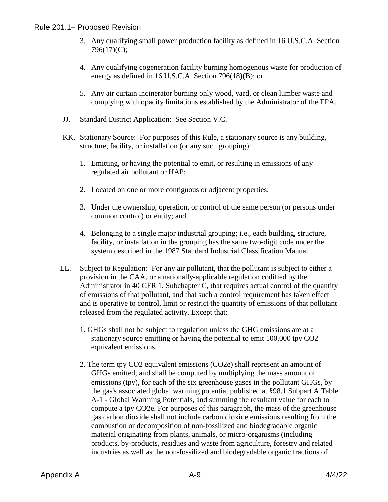- 3. Any qualifying small power production facility as defined in 16 U.S.C.A. Section 796(17)(C);
- 4. Any qualifying cogeneration facility burning homogenous waste for production of energy as defined in 16 U.S.C.A. Section 796(18)(B); or
- 5. Any air curtain incinerator burning only wood, yard, or clean lumber waste and complying with opacity limitations established by the Administrator of the EPA.
- JJ. Standard District Application: See Section V.C.
- KK. Stationary Source: For purposes of this Rule, a stationary source is any building, structure, facility, or installation (or any such grouping):
	- 1. Emitting, or having the potential to emit, or resulting in emissions of any regulated air pollutant or HAP;
	- 2. Located on one or more contiguous or adjacent properties;
	- 3. Under the ownership, operation, or control of the same person (or persons under common control) or entity; and
	- 4. Belonging to a single major industrial grouping; i.e., each building, structure, facility, or installation in the grouping has the same two-digit code under the system described in the 1987 Standard Industrial Classification Manual.
- LL. Subject to Regulation: For any air pollutant, that the pollutant is subject to either a provision in the CAA, or a nationally-applicable regulation codified by the Administrator in 40 CFR 1, Subchapter C, that requires actual control of the quantity of emissions of that pollutant, and that such a control requirement has taken effect and is operative to control, limit or restrict the quantity of emissions of that pollutant released from the regulated activity. Except that:
	- 1. GHGs shall not be subject to regulation unless the GHG emissions are at a stationary source emitting or having the potential to emit 100,000 tpy CO2 equivalent emissions.
	- 2. The term tpy CO2 equivalent emissions (CO2e) shall represent an amount of GHGs emitted, and shall be computed by multiplying the mass amount of emissions (tpy), for each of the six greenhouse gases in the pollutant GHGs, by the gas's associated global warming potential published at §98.1 Subpart A Table A-1 - Global Warming Potentials, and summing the resultant value for each to compute a tpy CO2e. For purposes of this paragraph, the mass of the greenhouse gas carbon dioxide shall not include carbon dioxide emissions resulting from the combustion or decomposition of non-fossilized and biodegradable organic material originating from plants, animals, or micro-organisms (including products, by-products, residues and waste from agriculture, forestry and related industries as well as the non-fossilized and biodegradable organic fractions of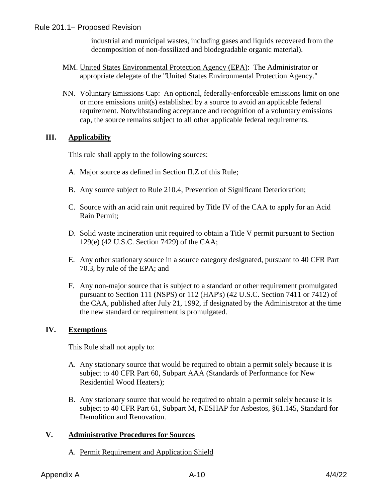industrial and municipal wastes, including gases and liquids recovered from the decomposition of non-fossilized and biodegradable organic material).

- MM. United States Environmental Protection Agency (EPA): The Administrator or appropriate delegate of the "United States Environmental Protection Agency."
- NN. Voluntary Emissions Cap: An optional, federally-enforceable emissions limit on one or more emissions unit(s) established by a source to avoid an applicable federal requirement. Notwithstanding acceptance and recognition of a voluntary emissions cap, the source remains subject to all other applicable federal requirements.

#### **III. Applicability**

This rule shall apply to the following sources:

- A. Major source as defined in Section II.Z of this Rule;
- B. Any source subject to Rule 210.4, Prevention of Significant Deterioration;
- C. Source with an acid rain unit required by Title IV of the CAA to apply for an Acid Rain Permit;
- D. Solid waste incineration unit required to obtain a Title V permit pursuant to Section 129(e) (42 U.S.C. Section 7429) of the CAA;
- E. Any other stationary source in a source category designated, pursuant to 40 CFR Part 70.3, by rule of the EPA; and
- F. Any non-major source that is subject to a standard or other requirement promulgated pursuant to Section 111 (NSPS) or 112 (HAP's) (42 U.S.C. Section 7411 or 7412) of the CAA, published after July 21, 1992, if designated by the Administrator at the time the new standard or requirement is promulgated.

#### **IV. Exemptions**

This Rule shall not apply to:

- A. Any stationary source that would be required to obtain a permit solely because it is subject to 40 CFR Part 60, Subpart AAA (Standards of Performance for New Residential Wood Heaters);
- B. Any stationary source that would be required to obtain a permit solely because it is subject to 40 CFR Part 61, Subpart M, NESHAP for Asbestos, §61.145, Standard for Demolition and Renovation.

#### **V. Administrative Procedures for Sources**

A. Permit Requirement and Application Shield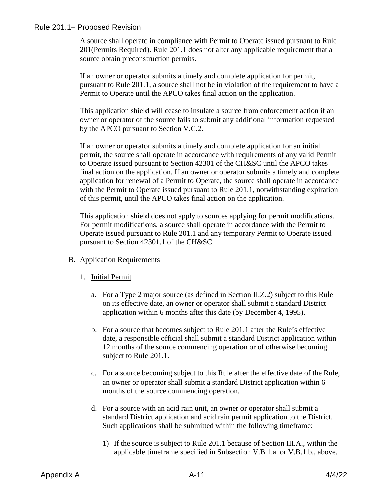A source shall operate in compliance with Permit to Operate issued pursuant to Rule 201(Permits Required). Rule 201.1 does not alter any applicable requirement that a source obtain preconstruction permits.

If an owner or operator submits a timely and complete application for permit, pursuant to Rule 201.1, a source shall not be in violation of the requirement to have a Permit to Operate until the APCO takes final action on the application.

This application shield will cease to insulate a source from enforcement action if an owner or operator of the source fails to submit any additional information requested by the APCO pursuant to Section V.C.2.

If an owner or operator submits a timely and complete application for an initial permit, the source shall operate in accordance with requirements of any valid Permit to Operate issued pursuant to Section 42301 of the CH&SC until the APCO takes final action on the application. If an owner or operator submits a timely and complete application for renewal of a Permit to Operate, the source shall operate in accordance with the Permit to Operate issued pursuant to Rule 201.1, notwithstanding expiration of this permit, until the APCO takes final action on the application.

This application shield does not apply to sources applying for permit modifications. For permit modifications, a source shall operate in accordance with the Permit to Operate issued pursuant to Rule 201.1 and any temporary Permit to Operate issued pursuant to Section 42301.1 of the CH&SC.

#### B. Application Requirements

- 1. Initial Permit
	- a. For a Type 2 major source (as defined in Section II.Z.2) subject to this Rule on its effective date, an owner or operator shall submit a standard District application within 6 months after this date (by December 4, 1995).
	- b. For a source that becomes subject to Rule 201.1 after the Rule's effective date, a responsible official shall submit a standard District application within 12 months of the source commencing operation or of otherwise becoming subject to Rule 201.1.
	- c. For a source becoming subject to this Rule after the effective date of the Rule, an owner or operator shall submit a standard District application within 6 months of the source commencing operation.
	- d. For a source with an acid rain unit, an owner or operator shall submit a standard District application and acid rain permit application to the District. Such applications shall be submitted within the following timeframe:
		- 1) If the source is subject to Rule 201.1 because of Section III.A., within the applicable timeframe specified in Subsection V.B.1.a. or V.B.1.b., above.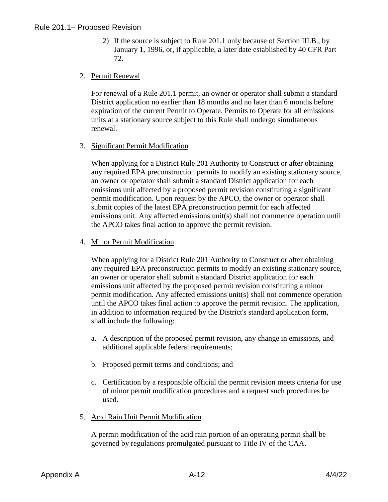2) If the source is subject to Rule 201.1 only because of Section III.B., by January 1, 1996, or, if applicable, a later date established by 40 CFR Part 72.

#### 2. Permit Renewal

For renewal of a Rule 201.1 permit, an owner or operator shall submit a standard District application no earlier than 18 months and no later than 6 months before expiration of the current Permit to Operate. Permits to Operate for all emissions units at a stationary source subject to this Rule shall undergo simultaneous renewal.

3. Significant Permit Modification

When applying for a District Rule 201 Authority to Construct or after obtaining any required EPA preconstruction permits to modify an existing stationary source, an owner or operator shall submit a standard District application for each emissions unit affected by a proposed permit revision constituting a significant permit modification. Upon request by the APCO, the owner or operator shall submit copies of the latest EPA preconstruction permit for each affected emissions unit. Any affected emissions unit(s) shall not commence operation until the APCO takes final action to approve the permit revision.

4. Minor Permit Modification

When applying for a District Rule 201 Authority to Construct or after obtaining any required EPA preconstruction permits to modify an existing stationary source, an owner or operator shall submit a standard District application for each emissions unit affected by the proposed permit revision constituting a minor permit modification. Any affected emissions unit(s) shall not commence operation until the APCO takes final action to approve the permit revision. The application, in addition to information required by the District's standard application form, shall include the following:

- a. A description of the proposed permit revision, any change in emissions, and additional applicable federal requirements;
- b. Proposed permit terms and conditions; and
- c. Certification by a responsible official the permit revision meets criteria for use of minor permit modification procedures and a request such procedures be used.
- 5. Acid Rain Unit Permit Modification

A permit modification of the acid rain portion of an operating permit shall be governed by regulations promulgated pursuant to Title IV of the CAA.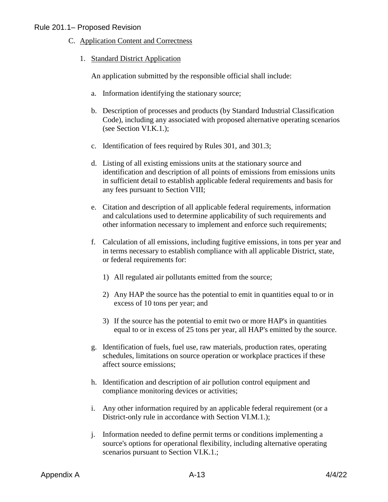- C. Application Content and Correctness
	- 1. Standard District Application

An application submitted by the responsible official shall include:

- a. Information identifying the stationary source;
- b. Description of processes and products (by Standard Industrial Classification Code), including any associated with proposed alternative operating scenarios (see Section VI.K.1.);
- c. Identification of fees required by Rules 301, and 301.3;
- d. Listing of all existing emissions units at the stationary source and identification and description of all points of emissions from emissions units in sufficient detail to establish applicable federal requirements and basis for any fees pursuant to Section VIII;
- e. Citation and description of all applicable federal requirements, information and calculations used to determine applicability of such requirements and other information necessary to implement and enforce such requirements;
- f. Calculation of all emissions, including fugitive emissions, in tons per year and in terms necessary to establish compliance with all applicable District, state, or federal requirements for:
	- 1) All regulated air pollutants emitted from the source;
	- 2) Any HAP the source has the potential to emit in quantities equal to or in excess of 10 tons per year; and
	- 3) If the source has the potential to emit two or more HAP's in quantities equal to or in excess of 25 tons per year, all HAP's emitted by the source.
- g. Identification of fuels, fuel use, raw materials, production rates, operating schedules, limitations on source operation or workplace practices if these affect source emissions;
- h. Identification and description of air pollution control equipment and compliance monitoring devices or activities;
- i. Any other information required by an applicable federal requirement (or a District-only rule in accordance with Section VI.M.1.);
- j. Information needed to define permit terms or conditions implementing a source's options for operational flexibility, including alternative operating scenarios pursuant to Section VI.K.1.;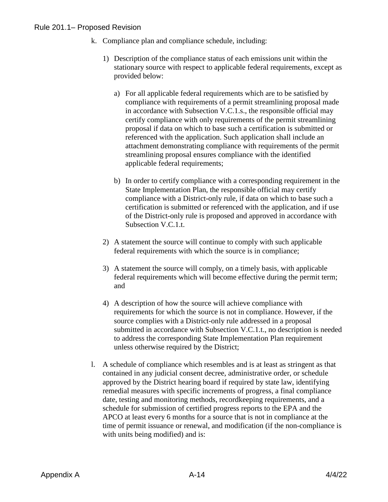- k. Compliance plan and compliance schedule, including:
	- 1) Description of the compliance status of each emissions unit within the stationary source with respect to applicable federal requirements, except as provided below:
		- a) For all applicable federal requirements which are to be satisfied by compliance with requirements of a permit streamlining proposal made in accordance with Subsection V.C.1.s., the responsible official may certify compliance with only requirements of the permit streamlining proposal if data on which to base such a certification is submitted or referenced with the application. Such application shall include an attachment demonstrating compliance with requirements of the permit streamlining proposal ensures compliance with the identified applicable federal requirements;
		- b) In order to certify compliance with a corresponding requirement in the State Implementation Plan, the responsible official may certify compliance with a District-only rule, if data on which to base such a certification is submitted or referenced with the application, and if use of the District-only rule is proposed and approved in accordance with Subsection V.C.1.t.
	- 2) A statement the source will continue to comply with such applicable federal requirements with which the source is in compliance;
	- 3) A statement the source will comply, on a timely basis, with applicable federal requirements which will become effective during the permit term; and
	- 4) A description of how the source will achieve compliance with requirements for which the source is not in compliance. However, if the source complies with a District-only rule addressed in a proposal submitted in accordance with Subsection V.C.1.t., no description is needed to address the corresponding State Implementation Plan requirement unless otherwise required by the District;
- l. A schedule of compliance which resembles and is at least as stringent as that contained in any judicial consent decree, administrative order, or schedule approved by the District hearing board if required by state law, identifying remedial measures with specific increments of progress, a final compliance date, testing and monitoring methods, recordkeeping requirements, and a schedule for submission of certified progress reports to the EPA and the APCO at least every 6 months for a source that is not in compliance at the time of permit issuance or renewal, and modification (if the non-compliance is with units being modified) and is: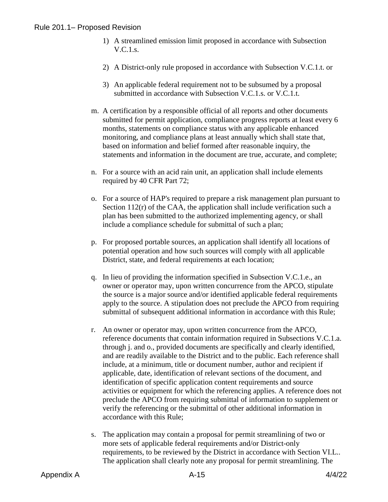- 1) A streamlined emission limit proposed in accordance with Subsection V.C.1.s.
- 2) A District-only rule proposed in accordance with Subsection V.C.1.t. or
- 3) An applicable federal requirement not to be subsumed by a proposal submitted in accordance with Subsection V.C.1.s. or V.C.1.t.
- m. A certification by a responsible official of all reports and other documents submitted for permit application, compliance progress reports at least every 6 months, statements on compliance status with any applicable enhanced monitoring, and compliance plans at least annually which shall state that, based on information and belief formed after reasonable inquiry, the statements and information in the document are true, accurate, and complete;
- n. For a source with an acid rain unit, an application shall include elements required by 40 CFR Part 72;
- o. For a source of HAP's required to prepare a risk management plan pursuant to Section 112(r) of the CAA, the application shall include verification such a plan has been submitted to the authorized implementing agency, or shall include a compliance schedule for submittal of such a plan;
- p. For proposed portable sources, an application shall identify all locations of potential operation and how such sources will comply with all applicable District, state, and federal requirements at each location;
- q. In lieu of providing the information specified in Subsection V.C.1.e., an owner or operator may, upon written concurrence from the APCO, stipulate the source is a major source and/or identified applicable federal requirements apply to the source. A stipulation does not preclude the APCO from requiring submittal of subsequent additional information in accordance with this Rule;
- r. An owner or operator may, upon written concurrence from the APCO, reference documents that contain information required in Subsections V.C.1.a. through j. and o., provided documents are specifically and clearly identified, and are readily available to the District and to the public. Each reference shall include, at a minimum, title or document number, author and recipient if applicable, date, identification of relevant sections of the document, and identification of specific application content requirements and source activities or equipment for which the referencing applies. A reference does not preclude the APCO from requiring submittal of information to supplement or verify the referencing or the submittal of other additional information in accordance with this Rule;
- s. The application may contain a proposal for permit streamlining of two or more sets of applicable federal requirements and/or District-only requirements, to be reviewed by the District in accordance with Section VI.L.. The application shall clearly note any proposal for permit streamlining. The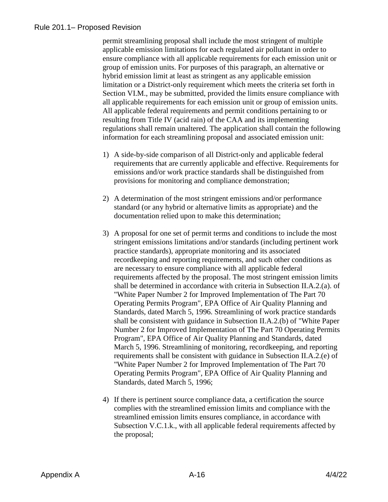permit streamlining proposal shall include the most stringent of multiple applicable emission limitations for each regulated air pollutant in order to ensure compliance with all applicable requirements for each emission unit or group of emission units. For purposes of this paragraph, an alternative or hybrid emission limit at least as stringent as any applicable emission limitation or a District-only requirement which meets the criteria set forth in Section VI.M., may be submitted, provided the limits ensure compliance with all applicable requirements for each emission unit or group of emission units. All applicable federal requirements and permit conditions pertaining to or resulting from Title IV (acid rain) of the CAA and its implementing regulations shall remain unaltered. The application shall contain the following information for each streamlining proposal and associated emission unit:

- 1) A side-by-side comparison of all District-only and applicable federal requirements that are currently applicable and effective. Requirements for emissions and/or work practice standards shall be distinguished from provisions for monitoring and compliance demonstration;
- 2) A determination of the most stringent emissions and/or performance standard (or any hybrid or alternative limits as appropriate) and the documentation relied upon to make this determination;
- 3) A proposal for one set of permit terms and conditions to include the most stringent emissions limitations and/or standards (including pertinent work practice standards), appropriate monitoring and its associated recordkeeping and reporting requirements, and such other conditions as are necessary to ensure compliance with all applicable federal requirements affected by the proposal. The most stringent emission limits shall be determined in accordance with criteria in Subsection II.A.2.(a). of "White Paper Number 2 for Improved Implementation of The Part 70 Operating Permits Program", EPA Office of Air Quality Planning and Standards, dated March 5, 1996. Streamlining of work practice standards shall be consistent with guidance in Subsection II.A.2.(b) of "White Paper Number 2 for Improved Implementation of The Part 70 Operating Permits Program", EPA Office of Air Quality Planning and Standards, dated March 5, 1996. Streamlining of monitoring, recordkeeping, and reporting requirements shall be consistent with guidance in Subsection II.A.2.(e) of "White Paper Number 2 for Improved Implementation of The Part 70 Operating Permits Program", EPA Office of Air Quality Planning and Standards, dated March 5, 1996;
- 4) If there is pertinent source compliance data, a certification the source complies with the streamlined emission limits and compliance with the streamlined emission limits ensures compliance, in accordance with Subsection V.C.1.k., with all applicable federal requirements affected by the proposal;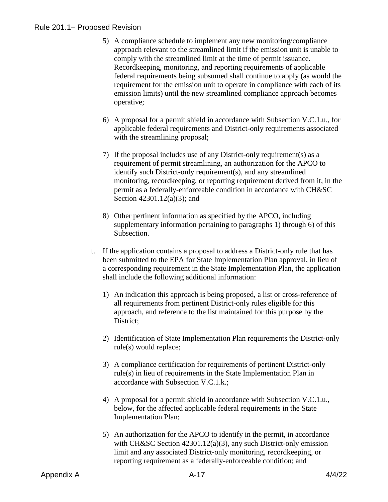- 5) A compliance schedule to implement any new monitoring/compliance approach relevant to the streamlined limit if the emission unit is unable to comply with the streamlined limit at the time of permit issuance. Recordkeeping, monitoring, and reporting requirements of applicable federal requirements being subsumed shall continue to apply (as would the requirement for the emission unit to operate in compliance with each of its emission limits) until the new streamlined compliance approach becomes operative;
- 6) A proposal for a permit shield in accordance with Subsection V.C.1.u., for applicable federal requirements and District-only requirements associated with the streamlining proposal:
- 7) If the proposal includes use of any District-only requirement(s) as a requirement of permit streamlining, an authorization for the APCO to identify such District-only requirement(s), and any streamlined monitoring, recordkeeping, or reporting requirement derived from it, in the permit as a federally-enforceable condition in accordance with CH&SC Section 42301.12(a)(3); and
- 8) Other pertinent information as specified by the APCO, including supplementary information pertaining to paragraphs 1) through 6) of this Subsection.
- t. If the application contains a proposal to address a District-only rule that has been submitted to the EPA for State Implementation Plan approval, in lieu of a corresponding requirement in the State Implementation Plan, the application shall include the following additional information:
	- 1) An indication this approach is being proposed, a list or cross-reference of all requirements from pertinent District-only rules eligible for this approach, and reference to the list maintained for this purpose by the District;
	- 2) Identification of State Implementation Plan requirements the District-only rule(s) would replace;
	- 3) A compliance certification for requirements of pertinent District-only rule(s) in lieu of requirements in the State Implementation Plan in accordance with Subsection V.C.1.k.;
	- 4) A proposal for a permit shield in accordance with Subsection V.C.1.u., below, for the affected applicable federal requirements in the State Implementation Plan;
	- 5) An authorization for the APCO to identify in the permit, in accordance with CH&SC Section 42301.12(a)(3), any such District-only emission limit and any associated District-only monitoring, recordkeeping, or reporting requirement as a federally-enforceable condition; and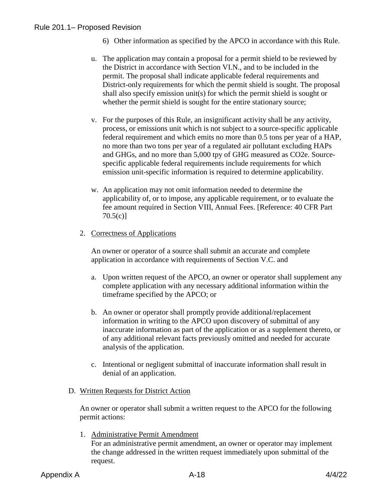- 6) Other information as specified by the APCO in accordance with this Rule.
- u. The application may contain a proposal for a permit shield to be reviewed by the District in accordance with Section VI.N., and to be included in the permit. The proposal shall indicate applicable federal requirements and District-only requirements for which the permit shield is sought. The proposal shall also specify emission unit(s) for which the permit shield is sought or whether the permit shield is sought for the entire stationary source;
- v. For the purposes of this Rule, an insignificant activity shall be any activity, process, or emissions unit which is not subject to a source-specific applicable federal requirement and which emits no more than 0.5 tons per year of a HAP, no more than two tons per year of a regulated air pollutant excluding HAPs and GHGs, and no more than 5,000 tpy of GHG measured as CO2e. Sourcespecific applicable federal requirements include requirements for which emission unit-specific information is required to determine applicability.
- w. An application may not omit information needed to determine the applicability of, or to impose, any applicable requirement, or to evaluate the fee amount required in Section VIII, Annual Fees. [Reference: 40 CFR Part 70.5(c)]

#### 2. Correctness of Applications

An owner or operator of a source shall submit an accurate and complete application in accordance with requirements of Section V.C. and

- a. Upon written request of the APCO, an owner or operator shall supplement any complete application with any necessary additional information within the timeframe specified by the APCO; or
- b. An owner or operator shall promptly provide additional/replacement information in writing to the APCO upon discovery of submittal of any inaccurate information as part of the application or as a supplement thereto, or of any additional relevant facts previously omitted and needed for accurate analysis of the application.
- c. Intentional or negligent submittal of inaccurate information shall result in denial of an application.

#### D. Written Requests for District Action

An owner or operator shall submit a written request to the APCO for the following permit actions:

1. Administrative Permit Amendment For an administrative permit amendment, an owner or operator may implement the change addressed in the written request immediately upon submittal of the request.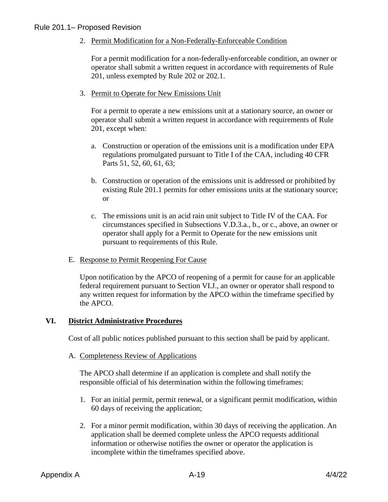2. Permit Modification for a Non-Federally-Enforceable Condition

For a permit modification for a non-federally-enforceable condition, an owner or operator shall submit a written request in accordance with requirements of Rule 201, unless exempted by Rule 202 or 202.1.

3. Permit to Operate for New Emissions Unit

For a permit to operate a new emissions unit at a stationary source, an owner or operator shall submit a written request in accordance with requirements of Rule 201, except when:

- a. Construction or operation of the emissions unit is a modification under EPA regulations promulgated pursuant to Title I of the CAA, including 40 CFR Parts 51, 52, 60, 61, 63;
- b. Construction or operation of the emissions unit is addressed or prohibited by existing Rule 201.1 permits for other emissions units at the stationary source; or
- c. The emissions unit is an acid rain unit subject to Title IV of the CAA. For circumstances specified in Subsections V.D.3.a., b., or c., above, an owner or operator shall apply for a Permit to Operate for the new emissions unit pursuant to requirements of this Rule.
- E. Response to Permit Reopening For Cause

Upon notification by the APCO of reopening of a permit for cause for an applicable federal requirement pursuant to Section VI.J., an owner or operator shall respond to any written request for information by the APCO within the timeframe specified by the APCO.

#### **VI. District Administrative Procedures**

Cost of all public notices published pursuant to this section shall be paid by applicant.

A. Completeness Review of Applications

The APCO shall determine if an application is complete and shall notify the responsible official of his determination within the following timeframes:

- 1. For an initial permit, permit renewal, or a significant permit modification, within 60 days of receiving the application;
- 2. For a minor permit modification, within 30 days of receiving the application. An application shall be deemed complete unless the APCO requests additional information or otherwise notifies the owner or operator the application is incomplete within the timeframes specified above.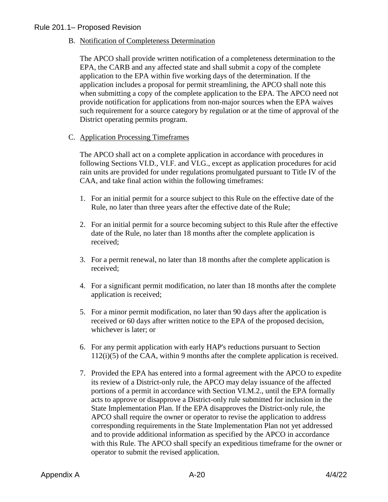B. Notification of Completeness Determination

The APCO shall provide written notification of a completeness determination to the EPA, the CARB and any affected state and shall submit a copy of the complete application to the EPA within five working days of the determination. If the application includes a proposal for permit streamlining, the APCO shall note this when submitting a copy of the complete application to the EPA. The APCO need not provide notification for applications from non-major sources when the EPA waives such requirement for a source category by regulation or at the time of approval of the District operating permits program.

C. Application Processing Timeframes

The APCO shall act on a complete application in accordance with procedures in following Sections VI.D., VI.F. and VI.G., except as application procedures for acid rain units are provided for under regulations promulgated pursuant to Title IV of the CAA, and take final action within the following timeframes:

- 1. For an initial permit for a source subject to this Rule on the effective date of the Rule, no later than three years after the effective date of the Rule;
- 2. For an initial permit for a source becoming subject to this Rule after the effective date of the Rule, no later than 18 months after the complete application is received;
- 3. For a permit renewal, no later than 18 months after the complete application is received;
- 4. For a significant permit modification, no later than 18 months after the complete application is received;
- 5. For a minor permit modification, no later than 90 days after the application is received or 60 days after written notice to the EPA of the proposed decision, whichever is later; or
- 6. For any permit application with early HAP's reductions pursuant to Section 112(i)(5) of the CAA, within 9 months after the complete application is received.
- 7. Provided the EPA has entered into a formal agreement with the APCO to expedite its review of a District-only rule, the APCO may delay issuance of the affected portions of a permit in accordance with Section VI.M.2., until the EPA formally acts to approve or disapprove a District-only rule submitted for inclusion in the State Implementation Plan. If the EPA disapproves the District-only rule, the APCO shall require the owner or operator to revise the application to address corresponding requirements in the State Implementation Plan not yet addressed and to provide additional information as specified by the APCO in accordance with this Rule. The APCO shall specify an expeditious timeframe for the owner or operator to submit the revised application.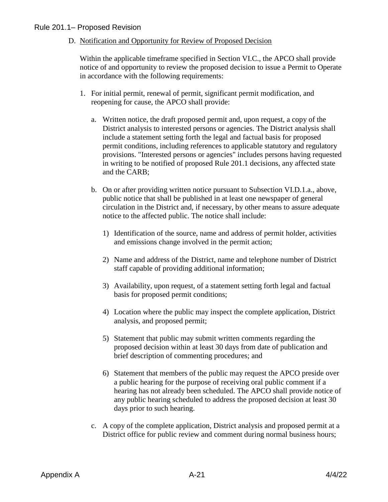D. Notification and Opportunity for Review of Proposed Decision

Within the applicable timeframe specified in Section VI.C., the APCO shall provide notice of and opportunity to review the proposed decision to issue a Permit to Operate in accordance with the following requirements:

- 1. For initial permit, renewal of permit, significant permit modification, and reopening for cause, the APCO shall provide:
	- a. Written notice, the draft proposed permit and, upon request, a copy of the District analysis to interested persons or agencies. The District analysis shall include a statement setting forth the legal and factual basis for proposed permit conditions, including references to applicable statutory and regulatory provisions. "Interested persons or agencies" includes persons having requested in writing to be notified of proposed Rule 201.1 decisions, any affected state and the CARB;
	- b. On or after providing written notice pursuant to Subsection VI.D.1.a., above, public notice that shall be published in at least one newspaper of general circulation in the District and, if necessary, by other means to assure adequate notice to the affected public. The notice shall include:
		- 1) Identification of the source, name and address of permit holder, activities and emissions change involved in the permit action;
		- 2) Name and address of the District, name and telephone number of District staff capable of providing additional information;
		- 3) Availability, upon request, of a statement setting forth legal and factual basis for proposed permit conditions;
		- 4) Location where the public may inspect the complete application, District analysis, and proposed permit;
		- 5) Statement that public may submit written comments regarding the proposed decision within at least 30 days from date of publication and brief description of commenting procedures; and
		- 6) Statement that members of the public may request the APCO preside over a public hearing for the purpose of receiving oral public comment if a hearing has not already been scheduled. The APCO shall provide notice of any public hearing scheduled to address the proposed decision at least 30 days prior to such hearing.
	- c. A copy of the complete application, District analysis and proposed permit at a District office for public review and comment during normal business hours;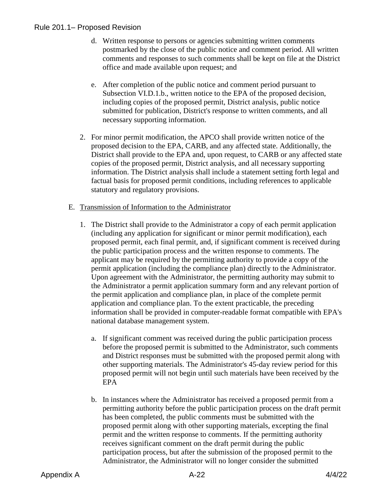- d. Written response to persons or agencies submitting written comments postmarked by the close of the public notice and comment period. All written comments and responses to such comments shall be kept on file at the District office and made available upon request; and
- e. After completion of the public notice and comment period pursuant to Subsection VI.D.1.b., written notice to the EPA of the proposed decision, including copies of the proposed permit, District analysis, public notice submitted for publication, District's response to written comments, and all necessary supporting information.
- 2. For minor permit modification, the APCO shall provide written notice of the proposed decision to the EPA, CARB, and any affected state. Additionally, the District shall provide to the EPA and, upon request, to CARB or any affected state copies of the proposed permit, District analysis, and all necessary supporting information. The District analysis shall include a statement setting forth legal and factual basis for proposed permit conditions, including references to applicable statutory and regulatory provisions.

#### E. Transmission of Information to the Administrator

- 1. The District shall provide to the Administrator a copy of each permit application (including any application for significant or minor permit modification), each proposed permit, each final permit, and, if significant comment is received during the public participation process and the written response to comments. The applicant may be required by the permitting authority to provide a copy of the permit application (including the compliance plan) directly to the Administrator. Upon agreement with the Administrator, the permitting authority may submit to the Administrator a permit application summary form and any relevant portion of the permit application and compliance plan, in place of the complete permit application and compliance plan. To the extent practicable, the preceding information shall be provided in computer-readable format compatible with EPA's national database management system.
	- a. If significant comment was received during the public participation process before the proposed permit is submitted to the Administrator, such comments and District responses must be submitted with the proposed permit along with other supporting materials. The Administrator's 45-day review period for this proposed permit will not begin until such materials have been received by the EPA
	- b. In instances where the Administrator has received a proposed permit from a permitting authority before the public participation process on the draft permit has been completed, the public comments must be submitted with the proposed permit along with other supporting materials, excepting the final permit and the written response to comments. If the permitting authority receives significant comment on the draft permit during the public participation process, but after the submission of the proposed permit to the Administrator, the Administrator will no longer consider the submitted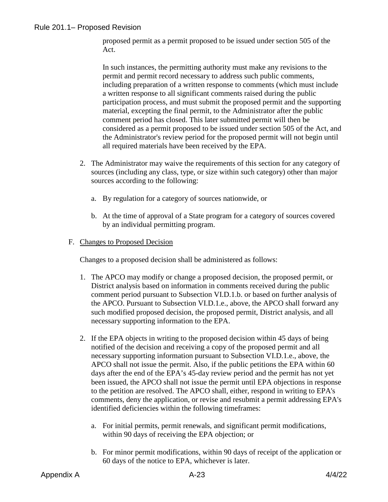proposed permit as a permit proposed to be issued under section 505 of the Act.

In such instances, the permitting authority must make any revisions to the permit and permit record necessary to address such public comments, including preparation of a written response to comments (which must include a written response to all significant comments raised during the public participation process, and must submit the proposed permit and the supporting material, excepting the final permit, to the Administrator after the public comment period has closed. This later submitted permit will then be considered as a permit proposed to be issued under section 505 of the Act, and the Administrator's review period for the proposed permit will not begin until all required materials have been received by the EPA.

- 2. The Administrator may waive the requirements of this section for any category of sources (including any class, type, or size within such category) other than major sources according to the following:
	- a. By regulation for a category of sources nationwide, or
	- b. At the time of approval of a State program for a category of sources covered by an individual permitting program.
- F. Changes to Proposed Decision

Changes to a proposed decision shall be administered as follows:

- 1. The APCO may modify or change a proposed decision, the proposed permit, or District analysis based on information in comments received during the public comment period pursuant to Subsection VI.D.1.b. or based on further analysis of the APCO. Pursuant to Subsection VI.D.1.e., above, the APCO shall forward any such modified proposed decision, the proposed permit, District analysis, and all necessary supporting information to the EPA.
- 2. If the EPA objects in writing to the proposed decision within 45 days of being notified of the decision and receiving a copy of the proposed permit and all necessary supporting information pursuant to Subsection VI.D.1.e., above, the APCO shall not issue the permit. Also, if the public petitions the EPA within 60 days after the end of the EPA's 45-day review period and the permit has not yet been issued, the APCO shall not issue the permit until EPA objections in response to the petition are resolved. The APCO shall, either, respond in writing to EPA's comments, deny the application, or revise and resubmit a permit addressing EPA's identified deficiencies within the following timeframes:
	- a. For initial permits, permit renewals, and significant permit modifications, within 90 days of receiving the EPA objection; or
	- b. For minor permit modifications, within 90 days of receipt of the application or 60 days of the notice to EPA, whichever is later.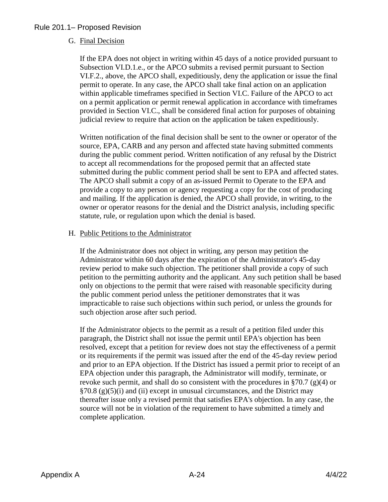#### G. Final Decision

If the EPA does not object in writing within 45 days of a notice provided pursuant to Subsection VI.D.1.e., or the APCO submits a revised permit pursuant to Section VI.F.2., above, the APCO shall, expeditiously, deny the application or issue the final permit to operate. In any case, the APCO shall take final action on an application within applicable timeframes specified in Section VI.C. Failure of the APCO to act on a permit application or permit renewal application in accordance with timeframes provided in Section VI.C., shall be considered final action for purposes of obtaining judicial review to require that action on the application be taken expeditiously.

Written notification of the final decision shall be sent to the owner or operator of the source, EPA, CARB and any person and affected state having submitted comments during the public comment period. Written notification of any refusal by the District to accept all recommendations for the proposed permit that an affected state submitted during the public comment period shall be sent to EPA and affected states. The APCO shall submit a copy of an as-issued Permit to Operate to the EPA and provide a copy to any person or agency requesting a copy for the cost of producing and mailing. If the application is denied, the APCO shall provide, in writing, to the owner or operator reasons for the denial and the District analysis, including specific statute, rule, or regulation upon which the denial is based.

#### H. Public Petitions to the Administrator

If the Administrator does not object in writing, any person may petition the Administrator within 60 days after the expiration of the Administrator's 45-day review period to make such objection. The petitioner shall provide a copy of such petition to the permitting authority and the applicant. Any such petition shall be based only on objections to the permit that were raised with reasonable specificity during the public comment period unless the petitioner demonstrates that it was impracticable to raise such objections within such period, or unless the grounds for such objection arose after such period.

If the Administrator objects to the permit as a result of a petition filed under this paragraph, the District shall not issue the permit until EPA's objection has been resolved, except that a petition for review does not stay the effectiveness of a permit or its requirements if the permit was issued after the end of the 45-day review period and prior to an EPA objection. If the District has issued a permit prior to receipt of an EPA objection under this paragraph, the Administrator will modify, terminate, or revoke such permit, and shall do so consistent with the procedures in  $\S70.7$  (g)(4) or  $\S 70.8$  (g)(5)(i) and (ii) except in unusual circumstances, and the District may thereafter issue only a revised permit that satisfies EPA's objection. In any case, the source will not be in violation of the requirement to have submitted a timely and complete application.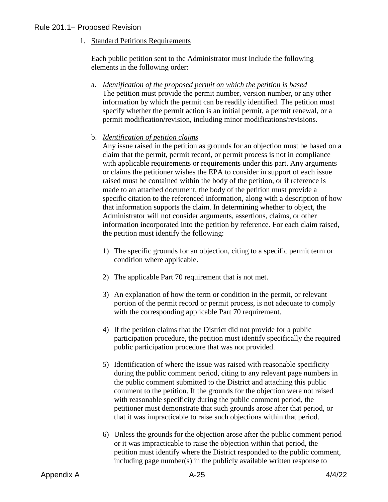1. Standard Petitions Requirements

Each public petition sent to the Administrator must include the following elements in the following order:

- a. *Identification of the proposed permit on which the petition is based* The petition must provide the permit number, version number, or any other information by which the permit can be readily identified. The petition must specify whether the permit action is an initial permit, a permit renewal, or a permit modification/revision, including minor modifications/revisions.
- b. *Identification of petition claims*

Any issue raised in the petition as grounds for an objection must be based on a claim that the permit, permit record, or permit process is not in compliance with applicable requirements or requirements under this part. Any arguments or claims the petitioner wishes the EPA to consider in support of each issue raised must be contained within the body of the petition, or if reference is made to an attached document, the body of the petition must provide a specific citation to the referenced information, along with a description of how that information supports the claim. In determining whether to object, the Administrator will not consider arguments, assertions, claims, or other information incorporated into the petition by reference. For each claim raised, the petition must identify the following:

- 1) The specific grounds for an objection, citing to a specific permit term or condition where applicable.
- 2) The applicable Part 70 requirement that is not met.
- 3) An explanation of how the term or condition in the permit, or relevant portion of the permit record or permit process, is not adequate to comply with the corresponding applicable Part 70 requirement.
- 4) If the petition claims that the District did not provide for a public participation procedure, the petition must identify specifically the required public participation procedure that was not provided.
- 5) Identification of where the issue was raised with reasonable specificity during the public comment period, citing to any relevant page numbers in the public comment submitted to the District and attaching this public comment to the petition. If the grounds for the objection were not raised with reasonable specificity during the public comment period, the petitioner must demonstrate that such grounds arose after that period, or that it was impracticable to raise such objections within that period.
- 6) Unless the grounds for the objection arose after the public comment period or it was impracticable to raise the objection within that period, the petition must identify where the District responded to the public comment, including page number(s) in the publicly available written response to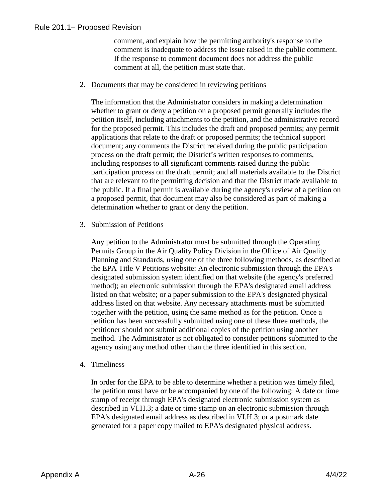comment, and explain how the permitting authority's response to the comment is inadequate to address the issue raised in the public comment. If the response to comment document does not address the public comment at all, the petition must state that.

#### 2. Documents that may be considered in reviewing petitions

The information that the Administrator considers in making a determination whether to grant or deny a petition on a proposed permit generally includes the petition itself, including attachments to the petition, and the administrative record for the proposed permit. This includes the draft and proposed permits; any permit applications that relate to the draft or proposed permits; the technical support document; any comments the District received during the public participation process on the draft permit; the District's written responses to comments, including responses to all significant comments raised during the public participation process on the draft permit; and all materials available to the District that are relevant to the permitting decision and that the District made available to the public. If a final permit is available during the agency's review of a petition on a proposed permit, that document may also be considered as part of making a determination whether to grant or deny the petition.

#### 3. Submission of Petitions

Any petition to the Administrator must be submitted through the Operating Permits Group in the Air Quality Policy Division in the Office of Air Quality Planning and Standards, using one of the three following methods, as described at the EPA Title V Petitions website: An electronic submission through the EPA's designated submission system identified on that website (the agency's preferred method); an electronic submission through the EPA's designated email address listed on that website; or a paper submission to the EPA's designated physical address listed on that website. Any necessary attachments must be submitted together with the petition, using the same method as for the petition. Once a petition has been successfully submitted using one of these three methods, the petitioner should not submit additional copies of the petition using another method. The Administrator is not obligated to consider petitions submitted to the agency using any method other than the three identified in this section.

#### 4. Timeliness

In order for the EPA to be able to determine whether a petition was timely filed, the petition must have or be accompanied by one of the following: A date or time stamp of receipt through EPA's designated electronic submission system as described in VI.H.3; a date or time stamp on an electronic submission through EPA's designated email address as described in VI.H.3; or a postmark date generated for a paper copy mailed to EPA's designated physical address.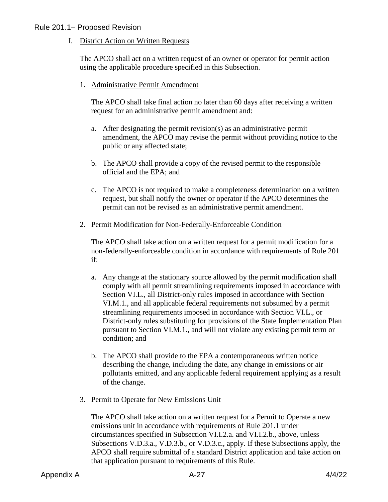I. District Action on Written Requests

The APCO shall act on a written request of an owner or operator for permit action using the applicable procedure specified in this Subsection.

1. Administrative Permit Amendment

The APCO shall take final action no later than 60 days after receiving a written request for an administrative permit amendment and:

- a. After designating the permit revision(s) as an administrative permit amendment, the APCO may revise the permit without providing notice to the public or any affected state;
- b. The APCO shall provide a copy of the revised permit to the responsible official and the EPA; and
- c. The APCO is not required to make a completeness determination on a written request, but shall notify the owner or operator if the APCO determines the permit can not be revised as an administrative permit amendment.
- 2. Permit Modification for Non-Federally-Enforceable Condition

The APCO shall take action on a written request for a permit modification for a non-federally-enforceable condition in accordance with requirements of Rule 201 if:

- a. Any change at the stationary source allowed by the permit modification shall comply with all permit streamlining requirements imposed in accordance with Section VI.L., all District-only rules imposed in accordance with Section VI.M.1., and all applicable federal requirements not subsumed by a permit streamlining requirements imposed in accordance with Section VI.L., or District-only rules substituting for provisions of the State Implementation Plan pursuant to Section VI.M.1., and will not violate any existing permit term or condition; and
- b. The APCO shall provide to the EPA a contemporaneous written notice describing the change, including the date, any change in emissions or air pollutants emitted, and any applicable federal requirement applying as a result of the change.
- 3. Permit to Operate for New Emissions Unit

The APCO shall take action on a written request for a Permit to Operate a new emissions unit in accordance with requirements of Rule 201.1 under circumstances specified in Subsection VI.I.2.a. and VI.I.2.b., above, unless Subsections V.D.3.a., V.D.3.b., or V.D.3.c., apply. If these Subsections apply, the APCO shall require submittal of a standard District application and take action on that application pursuant to requirements of this Rule.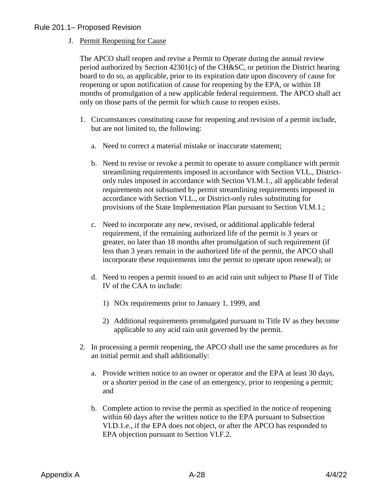#### J. Permit Reopening for Cause

The APCO shall reopen and revise a Permit to Operate during the annual review period authorized by Section 42301(c) of the CH&SC, or petition the District hearing board to do so, as applicable, prior to its expiration date upon discovery of cause for reopening or upon notification of cause for reopening by the EPA, or within 18 months of promulgation of a new applicable federal requirement. The APCO shall act only on those parts of the permit for which cause to reopen exists.

- 1. Circumstances constituting cause for reopening and revision of a permit include, but are not limited to, the following:
	- a. Need to correct a material mistake or inaccurate statement;
	- b. Need to revise or revoke a permit to operate to assure compliance with permit streamlining requirements imposed in accordance with Section VI.L., Districtonly rules imposed in accordance with Section VI.M.1., all applicable federal requirements not subsumed by permit streamlining requirements imposed in accordance with Section VI.L., or District-only rules substituting for provisions of the State Implementation Plan pursuant to Section VI.M.1.;
	- c. Need to incorporate any new, revised, or additional applicable federal requirement, if the remaining authorized life of the permit is 3 years or greater, no later than 18 months after promulgation of such requirement (if less than 3 years remain in the authorized life of the permit, the APCO shall incorporate these requirements into the permit to operate upon renewal); or
	- d. Need to reopen a permit issued to an acid rain unit subject to Phase II of Title IV of the CAA to include:
		- 1) NOx requirements prior to January 1, 1999, and
		- 2) Additional requirements promulgated pursuant to Title IV as they become applicable to any acid rain unit governed by the permit.
- 2. In processing a permit reopening, the APCO shall use the same procedures as for an initial permit and shall additionally:
	- a. Provide written notice to an owner or operator and the EPA at least 30 days, or a shorter period in the case of an emergency, prior to reopening a permit; and
	- b. Complete action to revise the permit as specified in the notice of reopening within 60 days after the written notice to the EPA pursuant to Subsection VI.D.1.e., if the EPA does not object, or after the APCO has responded to EPA objection pursuant to Section VI.F.2.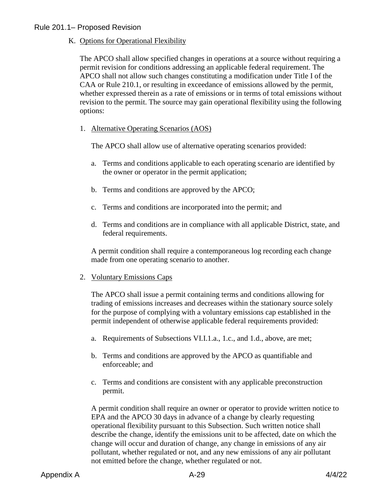K. Options for Operational Flexibility

The APCO shall allow specified changes in operations at a source without requiring a permit revision for conditions addressing an applicable federal requirement. The APCO shall not allow such changes constituting a modification under Title I of the CAA or Rule 210.1, or resulting in exceedance of emissions allowed by the permit, whether expressed therein as a rate of emissions or in terms of total emissions without revision to the permit. The source may gain operational flexibility using the following options:

1. Alternative Operating Scenarios (AOS)

The APCO shall allow use of alternative operating scenarios provided:

- a. Terms and conditions applicable to each operating scenario are identified by the owner or operator in the permit application;
- b. Terms and conditions are approved by the APCO;
- c. Terms and conditions are incorporated into the permit; and
- d. Terms and conditions are in compliance with all applicable District, state, and federal requirements.

A permit condition shall require a contemporaneous log recording each change made from one operating scenario to another.

2. Voluntary Emissions Caps

The APCO shall issue a permit containing terms and conditions allowing for trading of emissions increases and decreases within the stationary source solely for the purpose of complying with a voluntary emissions cap established in the permit independent of otherwise applicable federal requirements provided:

- a. Requirements of Subsections VI.I.1.a., 1.c., and 1.d., above, are met;
- b. Terms and conditions are approved by the APCO as quantifiable and enforceable; and
- c. Terms and conditions are consistent with any applicable preconstruction permit.

A permit condition shall require an owner or operator to provide written notice to EPA and the APCO 30 days in advance of a change by clearly requesting operational flexibility pursuant to this Subsection. Such written notice shall describe the change, identify the emissions unit to be affected, date on which the change will occur and duration of change, any change in emissions of any air pollutant, whether regulated or not, and any new emissions of any air pollutant not emitted before the change, whether regulated or not.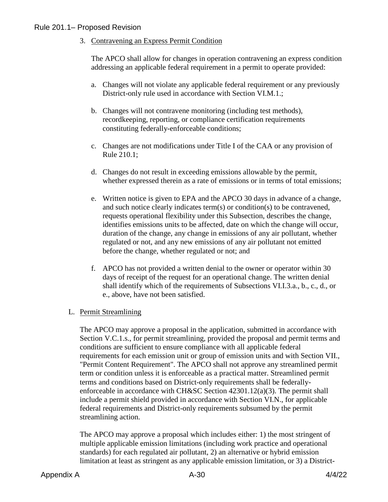3. Contravening an Express Permit Condition

The APCO shall allow for changes in operation contravening an express condition addressing an applicable federal requirement in a permit to operate provided:

- a. Changes will not violate any applicable federal requirement or any previously District-only rule used in accordance with Section VI.M.1.;
- b. Changes will not contravene monitoring (including test methods), recordkeeping, reporting, or compliance certification requirements constituting federally-enforceable conditions;
- c. Changes are not modifications under Title I of the CAA or any provision of Rule 210.1;
- d. Changes do not result in exceeding emissions allowable by the permit, whether expressed therein as a rate of emissions or in terms of total emissions;
- e. Written notice is given to EPA and the APCO 30 days in advance of a change, and such notice clearly indicates term(s) or condition(s) to be contravened, requests operational flexibility under this Subsection, describes the change, identifies emissions units to be affected, date on which the change will occur, duration of the change, any change in emissions of any air pollutant, whether regulated or not, and any new emissions of any air pollutant not emitted before the change, whether regulated or not; and
- f. APCO has not provided a written denial to the owner or operator within 30 days of receipt of the request for an operational change. The written denial shall identify which of the requirements of Subsections VI.I.3.a., b., c., d., or e., above, have not been satisfied.

## L. Permit Streamlining

The APCO may approve a proposal in the application, submitted in accordance with Section V.C.1.s., for permit streamlining, provided the proposal and permit terms and conditions are sufficient to ensure compliance with all applicable federal requirements for each emission unit or group of emission units and with Section VII., "Permit Content Requirement". The APCO shall not approve any streamlined permit term or condition unless it is enforceable as a practical matter. Streamlined permit terms and conditions based on District-only requirements shall be federallyenforceable in accordance with CH&SC Section 42301.12(a)(3). The permit shall include a permit shield provided in accordance with Section VI.N., for applicable federal requirements and District-only requirements subsumed by the permit streamlining action.

The APCO may approve a proposal which includes either: 1) the most stringent of multiple applicable emission limitations (including work practice and operational standards) for each regulated air pollutant, 2) an alternative or hybrid emission limitation at least as stringent as any applicable emission limitation, or 3) a District-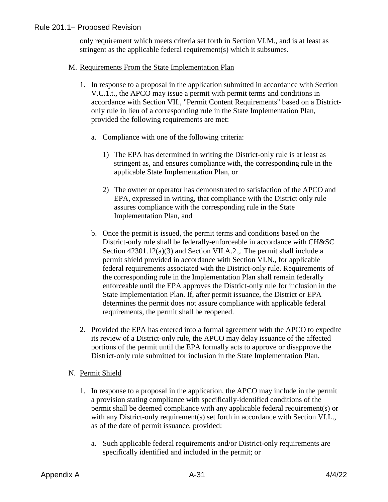only requirement which meets criteria set forth in Section VI.M., and is at least as stringent as the applicable federal requirement(s) which it subsumes.

#### M. Requirements From the State Implementation Plan

- 1. In response to a proposal in the application submitted in accordance with Section V.C.1.t., the APCO may issue a permit with permit terms and conditions in accordance with Section VII., "Permit Content Requirements" based on a Districtonly rule in lieu of a corresponding rule in the State Implementation Plan, provided the following requirements are met:
	- a. Compliance with one of the following criteria:
		- 1) The EPA has determined in writing the District-only rule is at least as stringent as, and ensures compliance with, the corresponding rule in the applicable State Implementation Plan, or
		- 2) The owner or operator has demonstrated to satisfaction of the APCO and EPA, expressed in writing, that compliance with the District only rule assures compliance with the corresponding rule in the State Implementation Plan, and
	- b. Once the permit is issued, the permit terms and conditions based on the District-only rule shall be federally-enforceable in accordance with CH&SC Section 42301.12(a)(3) and Section VII.A.2.,. The permit shall include a permit shield provided in accordance with Section VI.N., for applicable federal requirements associated with the District-only rule. Requirements of the corresponding rule in the Implementation Plan shall remain federally enforceable until the EPA approves the District-only rule for inclusion in the State Implementation Plan. If, after permit issuance, the District or EPA determines the permit does not assure compliance with applicable federal requirements, the permit shall be reopened.
- 2. Provided the EPA has entered into a formal agreement with the APCO to expedite its review of a District-only rule, the APCO may delay issuance of the affected portions of the permit until the EPA formally acts to approve or disapprove the District-only rule submitted for inclusion in the State Implementation Plan.
- N. Permit Shield
	- 1. In response to a proposal in the application, the APCO may include in the permit a provision stating compliance with specifically-identified conditions of the permit shall be deemed compliance with any applicable federal requirement(s) or with any District-only requirement(s) set forth in accordance with Section VI.L., as of the date of permit issuance, provided:
		- a. Such applicable federal requirements and/or District-only requirements are specifically identified and included in the permit; or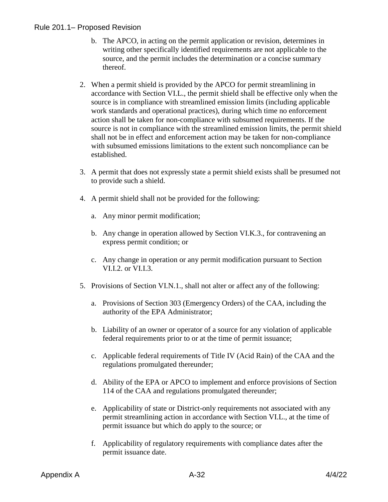- b. The APCO, in acting on the permit application or revision, determines in writing other specifically identified requirements are not applicable to the source, and the permit includes the determination or a concise summary thereof.
- 2. When a permit shield is provided by the APCO for permit streamlining in accordance with Section VI.L., the permit shield shall be effective only when the source is in compliance with streamlined emission limits (including applicable work standards and operational practices), during which time no enforcement action shall be taken for non-compliance with subsumed requirements. If the source is not in compliance with the streamlined emission limits, the permit shield shall not be in effect and enforcement action may be taken for non-compliance with subsumed emissions limitations to the extent such noncompliance can be established.
- 3. A permit that does not expressly state a permit shield exists shall be presumed not to provide such a shield.
- 4. A permit shield shall not be provided for the following:
	- a. Any minor permit modification;
	- b. Any change in operation allowed by Section VI.K.3., for contravening an express permit condition; or
	- c. Any change in operation or any permit modification pursuant to Section VI.I.2. or VI.I.3.
- 5. Provisions of Section VI.N.1., shall not alter or affect any of the following:
	- a. Provisions of Section 303 (Emergency Orders) of the CAA, including the authority of the EPA Administrator;
	- b. Liability of an owner or operator of a source for any violation of applicable federal requirements prior to or at the time of permit issuance;
	- c. Applicable federal requirements of Title IV (Acid Rain) of the CAA and the regulations promulgated thereunder;
	- d. Ability of the EPA or APCO to implement and enforce provisions of Section 114 of the CAA and regulations promulgated thereunder;
	- e. Applicability of state or District-only requirements not associated with any permit streamlining action in accordance with Section VI.L., at the time of permit issuance but which do apply to the source; or
	- f. Applicability of regulatory requirements with compliance dates after the permit issuance date.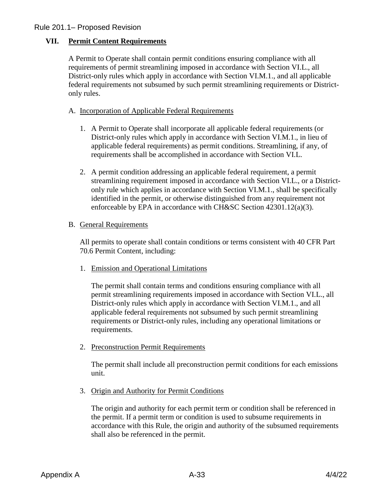## **VII. Permit Content Requirements**

A Permit to Operate shall contain permit conditions ensuring compliance with all requirements of permit streamlining imposed in accordance with Section VI.L., all District-only rules which apply in accordance with Section VI.M.1., and all applicable federal requirements not subsumed by such permit streamlining requirements or Districtonly rules.

- A. Incorporation of Applicable Federal Requirements
	- 1. A Permit to Operate shall incorporate all applicable federal requirements (or District-only rules which apply in accordance with Section VI.M.1., in lieu of applicable federal requirements) as permit conditions. Streamlining, if any, of requirements shall be accomplished in accordance with Section VI.L.
	- 2. A permit condition addressing an applicable federal requirement, a permit streamlining requirement imposed in accordance with Section VI.L., or a Districtonly rule which applies in accordance with Section VI.M.1., shall be specifically identified in the permit, or otherwise distinguished from any requirement not enforceable by EPA in accordance with CH&SC Section 42301.12(a)(3).
- B. General Requirements

All permits to operate shall contain conditions or terms consistent with 40 CFR Part 70.6 Permit Content, including:

1. Emission and Operational Limitations

The permit shall contain terms and conditions ensuring compliance with all permit streamlining requirements imposed in accordance with Section VI.L., all District-only rules which apply in accordance with Section VI.M.1., and all applicable federal requirements not subsumed by such permit streamlining requirements or District-only rules, including any operational limitations or requirements.

2. Preconstruction Permit Requirements

The permit shall include all preconstruction permit conditions for each emissions unit.

3. Origin and Authority for Permit Conditions

The origin and authority for each permit term or condition shall be referenced in the permit. If a permit term or condition is used to subsume requirements in accordance with this Rule, the origin and authority of the subsumed requirements shall also be referenced in the permit.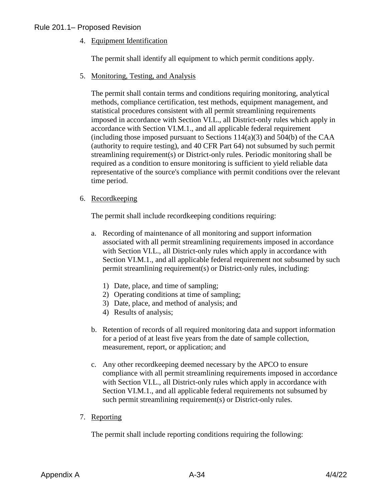4. Equipment Identification

The permit shall identify all equipment to which permit conditions apply.

5. Monitoring, Testing, and Analysis

The permit shall contain terms and conditions requiring monitoring, analytical methods, compliance certification, test methods, equipment management, and statistical procedures consistent with all permit streamlining requirements imposed in accordance with Section VI.L., all District-only rules which apply in accordance with Section VI.M.1., and all applicable federal requirement (including those imposed pursuant to Sections  $114(a)(3)$  and  $504(b)$  of the CAA (authority to require testing), and 40 CFR Part 64) not subsumed by such permit streamlining requirement(s) or District-only rules. Periodic monitoring shall be required as a condition to ensure monitoring is sufficient to yield reliable data representative of the source's compliance with permit conditions over the relevant time period.

#### 6. Recordkeeping

The permit shall include recordkeeping conditions requiring:

- a. Recording of maintenance of all monitoring and support information associated with all permit streamlining requirements imposed in accordance with Section VI.L., all District-only rules which apply in accordance with Section VI.M.1., and all applicable federal requirement not subsumed by such permit streamlining requirement(s) or District-only rules, including:
	- 1) Date, place, and time of sampling;
	- 2) Operating conditions at time of sampling;
	- 3) Date, place, and method of analysis; and
	- 4) Results of analysis;
- b. Retention of records of all required monitoring data and support information for a period of at least five years from the date of sample collection, measurement, report, or application; and
- c. Any other recordkeeping deemed necessary by the APCO to ensure compliance with all permit streamlining requirements imposed in accordance with Section VI.L., all District-only rules which apply in accordance with Section VI.M.1., and all applicable federal requirements not subsumed by such permit streamlining requirement(s) or District-only rules.
- 7. Reporting

The permit shall include reporting conditions requiring the following: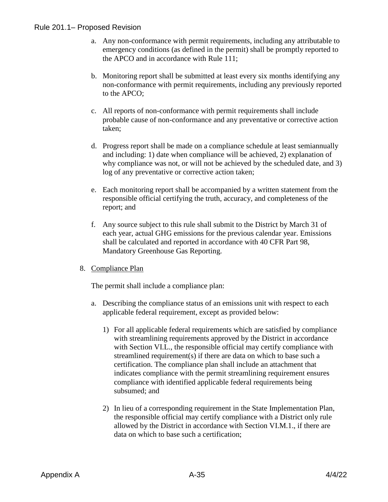- a. Any non-conformance with permit requirements, including any attributable to emergency conditions (as defined in the permit) shall be promptly reported to the APCO and in accordance with Rule 111;
- b. Monitoring report shall be submitted at least every six months identifying any non-conformance with permit requirements, including any previously reported to the APCO;
- c. All reports of non-conformance with permit requirements shall include probable cause of non-conformance and any preventative or corrective action taken;
- d. Progress report shall be made on a compliance schedule at least semiannually and including: 1) date when compliance will be achieved, 2) explanation of why compliance was not, or will not be achieved by the scheduled date, and 3) log of any preventative or corrective action taken;
- e. Each monitoring report shall be accompanied by a written statement from the responsible official certifying the truth, accuracy, and completeness of the report; and
- f. Any source subject to this rule shall submit to the District by March 31 of each year, actual GHG emissions for the previous calendar year. Emissions shall be calculated and reported in accordance with 40 CFR Part 98, Mandatory Greenhouse Gas Reporting.
- 8. Compliance Plan

The permit shall include a compliance plan:

- a. Describing the compliance status of an emissions unit with respect to each applicable federal requirement, except as provided below:
	- 1) For all applicable federal requirements which are satisfied by compliance with streamlining requirements approved by the District in accordance with Section VI.L., the responsible official may certify compliance with streamlined requirement(s) if there are data on which to base such a certification. The compliance plan shall include an attachment that indicates compliance with the permit streamlining requirement ensures compliance with identified applicable federal requirements being subsumed; and
	- 2) In lieu of a corresponding requirement in the State Implementation Plan, the responsible official may certify compliance with a District only rule allowed by the District in accordance with Section VI.M.1., if there are data on which to base such a certification;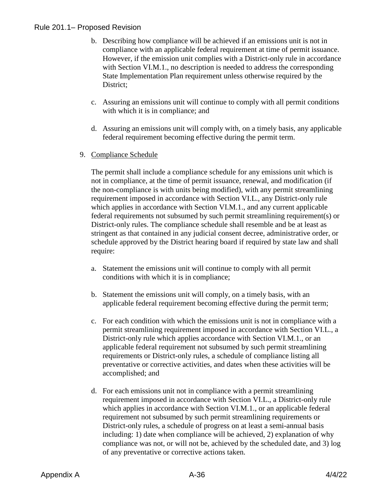- b. Describing how compliance will be achieved if an emissions unit is not in compliance with an applicable federal requirement at time of permit issuance. However, if the emission unit complies with a District-only rule in accordance with Section VI.M.1., no description is needed to address the corresponding State Implementation Plan requirement unless otherwise required by the District;
- c. Assuring an emissions unit will continue to comply with all permit conditions with which it is in compliance; and
- d. Assuring an emissions unit will comply with, on a timely basis, any applicable federal requirement becoming effective during the permit term.
- 9. Compliance Schedule

The permit shall include a compliance schedule for any emissions unit which is not in compliance, at the time of permit issuance, renewal, and modification (if the non-compliance is with units being modified), with any permit streamlining requirement imposed in accordance with Section VI.L., any District-only rule which applies in accordance with Section VI.M.1., and any current applicable federal requirements not subsumed by such permit streamlining requirement(s) or District-only rules. The compliance schedule shall resemble and be at least as stringent as that contained in any judicial consent decree, administrative order, or schedule approved by the District hearing board if required by state law and shall require:

- a. Statement the emissions unit will continue to comply with all permit conditions with which it is in compliance;
- b. Statement the emissions unit will comply, on a timely basis, with an applicable federal requirement becoming effective during the permit term;
- c. For each condition with which the emissions unit is not in compliance with a permit streamlining requirement imposed in accordance with Section VI.L., a District-only rule which applies accordance with Section VI.M.1., or an applicable federal requirement not subsumed by such permit streamlining requirements or District-only rules, a schedule of compliance listing all preventative or corrective activities, and dates when these activities will be accomplished; and
- d. For each emissions unit not in compliance with a permit streamlining requirement imposed in accordance with Section VI.L., a District-only rule which applies in accordance with Section VI.M.1., or an applicable federal requirement not subsumed by such permit streamlining requirements or District-only rules, a schedule of progress on at least a semi-annual basis including: 1) date when compliance will be achieved, 2) explanation of why compliance was not, or will not be, achieved by the scheduled date, and 3) log of any preventative or corrective actions taken.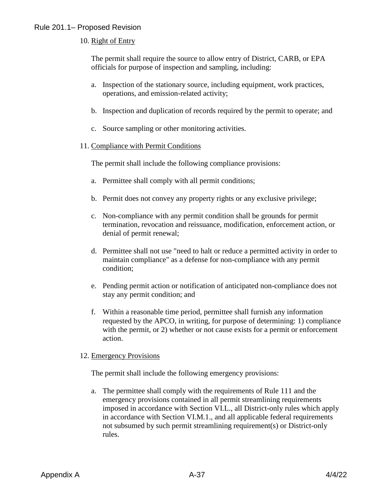## 10. Right of Entry

The permit shall require the source to allow entry of District, CARB, or EPA officials for purpose of inspection and sampling, including:

- a. Inspection of the stationary source, including equipment, work practices, operations, and emission-related activity;
- b. Inspection and duplication of records required by the permit to operate; and
- c. Source sampling or other monitoring activities.

#### 11. Compliance with Permit Conditions

The permit shall include the following compliance provisions:

- a. Permittee shall comply with all permit conditions;
- b. Permit does not convey any property rights or any exclusive privilege;
- c. Non-compliance with any permit condition shall be grounds for permit termination, revocation and reissuance, modification, enforcement action, or denial of permit renewal;
- d. Permittee shall not use "need to halt or reduce a permitted activity in order to maintain compliance" as a defense for non-compliance with any permit condition;
- e. Pending permit action or notification of anticipated non-compliance does not stay any permit condition; and
- f. Within a reasonable time period, permittee shall furnish any information requested by the APCO, in writing, for purpose of determining: 1) compliance with the permit, or 2) whether or not cause exists for a permit or enforcement action.

#### 12. Emergency Provisions

The permit shall include the following emergency provisions:

a. The permittee shall comply with the requirements of Rule 111 and the emergency provisions contained in all permit streamlining requirements imposed in accordance with Section VI.L., all District-only rules which apply in accordance with Section VI.M.1., and all applicable federal requirements not subsumed by such permit streamlining requirement(s) or District-only rules.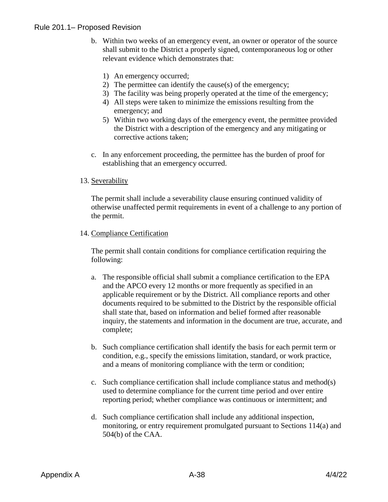- b. Within two weeks of an emergency event, an owner or operator of the source shall submit to the District a properly signed, contemporaneous log or other relevant evidence which demonstrates that:
	- 1) An emergency occurred;
	- 2) The permittee can identify the cause(s) of the emergency;
	- 3) The facility was being properly operated at the time of the emergency;
	- 4) All steps were taken to minimize the emissions resulting from the emergency; and
	- 5) Within two working days of the emergency event, the permittee provided the District with a description of the emergency and any mitigating or corrective actions taken;
- c. In any enforcement proceeding, the permittee has the burden of proof for establishing that an emergency occurred.

#### 13. Severability

The permit shall include a severability clause ensuring continued validity of otherwise unaffected permit requirements in event of a challenge to any portion of the permit.

#### 14. Compliance Certification

The permit shall contain conditions for compliance certification requiring the following:

- a. The responsible official shall submit a compliance certification to the EPA and the APCO every 12 months or more frequently as specified in an applicable requirement or by the District. All compliance reports and other documents required to be submitted to the District by the responsible official shall state that, based on information and belief formed after reasonable inquiry, the statements and information in the document are true, accurate, and complete;
- b. Such compliance certification shall identify the basis for each permit term or condition, e.g., specify the emissions limitation, standard, or work practice, and a means of monitoring compliance with the term or condition;
- c. Such compliance certification shall include compliance status and method(s) used to determine compliance for the current time period and over entire reporting period; whether compliance was continuous or intermittent; and
- d. Such compliance certification shall include any additional inspection, monitoring, or entry requirement promulgated pursuant to Sections 114(a) and 504(b) of the CAA.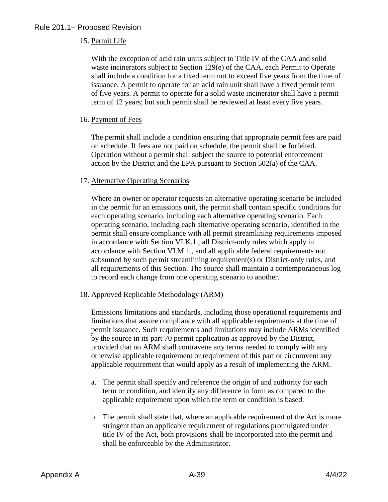## 15. Permit Life

With the exception of acid rain units subject to Title IV of the CAA and solid waste incinerators subject to Section 129(e) of the CAA, each Permit to Operate shall include a condition for a fixed term not to exceed five years from the time of issuance. A permit to operate for an acid rain unit shall have a fixed permit term of five years. A permit to operate for a solid waste incinerator shall have a permit term of 12 years; but such permit shall be reviewed at least every five years.

## 16. Payment of Fees

The permit shall include a condition ensuring that appropriate permit fees are paid on schedule. If fees are not paid on schedule, the permit shall be forfeited. Operation without a permit shall subject the source to potential enforcement action by the District and the EPA pursuant to Section 502(a) of the CAA.

#### 17. Alternative Operating Scenarios

Where an owner or operator requests an alternative operating scenario be included in the permit for an emissions unit, the permit shall contain specific conditions for each operating scenario, including each alternative operating scenario. Each operating scenario, including each alternative operating scenario, identified in the permit shall ensure compliance with all permit streamlining requirements imposed in accordance with Section VI.K.1., all District-only rules which apply in accordance with Section VI.M.1., and all applicable federal requirements not subsumed by such permit streamlining requirement(s) or District-only rules, and all requirements of this Section. The source shall maintain a contemporaneous log to record each change from one operating scenario to another.

## 18. Approved Replicable Methodology (ARM)

Emissions limitations and standards, including those operational requirements and limitations that assure compliance with all applicable requirements at the time of permit issuance. Such requirements and limitations may include ARMs identified by the source in its part 70 permit application as approved by the District, provided that no ARM shall contravene any terms needed to comply with any otherwise applicable requirement or requirement of this part or circumvent any applicable requirement that would apply as a result of implementing the ARM.

- a. The permit shall specify and reference the origin of and authority for each term or condition, and identify any difference in form as compared to the applicable requirement upon which the term or condition is based.
- b. The permit shall state that, where an applicable requirement of the Act is more stringent than an applicable requirement of regulations promulgated under title IV of the Act, both provisions shall be incorporated into the permit and shall be enforceable by the Administrator.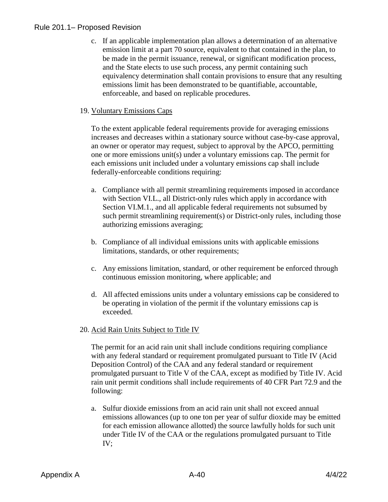c. If an applicable implementation plan allows a determination of an alternative emission limit at a part 70 source, equivalent to that contained in the plan, to be made in the permit issuance, renewal, or significant modification process, and the State elects to use such process, any permit containing such equivalency determination shall contain provisions to ensure that any resulting emissions limit has been demonstrated to be quantifiable, accountable, enforceable, and based on replicable procedures.

## 19. Voluntary Emissions Caps

To the extent applicable federal requirements provide for averaging emissions increases and decreases within a stationary source without case-by-case approval, an owner or operator may request, subject to approval by the APCO, permitting one or more emissions unit(s) under a voluntary emissions cap. The permit for each emissions unit included under a voluntary emissions cap shall include federally-enforceable conditions requiring:

- a. Compliance with all permit streamlining requirements imposed in accordance with Section VI.L., all District-only rules which apply in accordance with Section VI.M.1., and all applicable federal requirements not subsumed by such permit streamlining requirement(s) or District-only rules, including those authorizing emissions averaging;
- b. Compliance of all individual emissions units with applicable emissions limitations, standards, or other requirements;
- c. Any emissions limitation, standard, or other requirement be enforced through continuous emission monitoring, where applicable; and
- d. All affected emissions units under a voluntary emissions cap be considered to be operating in violation of the permit if the voluntary emissions cap is exceeded.

## 20. Acid Rain Units Subject to Title IV

The permit for an acid rain unit shall include conditions requiring compliance with any federal standard or requirement promulgated pursuant to Title IV (Acid Deposition Control) of the CAA and any federal standard or requirement promulgated pursuant to Title V of the CAA, except as modified by Title IV. Acid rain unit permit conditions shall include requirements of 40 CFR Part 72.9 and the following:

a. Sulfur dioxide emissions from an acid rain unit shall not exceed annual emissions allowances (up to one ton per year of sulfur dioxide may be emitted for each emission allowance allotted) the source lawfully holds for such unit under Title IV of the CAA or the regulations promulgated pursuant to Title IV;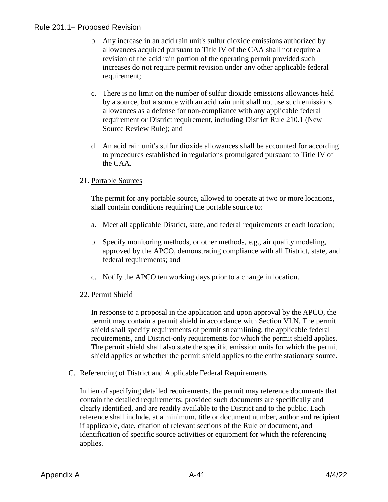- b. Any increase in an acid rain unit's sulfur dioxide emissions authorized by allowances acquired pursuant to Title IV of the CAA shall not require a revision of the acid rain portion of the operating permit provided such increases do not require permit revision under any other applicable federal requirement;
- c. There is no limit on the number of sulfur dioxide emissions allowances held by a source, but a source with an acid rain unit shall not use such emissions allowances as a defense for non-compliance with any applicable federal requirement or District requirement, including District Rule 210.1 (New Source Review Rule); and
- d. An acid rain unit's sulfur dioxide allowances shall be accounted for according to procedures established in regulations promulgated pursuant to Title IV of the CAA.

## 21. Portable Sources

The permit for any portable source, allowed to operate at two or more locations, shall contain conditions requiring the portable source to:

- a. Meet all applicable District, state, and federal requirements at each location;
- b. Specify monitoring methods, or other methods, e.g., air quality modeling, approved by the APCO, demonstrating compliance with all District, state, and federal requirements; and
- c. Notify the APCO ten working days prior to a change in location.

## 22. Permit Shield

In response to a proposal in the application and upon approval by the APCO, the permit may contain a permit shield in accordance with Section VI.N. The permit shield shall specify requirements of permit streamlining, the applicable federal requirements, and District-only requirements for which the permit shield applies. The permit shield shall also state the specific emission units for which the permit shield applies or whether the permit shield applies to the entire stationary source.

## C. Referencing of District and Applicable Federal Requirements

In lieu of specifying detailed requirements, the permit may reference documents that contain the detailed requirements; provided such documents are specifically and clearly identified, and are readily available to the District and to the public. Each reference shall include, at a minimum, title or document number, author and recipient if applicable, date, citation of relevant sections of the Rule or document, and identification of specific source activities or equipment for which the referencing applies.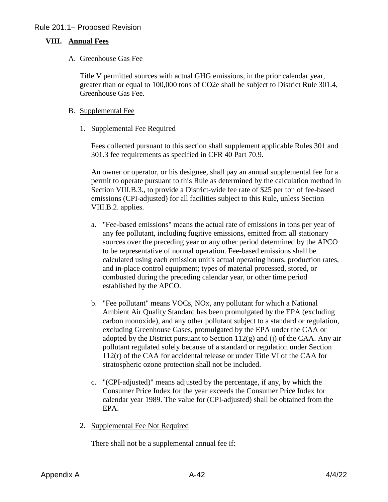## **VIII. Annual Fees**

#### A. Greenhouse Gas Fee

Title V permitted sources with actual GHG emissions, in the prior calendar year, greater than or equal to 100,000 tons of CO2e shall be subject to District Rule 301.4, Greenhouse Gas Fee.

#### B. Supplemental Fee

#### 1. Supplemental Fee Required

Fees collected pursuant to this section shall supplement applicable Rules 301 and 301.3 fee requirements as specified in CFR 40 Part 70.9.

An owner or operator, or his designee, shall pay an annual supplemental fee for a permit to operate pursuant to this Rule as determined by the calculation method in Section VIII.B.3., to provide a District-wide fee rate of \$25 per ton of fee-based emissions (CPI-adjusted) for all facilities subject to this Rule, unless Section VIII.B.2. applies.

- a. "Fee-based emissions" means the actual rate of emissions in tons per year of any fee pollutant, including fugitive emissions, emitted from all stationary sources over the preceding year or any other period determined by the APCO to be representative of normal operation. Fee-based emissions shall be calculated using each emission unit's actual operating hours, production rates, and in-place control equipment; types of material processed, stored, or combusted during the preceding calendar year, or other time period established by the APCO.
- b. "Fee pollutant" means VOCs, NOx, any pollutant for which a National Ambient Air Quality Standard has been promulgated by the EPA (excluding carbon monoxide), and any other pollutant subject to a standard or regulation, excluding Greenhouse Gases, promulgated by the EPA under the CAA or adopted by the District pursuant to Section  $112(g)$  and (j) of the CAA. Any air pollutant regulated solely because of a standard or regulation under Section 112(r) of the CAA for accidental release or under Title VI of the CAA for stratospheric ozone protection shall not be included.
- c. "(CPI-adjusted)" means adjusted by the percentage, if any, by which the Consumer Price Index for the year exceeds the Consumer Price Index for calendar year 1989. The value for (CPI-adjusted) shall be obtained from the EPA.
- 2. Supplemental Fee Not Required

There shall not be a supplemental annual fee if: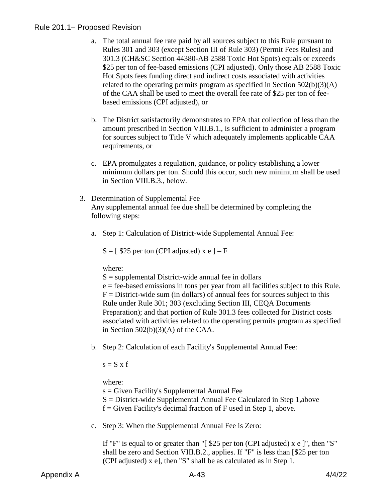- a. The total annual fee rate paid by all sources subject to this Rule pursuant to Rules 301 and 303 (except Section III of Rule 303) (Permit Fees Rules) and 301.3 (CH&SC Section 44380-AB 2588 Toxic Hot Spots) equals or exceeds \$25 per ton of fee-based emissions (CPI adjusted). Only those AB 2588 Toxic Hot Spots fees funding direct and indirect costs associated with activities related to the operating permits program as specified in Section 502(b)(3)(A) of the CAA shall be used to meet the overall fee rate of \$25 per ton of feebased emissions (CPI adjusted), or
- b. The District satisfactorily demonstrates to EPA that collection of less than the amount prescribed in Section VIII.B.1., is sufficient to administer a program for sources subject to Title V which adequately implements applicable CAA requirements, or
- c. EPA promulgates a regulation, guidance, or policy establishing a lower minimum dollars per ton. Should this occur, such new minimum shall be used in Section VIII.B.3., below.
- 3. Determination of Supplemental Fee Any supplemental annual fee due shall be determined by completing the following steps:
	- a. Step 1: Calculation of District-wide Supplemental Annual Fee:

 $S = [$  \$25 per ton (CPI adjusted) x e ] – F

where:

 $S =$  supplemental District-wide annual fee in dollars

e = fee-based emissions in tons per year from all facilities subject to this Rule.  $F =$  District-wide sum (in dollars) of annual fees for sources subject to this Rule under Rule 301; 303 (excluding Section III, CEQA Documents Preparation); and that portion of Rule 301.3 fees collected for District costs associated with activities related to the operating permits program as specified in Section  $502(b)(3)(A)$  of the CAA.

b. Step 2: Calculation of each Facility's Supplemental Annual Fee:

 $s = S \times f$ 

where:

 $s = Given Facility's Supplemental Annual Fee$ 

S = District-wide Supplemental Annual Fee Calculated in Step 1,above

 $f =$  Given Facility's decimal fraction of F used in Step 1, above.

c. Step 3: When the Supplemental Annual Fee is Zero:

If "F" is equal to or greater than " $\lceil \$25 \rceil$  per ton (CPI adjusted) x e ]", then "S" shall be zero and Section VIII.B.2., applies. If "F" is less than [\$25 per ton (CPI adjusted) x e], then "S" shall be as calculated as in Step 1.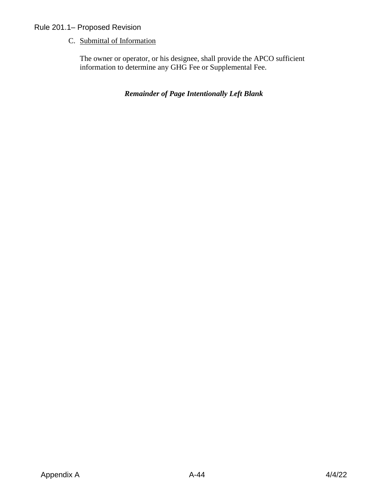C. Submittal of Information

The owner or operator, or his designee, shall provide the APCO sufficient information to determine any GHG Fee or Supplemental Fee.

*Remainder of Page Intentionally Left Blank*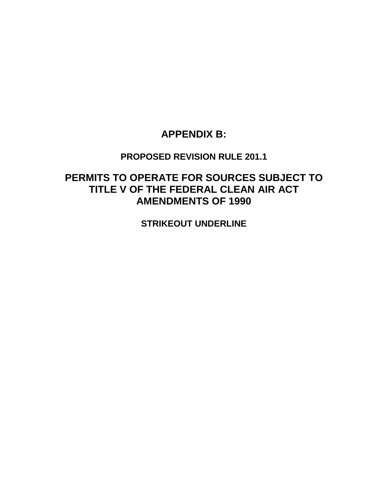## **APPENDIX B:**

## **PROPOSED REVISION RULE 201.1**

# **PERMITS TO OPERATE FOR SOURCES SUBJECT TO TITLE V OF THE FEDERAL CLEAN AIR ACT AMENDMENTS OF 1990**

**STRIKEOUT UNDERLINE**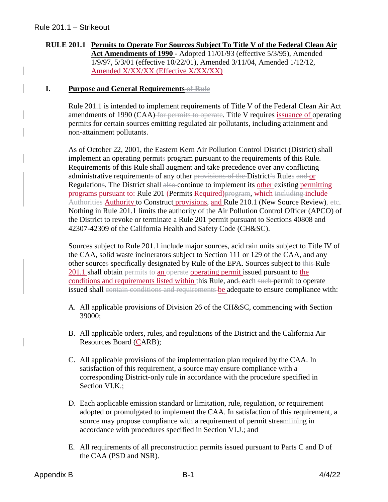## **RULE 201.1 Permits to Operate For Sources Subject To Title V of the Federal Clean Air Act Amendments of 1990** - Adopted 11/01/93 (effective 5/3/95), Amended 1/9/97, 5/3/01 (effective 10/22/01), Amended 3/11/04, Amended 1/12/12, Amended X/XX/XX (Effective X/XX/XX)

## **I. Purpose and General Requirements of Rule**

Rule 201.1 is intended to implement requirements of Title V of the Federal Clean Air Act amendments of 1990 (CAA) for permits to operate. Title V requires issuance of operating permits for certain sources emitting regulated air pollutants, including attainment and non-attainment pollutants.

As of October 22, 2001, the Eastern Kern Air Pollution Control District (District) shall implement an operating permits program pursuant to the requirements of this Rule. Requirements of this Rule shall augment and take precedence over any conflicting administrative requirements of any other provisions of the District's Rules and or Regulations. The District shall also-continue to implement its other existing permitting programs pursuant to: Rule 201 (Permits Required)program, which including include Authorities Authority to Construct provisions, and Rule 210.1 (New Source Review), etc. Nothing in Rule 201.1 limits the authority of the Air Pollution Control Officer (APCO) of the District to revoke or terminate a Rule 201 permit pursuant to Sections 40808 and 42307-42309 of the California Health and Safety Code (CH&SC).

Sources subject to Rule 201.1 include major sources, acid rain units subject to Title IV of the CAA, solid waste incinerators subject to Section 111 or 129 of the CAA, and any other sources specifically designated by Rule of the EPA. Sources subject to this Rule 201.1 shall obtain permits to an operate operating permit issued pursuant to the conditions and requirements listed within this Rule, and, each such permit to operate issued shall contain conditions and requirements be adequate to ensure compliance with:

- A. All applicable provisions of Division 26 of the CH&SC, commencing with Section 39000;
- B. All applicable orders, rules, and regulations of the District and the California Air Resources Board (CARB);
- C. All applicable provisions of the implementation plan required by the CAA. In satisfaction of this requirement, a source may ensure compliance with a corresponding District-only rule in accordance with the procedure specified in Section VI.K.;
- D. Each applicable emission standard or limitation, rule, regulation, or requirement adopted or promulgated to implement the CAA. In satisfaction of this requirement, a source may propose compliance with a requirement of permit streamlining in accordance with procedures specified in Section VI.J.; and
- E. All requirements of all preconstruction permits issued pursuant to Parts C and D of the CAA (PSD and NSR).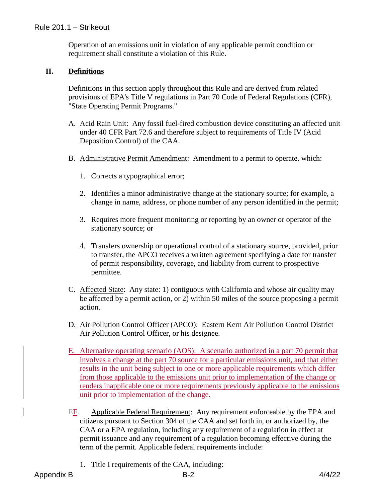Operation of an emissions unit in violation of any applicable permit condition or requirement shall constitute a violation of this Rule.

## **II. Definitions**

Definitions in this section apply throughout this Rule and are derived from related provisions of EPA's Title V regulations in Part 70 Code of Federal Regulations (CFR), "State Operating Permit Programs."

- A. Acid Rain Unit: Any fossil fuel-fired combustion device constituting an affected unit under 40 CFR Part 72.6 and therefore subject to requirements of Title IV (Acid Deposition Control) of the CAA.
- B. Administrative Permit Amendment: Amendment to a permit to operate, which:
	- 1. Corrects a typographical error;
	- 2. Identifies a minor administrative change at the stationary source; for example, a change in name, address, or phone number of any person identified in the permit;
	- 3. Requires more frequent monitoring or reporting by an owner or operator of the stationary source; or
	- 4. Transfers ownership or operational control of a stationary source, provided, prior to transfer, the APCO receives a written agreement specifying a date for transfer of permit responsibility, coverage, and liability from current to prospective permittee.
- C. Affected State: Any state: 1) contiguous with California and whose air quality may be affected by a permit action, or 2) within 50 miles of the source proposing a permit action.
- D. Air Pollution Control Officer (APCO): Eastern Kern Air Pollution Control District Air Pollution Control Officer, or his designee.
- E. Alternative operating scenario (AOS): A scenario authorized in a part 70 permit that involves a change at the part 70 source for a particular emissions unit, and that either results in the unit being subject to one or more applicable requirements which differ from those applicable to the emissions unit prior to implementation of the change or renders inapplicable one or more requirements previously applicable to the emissions unit prior to implementation of the change.
- EF. Applicable Federal Requirement: Any requirement enforceable by the EPA and citizens pursuant to Section 304 of the CAA and set forth in, or authorized by, the CAA or a EPA regulation, including any requirement of a regulation in effect at permit issuance and any requirement of a regulation becoming effective during the term of the permit. Applicable federal requirements include:
	- 1. Title I requirements of the CAA, including: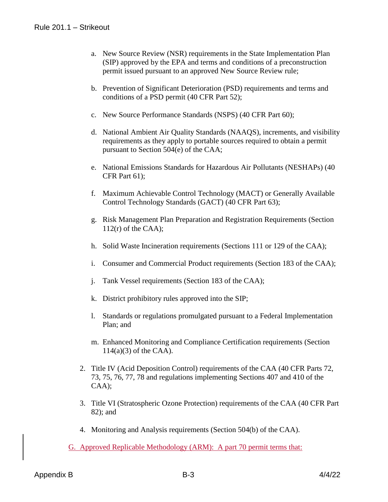- a. New Source Review (NSR) requirements in the State Implementation Plan (SIP) approved by the EPA and terms and conditions of a preconstruction permit issued pursuant to an approved New Source Review rule;
- b. Prevention of Significant Deterioration (PSD) requirements and terms and conditions of a PSD permit (40 CFR Part 52);
- c. New Source Performance Standards (NSPS) (40 CFR Part 60);
- d. National Ambient Air Quality Standards (NAAQS), increments, and visibility requirements as they apply to portable sources required to obtain a permit pursuant to Section 504(e) of the CAA;
- e. National Emissions Standards for Hazardous Air Pollutants (NESHAPs) (40 CFR Part 61);
- f. Maximum Achievable Control Technology (MACT) or Generally Available Control Technology Standards (GACT) (40 CFR Part 63);
- g. Risk Management Plan Preparation and Registration Requirements (Section  $112(r)$  of the CAA);
- h. Solid Waste Incineration requirements (Sections 111 or 129 of the CAA);
- i. Consumer and Commercial Product requirements (Section 183 of the CAA);
- j. Tank Vessel requirements (Section 183 of the CAA);
- k. District prohibitory rules approved into the SIP;
- l. Standards or regulations promulgated pursuant to a Federal Implementation Plan; and
- m. Enhanced Monitoring and Compliance Certification requirements (Section 114(a)(3) of the CAA).
- 2. Title IV (Acid Deposition Control) requirements of the CAA (40 CFR Parts 72, 73, 75, 76, 77, 78 and regulations implementing Sections 407 and 410 of the CAA);
- 3. Title VI (Stratospheric Ozone Protection) requirements of the CAA (40 CFR Part 82); and
- 4. Monitoring and Analysis requirements (Section 504(b) of the CAA).
- G. Approved Replicable Methodology (ARM): A part 70 permit terms that: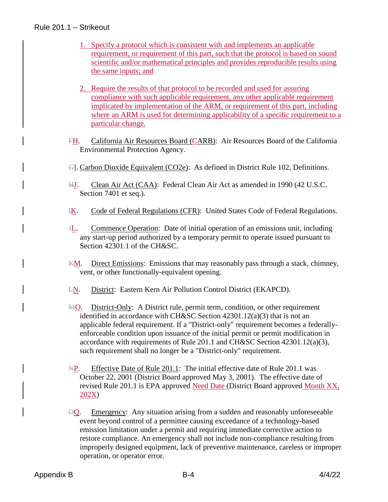## Rule 201.1 – Strikeout

- 1. Specify a protocol which is consistent with and implements an applicable requirement, or requirement of this part, such that the protocol is based on sound scientific and/or mathematical principles and provides reproducible results using the same inputs; and
- 2. Require the results of that protocol to be recorded and used for assuring compliance with such applicable requirement, any other applicable requirement implicated by implementation of the ARM, or requirement of this part, including where an ARM is used for determining applicability of a specific requirement to a particular change.
- FH. California Air Resources Board (CARB): Air Resources Board of the California Environmental Protection Agency.
- GI. Carbon Dioxide Equivalent (CO2e): As defined in District Rule 102, Definitions.
- HJ. Clean Air Act (CAA): Federal Clean Air Act as amended in 1990 (42 U.S.C. Section 7401 et seq.).
- **IK.** Code of Federal Regulations (CFR): United States Code of Federal Regulations.
- JL. Commence Operation: Date of initial operation of an emissions unit, including any start-up period authorized by a temporary permit to operate issued pursuant to Section 42301.1 of the CH&SC.
- KM. Direct Emissions: Emissions that may reasonably pass through a stack, chimney, vent, or other functionally-equivalent opening.
- LN. District: Eastern Kern Air Pollution Control District (EKAPCD).
- MO. District-Only: A District rule, permit term, condition, or other requirement identified in accordance with CH&SC Section 42301.12(a)(3) that is not an applicable federal requirement. If a "District-only" requirement becomes a federallyenforceable condition upon issuance of the initial permit or permit modification in accordance with requirements of Rule 201.1 and CH&SC Section 42301.12(a)(3), such requirement shall no longer be a "District-only" requirement.
- NP. Effective Date of Rule 201.1: The initial effective date of Rule 201.1 was October 22, 2001 (District Board approved May 3, 2001). The effective date of revised Rule 201.1 is EPA approved Need Date (District Board approved Month XX, 202X)
- $\Theta$ Q. Emergency: Any situation arising from a sudden and reasonably unforeseeable event beyond control of a permittee causing exceedance of a technology-based emission limitation under a permit and requiring immediate corrective action to restore compliance. An emergency shall not include non-compliance resulting from improperly designed equipment, lack of preventive maintenance, careless or improper operation, or operator error.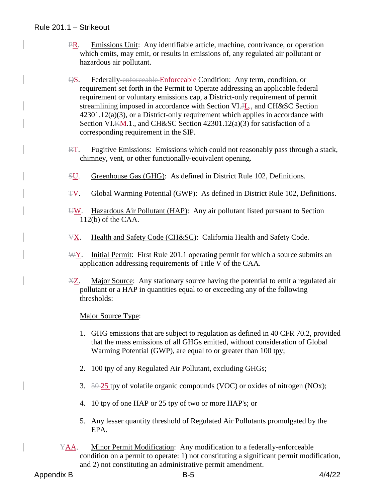- PR. Emissions Unit: Any identifiable article, machine, contrivance, or operation which emits, may emit, or results in emissions of, any regulated air pollutant or hazardous air pollutant.
- QS. Federally-enforceable Enforceable Condition: Any term, condition, or requirement set forth in the Permit to Operate addressing an applicable federal requirement or voluntary emissions cap, a District-only requirement of permit streamlining imposed in accordance with Section VI.H<sub>c</sub>, and CH&SC Section 42301.12(a)(3), or a District-only requirement which applies in accordance with Section VI.KM.1., and CH&SC Section 42301.12(a)(3) for satisfaction of a corresponding requirement in the SIP.
- RT. Fugitive Emissions: Emissions which could not reasonably pass through a stack, chimney, vent, or other functionally-equivalent opening.
- SU. Greenhouse Gas (GHG): As defined in District Rule 102, Definitions.
- TV. Global Warming Potential (GWP): As defined in District Rule 102, Definitions.
- $\overline{U}$ . Hazardous Air Pollutant (HAP): Any air pollutant listed pursuant to Section 112(b) of the CAA.
- VX. Health and Safety Code (CH&SC): California Health and Safety Code.
- WY. Initial Permit: First Rule 201.1 operating permit for which a source submits an application addressing requirements of Title V of the CAA.
- XZ. Major Source: Any stationary source having the potential to emit a regulated air pollutant or a HAP in quantities equal to or exceeding any of the following thresholds:

#### Major Source Type:

- 1. GHG emissions that are subject to regulation as defined in 40 CFR 70.2, provided that the mass emissions of all GHGs emitted, without consideration of Global Warming Potential (GWP), are equal to or greater than 100 tpy;
- 2. 100 tpy of any Regulated Air Pollutant, excluding GHGs;
- 3.  $50-25$  tpy of volatile organic compounds (VOC) or oxides of nitrogen (NOx);
- 4. 10 tpy of one HAP or 25 tpy of two or more HAP's; or
- 5. Any lesser quantity threshold of Regulated Air Pollutants promulgated by the EPA.
- YAA. Minor Permit Modification: Any modification to a federally-enforceable condition on a permit to operate: 1) not constituting a significant permit modification, and 2) not constituting an administrative permit amendment.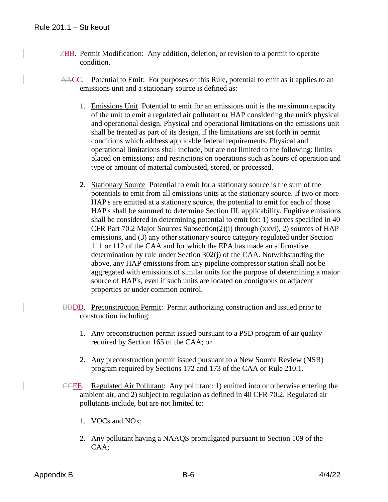- ZBB. Permit Modification: Any addition, deletion, or revision to a permit to operate condition.
- AACC. Potential to Emit: For purposes of this Rule, potential to emit as it applies to an emissions unit and a stationary source is defined as:
	- 1. Emissions Unit Potential to emit for an emissions unit is the maximum capacity of the unit to emit a regulated air pollutant or HAP considering the unit's physical and operational design. Physical and operational limitations on the emissions unit shall be treated as part of its design, if the limitations are set forth in permit conditions which address applicable federal requirements. Physical and operational limitations shall include, but are not limited to the following: limits placed on emissions; and restrictions on operations such as hours of operation and type or amount of material combusted, stored, or processed.
	- 2. Stationary Source Potential to emit for a stationary source is the sum of the potentials to emit from all emissions units at the stationary source. If two or more HAP's are emitted at a stationary source, the potential to emit for each of those HAP's shall be summed to determine Section III, applicability. Fugitive emissions shall be considered in determining potential to emit for: 1) sources specified in 40 CFR Part 70.2 Major Sources Subsection(2)(i) through (xxvi), 2) sources of HAP emissions, and (3) any other stationary source category regulated under Section 111 or 112 of the CAA and for which the EPA has made an affirmative determination by rule under Section 302(j) of the CAA. Notwithstanding the above, any HAP emissions from any pipeline compressor station shall not be aggregated with emissions of similar units for the purpose of determining a major source of HAP's, even if such units are located on contiguous or adjacent properties or under common control.
- BBDD. Preconstruction Permit: Permit authorizing construction and issued prior to construction including:
	- 1. Any preconstruction permit issued pursuant to a PSD program of air quality required by Section 165 of the CAA; or
	- 2. Any preconstruction permit issued pursuant to a New Source Review (NSR) program required by Sections 172 and 173 of the CAA or Rule 210.1.
- CCEE. Regulated Air Pollutant: Any pollutant: 1) emitted into or otherwise entering the ambient air, and 2) subject to regulation as defined in 40 CFR 70.2. Regulated air pollutants include, but are not limited to:
	- 1. VOCs and NOx;
	- 2. Any pollutant having a NAAQS promulgated pursuant to Section 109 of the CAA;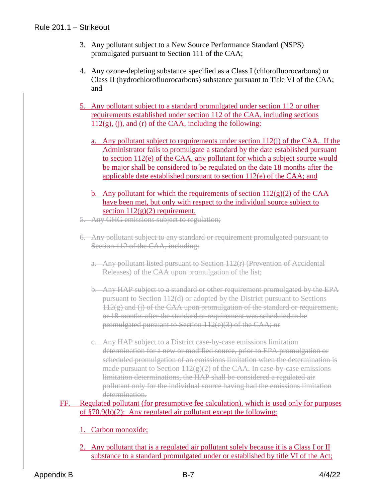- 3. Any pollutant subject to a New Source Performance Standard (NSPS) promulgated pursuant to Section 111 of the CAA;
- 4. Any ozone-depleting substance specified as a Class I (chlorofluorocarbons) or Class II (hydrochlorofluorocarbons) substance pursuant to Title VI of the CAA; and
- 5. Any pollutant subject to a standard promulgated under section 112 or other requirements established under section 112 of the CAA, including sections  $112(g)$ , (j), and (r) of the CAA, including the following:
	- a. Any pollutant subject to requirements under section  $112(i)$  of the CAA. If the Administrator fails to promulgate a standard by the date established pursuant to section 112(e) of the CAA, any pollutant for which a subject source would be major shall be considered to be regulated on the date 18 months after the applicable date established pursuant to section 112(e) of the CAA; and
	- b. Any pollutant for which the requirements of section  $112(g)(2)$  of the CAA have been met, but only with respect to the individual source subject to section  $112(g)(2)$  requirement.
- 5. Any GHG emissions subject to regulation;
- 6. Any pollutant subject to any standard or requirement promulgated pursuant to Section 112 of the CAA, including:
	- a. Any pollutant listed pursuant to Section 112(r) (Prevention of Accidental Releases) of the CAA upon promulgation of the list;
	- b. Any HAP subject to a standard or other requirement promulgated by the EPA pursuant to Section 112(d) or adopted by the District pursuant to Sections  $112(g)$  and (i) of the CAA upon promulgation of the standard or requirement, or 18 months after the standard or requirement was scheduled to be promulgated pursuant to Section 112(e)(3) of the CAA; or
	- c. Any HAP subject to a District case-by-case emissions limitation determination for a new or modified source, prior to EPA promulgation or scheduled promulgation of an emissions limitation when the determination is made pursuant to Section  $112(g)(2)$  of the CAA. In case-by-case emissions limitation determinations, the HAP shall be considered a regulated air pollutant only for the individual source having had the emissions limitation determination.

## FF. Regulated pollutant (for presumptive fee calculation), which is used only for purposes of §70.9(b)(2): Any regulated air pollutant except the following:

- 1. Carbon monoxide;
- 2. Any pollutant that is a regulated air pollutant solely because it is a Class I or II substance to a standard promulgated under or established by title VI of the Act;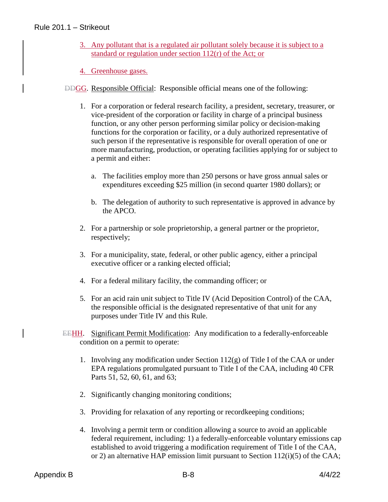- 3. Any pollutant that is a regulated air pollutant solely because it is subject to a standard or regulation under section 112(r) of the Act; or
- 4. Greenhouse gases.
- DDGG. Responsible Official: Responsible official means one of the following:
	- 1. For a corporation or federal research facility, a president, secretary, treasurer, or vice-president of the corporation or facility in charge of a principal business function, or any other person performing similar policy or decision-making functions for the corporation or facility, or a duly authorized representative of such person if the representative is responsible for overall operation of one or more manufacturing, production, or operating facilities applying for or subject to a permit and either:
		- a. The facilities employ more than 250 persons or have gross annual sales or expenditures exceeding \$25 million (in second quarter 1980 dollars); or
		- b. The delegation of authority to such representative is approved in advance by the APCO.
	- 2. For a partnership or sole proprietorship, a general partner or the proprietor, respectively;
	- 3. For a municipality, state, federal, or other public agency, either a principal executive officer or a ranking elected official;
	- 4. For a federal military facility, the commanding officer; or
	- 5. For an acid rain unit subject to Title IV (Acid Deposition Control) of the CAA, the responsible official is the designated representative of that unit for any purposes under Title IV and this Rule.
- EEHH. Significant Permit Modification: Any modification to a federally-enforceable condition on a permit to operate:
	- 1. Involving any modification under Section 112(g) of Title I of the CAA or under EPA regulations promulgated pursuant to Title I of the CAA, including 40 CFR Parts 51, 52, 60, 61, and 63;
	- 2. Significantly changing monitoring conditions;
	- 3. Providing for relaxation of any reporting or recordkeeping conditions;
	- 4. Involving a permit term or condition allowing a source to avoid an applicable federal requirement, including: 1) a federally-enforceable voluntary emissions cap established to avoid triggering a modification requirement of Title I of the CAA, or 2) an alternative HAP emission limit pursuant to Section 112(i)(5) of the CAA;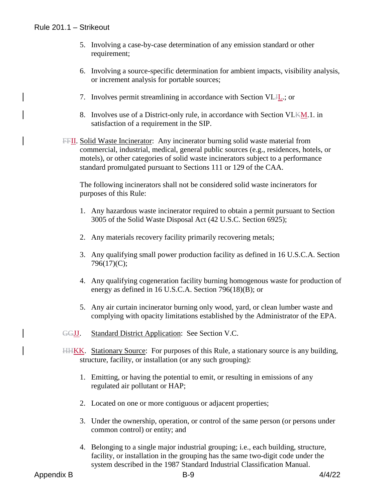- 5. Involving a case-by-case determination of any emission standard or other requirement;
- 6. Involving a source-specific determination for ambient impacts, visibility analysis, or increment analysis for portable sources;
- 7. Involves permit streamlining in accordance with Section VI.H<sub>1</sub>.; or
- 8. Involves use of a District-only rule, in accordance with Section VI.KM.1. in satisfaction of a requirement in the SIP.
- FFII. Solid Waste Incinerator: Any incinerator burning solid waste material from commercial, industrial, medical, general public sources (e.g., residences, hotels, or motels), or other categories of solid waste incinerators subject to a performance standard promulgated pursuant to Sections 111 or 129 of the CAA.

The following incinerators shall not be considered solid waste incinerators for purposes of this Rule:

- 1. Any hazardous waste incinerator required to obtain a permit pursuant to Section 3005 of the Solid Waste Disposal Act (42 U.S.C. Section 6925);
- 2. Any materials recovery facility primarily recovering metals;
- 3. Any qualifying small power production facility as defined in 16 U.S.C.A. Section 796(17)(C);
- 4. Any qualifying cogeneration facility burning homogenous waste for production of energy as defined in 16 U.S.C.A. Section 796(18)(B); or
- 5. Any air curtain incinerator burning only wood, yard, or clean lumber waste and complying with opacity limitations established by the Administrator of the EPA.
- GGJJ. Standard District Application: See Section V.C.
- HHKK. Stationary Source: For purposes of this Rule, a stationary source is any building, structure, facility, or installation (or any such grouping):
	- 1. Emitting, or having the potential to emit, or resulting in emissions of any regulated air pollutant or HAP;
	- 2. Located on one or more contiguous or adjacent properties;
	- 3. Under the ownership, operation, or control of the same person (or persons under common control) or entity; and
	- 4. Belonging to a single major industrial grouping; i.e., each building, structure, facility, or installation in the grouping has the same two-digit code under the system described in the 1987 Standard Industrial Classification Manual.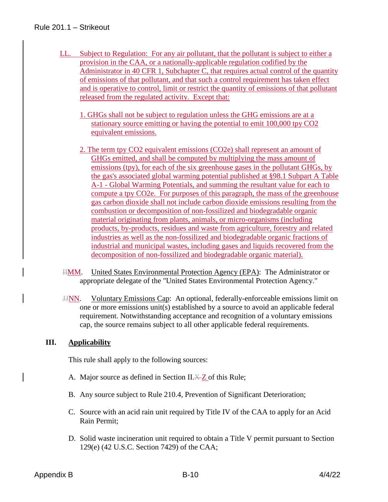## Rule 201.1 – Strikeout

- LL. Subject to Regulation: For any air pollutant, that the pollutant is subject to either a provision in the CAA, or a nationally-applicable regulation codified by the Administrator in 40 CFR 1, Subchapter C, that requires actual control of the quantity of emissions of that pollutant, and that such a control requirement has taken effect and is operative to control, limit or restrict the quantity of emissions of that pollutant released from the regulated activity. Except that:
	- 1. GHGs shall not be subject to regulation unless the GHG emissions are at a stationary source emitting or having the potential to emit 100,000 tpy CO2 equivalent emissions.
	- 2. The term tpy CO2 equivalent emissions (CO2e) shall represent an amount of GHGs emitted, and shall be computed by multiplying the mass amount of emissions (tpy), for each of the six greenhouse gases in the pollutant GHGs, by the gas's associated global warming potential published at §98.1 Subpart A Table A-1 - Global Warming Potentials, and summing the resultant value for each to compute a tpy CO2e. For purposes of this paragraph, the mass of the greenhouse gas carbon dioxide shall not include carbon dioxide emissions resulting from the combustion or decomposition of non-fossilized and biodegradable organic material originating from plants, animals, or micro-organisms (including products, by-products, residues and waste from agriculture, forestry and related industries as well as the non-fossilized and biodegradable organic fractions of industrial and municipal wastes, including gases and liquids recovered from the decomposition of non-fossilized and biodegradable organic material).
- IIMM. United States Environmental Protection Agency (EPA): The Administrator or appropriate delegate of the "United States Environmental Protection Agency."
- JJNN. Voluntary Emissions Cap: An optional, federally-enforceable emissions limit on one or more emissions unit(s) established by a source to avoid an applicable federal requirement. Notwithstanding acceptance and recognition of a voluntary emissions cap, the source remains subject to all other applicable federal requirements.

## **III. Applicability**

This rule shall apply to the following sources:

- A. Major source as defined in Section II.X-Z of this Rule;
- B. Any source subject to Rule 210.4, Prevention of Significant Deterioration;
- C. Source with an acid rain unit required by Title IV of the CAA to apply for an Acid Rain Permit;
- D. Solid waste incineration unit required to obtain a Title V permit pursuant to Section 129(e) (42 U.S.C. Section 7429) of the CAA;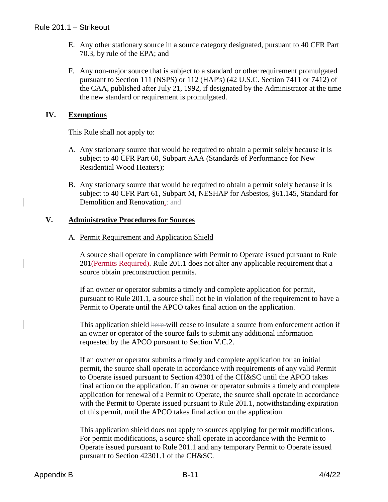- E. Any other stationary source in a source category designated, pursuant to 40 CFR Part 70.3, by rule of the EPA; and
- F. Any non-major source that is subject to a standard or other requirement promulgated pursuant to Section 111 (NSPS) or 112 (HAP's) (42 U.S.C. Section 7411 or 7412) of the CAA, published after July 21, 1992, if designated by the Administrator at the time the new standard or requirement is promulgated.

## **IV. Exemptions**

This Rule shall not apply to:

- A. Any stationary source that would be required to obtain a permit solely because it is subject to 40 CFR Part 60, Subpart AAA (Standards of Performance for New Residential Wood Heaters);
- B. Any stationary source that would be required to obtain a permit solely because it is subject to 40 CFR Part 61, Subpart M, NESHAP for Asbestos, §61.145, Standard for Demolition and Renovation.; and

## **V. Administrative Procedures for Sources**

## A. Permit Requirement and Application Shield

A source shall operate in compliance with Permit to Operate issued pursuant to Rule 201(Permits Required). Rule 201.1 does not alter any applicable requirement that a source obtain preconstruction permits.

If an owner or operator submits a timely and complete application for permit, pursuant to Rule 201.1, a source shall not be in violation of the requirement to have a Permit to Operate until the APCO takes final action on the application.

This application shield here will cease to insulate a source from enforcement action if an owner or operator of the source fails to submit any additional information requested by the APCO pursuant to Section V.C.2.

If an owner or operator submits a timely and complete application for an initial permit, the source shall operate in accordance with requirements of any valid Permit to Operate issued pursuant to Section 42301 of the CH&SC until the APCO takes final action on the application. If an owner or operator submits a timely and complete application for renewal of a Permit to Operate, the source shall operate in accordance with the Permit to Operate issued pursuant to Rule 201.1, notwithstanding expiration of this permit, until the APCO takes final action on the application.

This application shield does not apply to sources applying for permit modifications. For permit modifications, a source shall operate in accordance with the Permit to Operate issued pursuant to Rule 201.1 and any temporary Permit to Operate issued pursuant to Section 42301.1 of the CH&SC.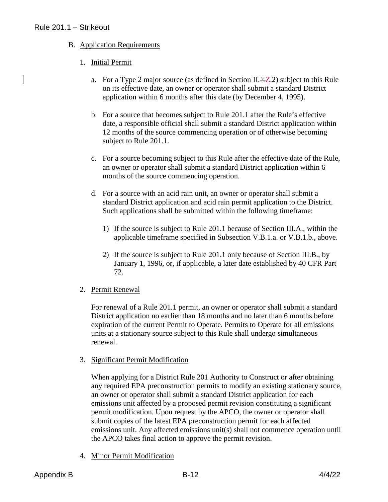## B. Application Requirements

## 1. Initial Permit

- a. For a Type 2 major source (as defined in Section II. $\angle XZ$ ) subject to this Rule on its effective date, an owner or operator shall submit a standard District application within 6 months after this date (by December 4, 1995).
- b. For a source that becomes subject to Rule 201.1 after the Rule's effective date, a responsible official shall submit a standard District application within 12 months of the source commencing operation or of otherwise becoming subject to Rule 201.1.
- c. For a source becoming subject to this Rule after the effective date of the Rule, an owner or operator shall submit a standard District application within 6 months of the source commencing operation.
- d. For a source with an acid rain unit, an owner or operator shall submit a standard District application and acid rain permit application to the District. Such applications shall be submitted within the following timeframe:
	- 1) If the source is subject to Rule 201.1 because of Section III.A., within the applicable timeframe specified in Subsection V.B.1.a. or V.B.1.b., above.
	- 2) If the source is subject to Rule 201.1 only because of Section III.B., by January 1, 1996, or, if applicable, a later date established by 40 CFR Part 72.

#### 2. Permit Renewal

For renewal of a Rule 201.1 permit, an owner or operator shall submit a standard District application no earlier than 18 months and no later than 6 months before expiration of the current Permit to Operate. Permits to Operate for all emissions units at a stationary source subject to this Rule shall undergo simultaneous renewal.

#### 3. Significant Permit Modification

When applying for a District Rule 201 Authority to Construct or after obtaining any required EPA preconstruction permits to modify an existing stationary source, an owner or operator shall submit a standard District application for each emissions unit affected by a proposed permit revision constituting a significant permit modification. Upon request by the APCO, the owner or operator shall submit copies of the latest EPA preconstruction permit for each affected emissions unit. Any affected emissions unit(s) shall not commence operation until the APCO takes final action to approve the permit revision.

4. Minor Permit Modification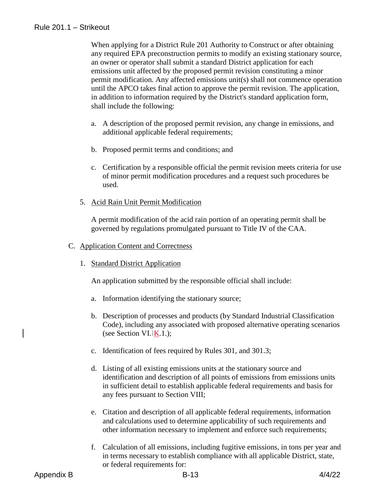When applying for a District Rule 201 Authority to Construct or after obtaining any required EPA preconstruction permits to modify an existing stationary source, an owner or operator shall submit a standard District application for each emissions unit affected by the proposed permit revision constituting a minor permit modification. Any affected emissions unit(s) shall not commence operation until the APCO takes final action to approve the permit revision. The application, in addition to information required by the District's standard application form, shall include the following:

- a. A description of the proposed permit revision, any change in emissions, and additional applicable federal requirements;
- b. Proposed permit terms and conditions; and
- c. Certification by a responsible official the permit revision meets criteria for use of minor permit modification procedures and a request such procedures be used.
- 5. Acid Rain Unit Permit Modification

A permit modification of the acid rain portion of an operating permit shall be governed by regulations promulgated pursuant to Title IV of the CAA.

#### C. Application Content and Correctness

1. Standard District Application

An application submitted by the responsible official shall include:

- a. Information identifying the stationary source;
- b. Description of processes and products (by Standard Industrial Classification Code), including any associated with proposed alternative operating scenarios (see Section VI. $K.1$ .);
- c. Identification of fees required by Rules 301, and 301.3;
- d. Listing of all existing emissions units at the stationary source and identification and description of all points of emissions from emissions units in sufficient detail to establish applicable federal requirements and basis for any fees pursuant to Section VIII;
- e. Citation and description of all applicable federal requirements, information and calculations used to determine applicability of such requirements and other information necessary to implement and enforce such requirements;
- f. Calculation of all emissions, including fugitive emissions, in tons per year and in terms necessary to establish compliance with all applicable District, state, or federal requirements for: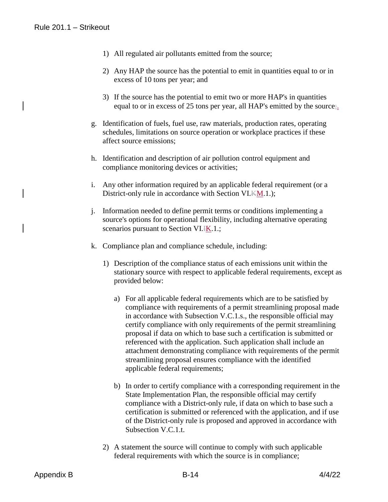- 1) All regulated air pollutants emitted from the source;
- 2) Any HAP the source has the potential to emit in quantities equal to or in excess of 10 tons per year; and
- 3) If the source has the potential to emit two or more HAP's in quantities equal to or in excess of 25 tons per year, all HAP's emitted by the source;.
- g. Identification of fuels, fuel use, raw materials, production rates, operating schedules, limitations on source operation or workplace practices if these affect source emissions;
- h. Identification and description of air pollution control equipment and compliance monitoring devices or activities;
- i. Any other information required by an applicable federal requirement (or a District-only rule in accordance with Section VI.KM.1.);
- j. Information needed to define permit terms or conditions implementing a source's options for operational flexibility, including alternative operating scenarios pursuant to Section VI.<sup>IK.1.;</sup>
- k. Compliance plan and compliance schedule, including:
	- 1) Description of the compliance status of each emissions unit within the stationary source with respect to applicable federal requirements, except as provided below:
		- a) For all applicable federal requirements which are to be satisfied by compliance with requirements of a permit streamlining proposal made in accordance with Subsection V.C.1.s., the responsible official may certify compliance with only requirements of the permit streamlining proposal if data on which to base such a certification is submitted or referenced with the application. Such application shall include an attachment demonstrating compliance with requirements of the permit streamlining proposal ensures compliance with the identified applicable federal requirements;
		- b) In order to certify compliance with a corresponding requirement in the State Implementation Plan, the responsible official may certify compliance with a District-only rule, if data on which to base such a certification is submitted or referenced with the application, and if use of the District-only rule is proposed and approved in accordance with Subsection V.C.1.t.
	- 2) A statement the source will continue to comply with such applicable federal requirements with which the source is in compliance;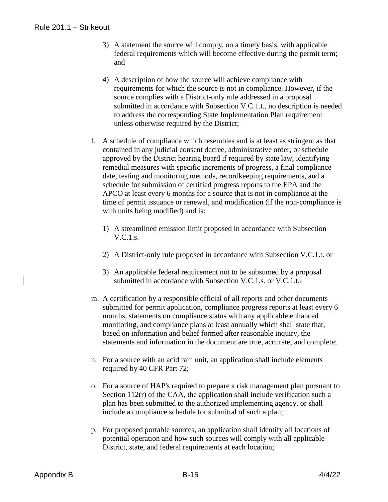## Rule 201.1 – Strikeout

- 3) A statement the source will comply, on a timely basis, with applicable federal requirements which will become effective during the permit term; and
- 4) A description of how the source will achieve compliance with requirements for which the source is not in compliance. However, if the source complies with a District-only rule addressed in a proposal submitted in accordance with Subsection V.C.1.t., no description is needed to address the corresponding State Implementation Plan requirement unless otherwise required by the District;
- l. A schedule of compliance which resembles and is at least as stringent as that contained in any judicial consent decree, administrative order, or schedule approved by the District hearing board if required by state law, identifying remedial measures with specific increments of progress, a final compliance date, testing and monitoring methods, recordkeeping requirements, and a schedule for submission of certified progress reports to the EPA and the APCO at least every 6 months for a source that is not in compliance at the time of permit issuance or renewal, and modification (if the non-compliance is with units being modified) and is:
	- 1) A streamlined emission limit proposed in accordance with Subsection V.C.1.s.
	- 2) A District-only rule proposed in accordance with Subsection V.C.1.t. or
	- 3) An applicable federal requirement not to be subsumed by a proposal submitted in accordance with Subsection V.C.1.s. or V.C.1.t.;
- m. A certification by a responsible official of all reports and other documents submitted for permit application, compliance progress reports at least every 6 months, statements on compliance status with any applicable enhanced monitoring, and compliance plans at least annually which shall state that, based on information and belief formed after reasonable inquiry, the statements and information in the document are true, accurate, and complete;
- n. For a source with an acid rain unit, an application shall include elements required by 40 CFR Part 72;
- o. For a source of HAP's required to prepare a risk management plan pursuant to Section 112(r) of the CAA, the application shall include verification such a plan has been submitted to the authorized implementing agency, or shall include a compliance schedule for submittal of such a plan;
- p. For proposed portable sources, an application shall identify all locations of potential operation and how such sources will comply with all applicable District, state, and federal requirements at each location;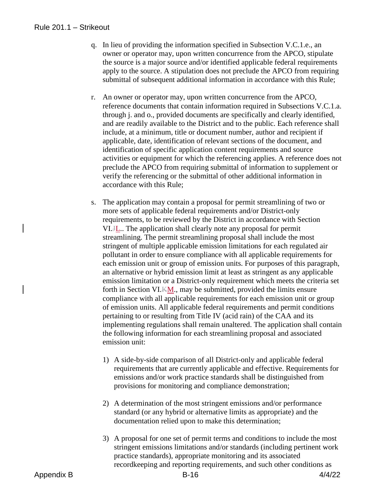#### Rule 201.1 – Strikeout

- q. In lieu of providing the information specified in Subsection V.C.1.e., an owner or operator may, upon written concurrence from the APCO, stipulate the source is a major source and/or identified applicable federal requirements apply to the source. A stipulation does not preclude the APCO from requiring submittal of subsequent additional information in accordance with this Rule;
- r. An owner or operator may, upon written concurrence from the APCO, reference documents that contain information required in Subsections V.C.1.a. through j. and o., provided documents are specifically and clearly identified, and are readily available to the District and to the public. Each reference shall include, at a minimum, title or document number, author and recipient if applicable, date, identification of relevant sections of the document, and identification of specific application content requirements and source activities or equipment for which the referencing applies. A reference does not preclude the APCO from requiring submittal of information to supplement or verify the referencing or the submittal of other additional information in accordance with this Rule;
- s. The application may contain a proposal for permit streamlining of two or more sets of applicable federal requirements and/or District-only requirements, to be reviewed by the District in accordance with Section VI.JL.. The application shall clearly note any proposal for permit streamlining. The permit streamlining proposal shall include the most stringent of multiple applicable emission limitations for each regulated air pollutant in order to ensure compliance with all applicable requirements for each emission unit or group of emission units. For purposes of this paragraph, an alternative or hybrid emission limit at least as stringent as any applicable emission limitation or a District-only requirement which meets the criteria set forth in Section VI.KM., may be submitted, provided the limits ensure compliance with all applicable requirements for each emission unit or group of emission units. All applicable federal requirements and permit conditions pertaining to or resulting from Title IV (acid rain) of the CAA and its implementing regulations shall remain unaltered. The application shall contain the following information for each streamlining proposal and associated emission unit:
	- 1) A side-by-side comparison of all District-only and applicable federal requirements that are currently applicable and effective. Requirements for emissions and/or work practice standards shall be distinguished from provisions for monitoring and compliance demonstration;
	- 2) A determination of the most stringent emissions and/or performance standard (or any hybrid or alternative limits as appropriate) and the documentation relied upon to make this determination;
	- 3) A proposal for one set of permit terms and conditions to include the most stringent emissions limitations and/or standards (including pertinent work practice standards), appropriate monitoring and its associated recordkeeping and reporting requirements, and such other conditions as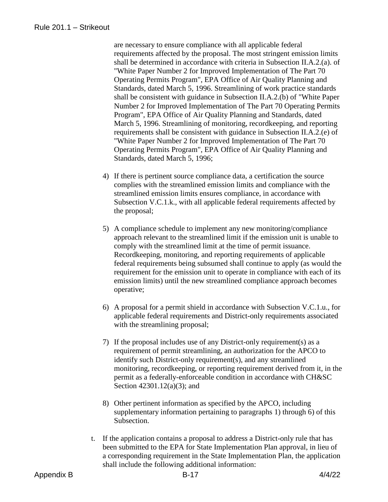are necessary to ensure compliance with all applicable federal requirements affected by the proposal. The most stringent emission limits shall be determined in accordance with criteria in Subsection II.A.2.(a). of "White Paper Number 2 for Improved Implementation of The Part 70 Operating Permits Program", EPA Office of Air Quality Planning and Standards, dated March 5, 1996. Streamlining of work practice standards shall be consistent with guidance in Subsection II.A.2.(b) of "White Paper Number 2 for Improved Implementation of The Part 70 Operating Permits Program", EPA Office of Air Quality Planning and Standards, dated March 5, 1996. Streamlining of monitoring, recordkeeping, and reporting requirements shall be consistent with guidance in Subsection II.A.2.(e) of "White Paper Number 2 for Improved Implementation of The Part 70 Operating Permits Program", EPA Office of Air Quality Planning and Standards, dated March 5, 1996;

- 4) If there is pertinent source compliance data, a certification the source complies with the streamlined emission limits and compliance with the streamlined emission limits ensures compliance, in accordance with Subsection V.C.1.k., with all applicable federal requirements affected by the proposal;
- 5) A compliance schedule to implement any new monitoring/compliance approach relevant to the streamlined limit if the emission unit is unable to comply with the streamlined limit at the time of permit issuance. Recordkeeping, monitoring, and reporting requirements of applicable federal requirements being subsumed shall continue to apply (as would the requirement for the emission unit to operate in compliance with each of its emission limits) until the new streamlined compliance approach becomes operative;
- 6) A proposal for a permit shield in accordance with Subsection V.C.1.u., for applicable federal requirements and District-only requirements associated with the streamlining proposal;
- 7) If the proposal includes use of any District-only requirement(s) as a requirement of permit streamlining, an authorization for the APCO to identify such District-only requirement(s), and any streamlined monitoring, recordkeeping, or reporting requirement derived from it, in the permit as a federally-enforceable condition in accordance with CH&SC Section 42301.12(a)(3); and
- 8) Other pertinent information as specified by the APCO, including supplementary information pertaining to paragraphs 1) through 6) of this Subsection.
- t. If the application contains a proposal to address a District-only rule that has been submitted to the EPA for State Implementation Plan approval, in lieu of a corresponding requirement in the State Implementation Plan, the application shall include the following additional information: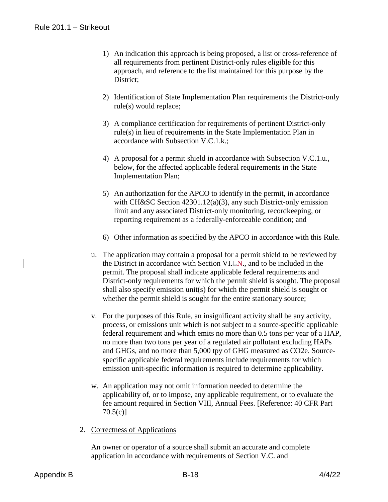- 1) An indication this approach is being proposed, a list or cross-reference of all requirements from pertinent District-only rules eligible for this approach, and reference to the list maintained for this purpose by the District;
- 2) Identification of State Implementation Plan requirements the District-only rule(s) would replace;
- 3) A compliance certification for requirements of pertinent District-only rule(s) in lieu of requirements in the State Implementation Plan in accordance with Subsection V.C.1.k.;
- 4) A proposal for a permit shield in accordance with Subsection V.C.1.u., below, for the affected applicable federal requirements in the State Implementation Plan;
- 5) An authorization for the APCO to identify in the permit, in accordance with CH&SC Section 42301.12(a)(3), any such District-only emission limit and any associated District-only monitoring, recordkeeping, or reporting requirement as a federally-enforceable condition; and
- 6) Other information as specified by the APCO in accordance with this Rule.
- u. The application may contain a proposal for a permit shield to be reviewed by the District in accordance with Section VI.LN., and to be included in the permit. The proposal shall indicate applicable federal requirements and District-only requirements for which the permit shield is sought. The proposal shall also specify emission unit(s) for which the permit shield is sought or whether the permit shield is sought for the entire stationary source;
- v. For the purposes of this Rule, an insignificant activity shall be any activity, process, or emissions unit which is not subject to a source-specific applicable federal requirement and which emits no more than 0.5 tons per year of a HAP, no more than two tons per year of a regulated air pollutant excluding HAPs and GHGs, and no more than 5,000 tpy of GHG measured as CO2e. Sourcespecific applicable federal requirements include requirements for which emission unit-specific information is required to determine applicability.
- w. An application may not omit information needed to determine the applicability of, or to impose, any applicable requirement, or to evaluate the fee amount required in Section VIII, Annual Fees. [Reference: 40 CFR Part 70.5(c)]
- 2. Correctness of Applications

An owner or operator of a source shall submit an accurate and complete application in accordance with requirements of Section V.C. and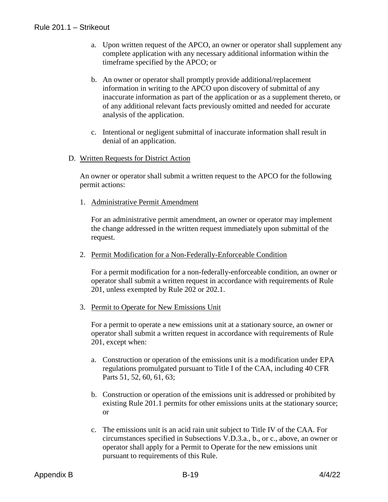- a. Upon written request of the APCO, an owner or operator shall supplement any complete application with any necessary additional information within the timeframe specified by the APCO; or
- b. An owner or operator shall promptly provide additional/replacement information in writing to the APCO upon discovery of submittal of any inaccurate information as part of the application or as a supplement thereto, or of any additional relevant facts previously omitted and needed for accurate analysis of the application.
- c. Intentional or negligent submittal of inaccurate information shall result in denial of an application.
- D. Written Requests for District Action

An owner or operator shall submit a written request to the APCO for the following permit actions:

1. Administrative Permit Amendment

For an administrative permit amendment, an owner or operator may implement the change addressed in the written request immediately upon submittal of the request.

2. Permit Modification for a Non-Federally-Enforceable Condition

For a permit modification for a non-federally-enforceable condition, an owner or operator shall submit a written request in accordance with requirements of Rule 201, unless exempted by Rule 202 or 202.1.

3. Permit to Operate for New Emissions Unit

For a permit to operate a new emissions unit at a stationary source, an owner or operator shall submit a written request in accordance with requirements of Rule 201, except when:

- a. Construction or operation of the emissions unit is a modification under EPA regulations promulgated pursuant to Title I of the CAA, including 40 CFR Parts 51, 52, 60, 61, 63;
- b. Construction or operation of the emissions unit is addressed or prohibited by existing Rule 201.1 permits for other emissions units at the stationary source; or
- c. The emissions unit is an acid rain unit subject to Title IV of the CAA. For circumstances specified in Subsections V.D.3.a., b., or c., above, an owner or operator shall apply for a Permit to Operate for the new emissions unit pursuant to requirements of this Rule.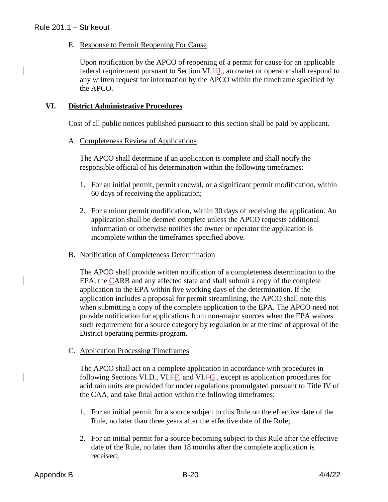E. Response to Permit Reopening For Cause

Upon notification by the APCO of reopening of a permit for cause for an applicable federal requirement pursuant to Section VI.HJ., an owner or operator shall respond to any written request for information by the APCO within the timeframe specified by the APCO.

## **VI. District Administrative Procedures**

Cost of all public notices published pursuant to this section shall be paid by applicant.

#### A. Completeness Review of Applications

The APCO shall determine if an application is complete and shall notify the responsible official of his determination within the following timeframes:

- 1. For an initial permit, permit renewal, or a significant permit modification, within 60 days of receiving the application;
- 2. For a minor permit modification, within 30 days of receiving the application. An application shall be deemed complete unless the APCO requests additional information or otherwise notifies the owner or operator the application is incomplete within the timeframes specified above.
- B. Notification of Completeness Determination

The APCO shall provide written notification of a completeness determination to the EPA, the CARB and any affected state and shall submit a copy of the complete application to the EPA within five working days of the determination. If the application includes a proposal for permit streamlining, the APCO shall note this when submitting a copy of the complete application to the EPA. The APCO need not provide notification for applications from non-major sources when the EPA waives such requirement for a source category by regulation or at the time of approval of the District operating permits program.

C. Application Processing Timeframes

The APCO shall act on a complete application in accordance with procedures in following Sections VI.D., VI.EF. and VI.FG., except as application procedures for acid rain units are provided for under regulations promulgated pursuant to Title IV of the CAA, and take final action within the following timeframes:

- 1. For an initial permit for a source subject to this Rule on the effective date of the Rule, no later than three years after the effective date of the Rule;
- 2. For an initial permit for a source becoming subject to this Rule after the effective date of the Rule, no later than 18 months after the complete application is received;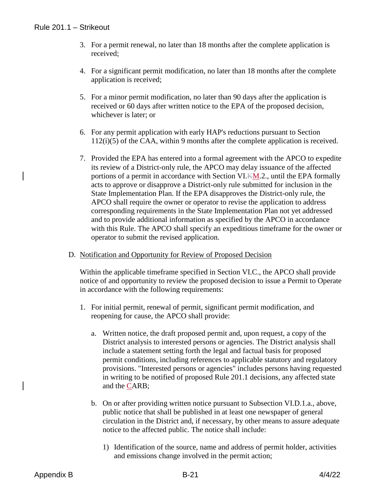- 3. For a permit renewal, no later than 18 months after the complete application is received;
- 4. For a significant permit modification, no later than 18 months after the complete application is received;
- 5. For a minor permit modification, no later than 90 days after the application is received or 60 days after written notice to the EPA of the proposed decision, whichever is later; or
- 6. For any permit application with early HAP's reductions pursuant to Section 112(i)(5) of the CAA, within 9 months after the complete application is received.
- 7. Provided the EPA has entered into a formal agreement with the APCO to expedite its review of a District-only rule, the APCO may delay issuance of the affected portions of a permit in accordance with Section VI.KM.2., until the EPA formally acts to approve or disapprove a District-only rule submitted for inclusion in the State Implementation Plan. If the EPA disapproves the District-only rule, the APCO shall require the owner or operator to revise the application to address corresponding requirements in the State Implementation Plan not yet addressed and to provide additional information as specified by the APCO in accordance with this Rule. The APCO shall specify an expeditious timeframe for the owner or operator to submit the revised application.
- D. Notification and Opportunity for Review of Proposed Decision

Within the applicable timeframe specified in Section VI.C., the APCO shall provide notice of and opportunity to review the proposed decision to issue a Permit to Operate in accordance with the following requirements:

- 1. For initial permit, renewal of permit, significant permit modification, and reopening for cause, the APCO shall provide:
	- a. Written notice, the draft proposed permit and, upon request, a copy of the District analysis to interested persons or agencies. The District analysis shall include a statement setting forth the legal and factual basis for proposed permit conditions, including references to applicable statutory and regulatory provisions. "Interested persons or agencies" includes persons having requested in writing to be notified of proposed Rule 201.1 decisions, any affected state and the CARB;
	- b. On or after providing written notice pursuant to Subsection VI.D.1.a., above, public notice that shall be published in at least one newspaper of general circulation in the District and, if necessary, by other means to assure adequate notice to the affected public. The notice shall include:
		- 1) Identification of the source, name and address of permit holder, activities and emissions change involved in the permit action;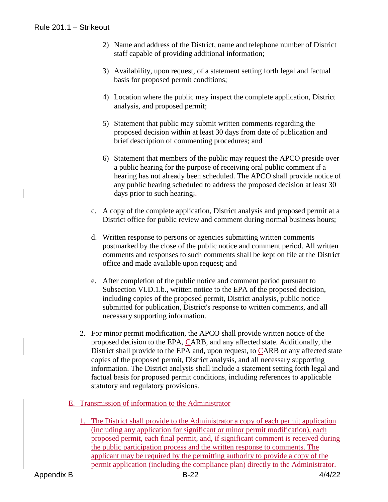- 2) Name and address of the District, name and telephone number of District staff capable of providing additional information;
- 3) Availability, upon request, of a statement setting forth legal and factual basis for proposed permit conditions;
- 4) Location where the public may inspect the complete application, District analysis, and proposed permit;
- 5) Statement that public may submit written comments regarding the proposed decision within at least 30 days from date of publication and brief description of commenting procedures; and
- 6) Statement that members of the public may request the APCO preside over a public hearing for the purpose of receiving oral public comment if a hearing has not already been scheduled. The APCO shall provide notice of any public hearing scheduled to address the proposed decision at least 30 days prior to such hearing;.
- c. A copy of the complete application, District analysis and proposed permit at a District office for public review and comment during normal business hours;
- d. Written response to persons or agencies submitting written comments postmarked by the close of the public notice and comment period. All written comments and responses to such comments shall be kept on file at the District office and made available upon request; and
- e. After completion of the public notice and comment period pursuant to Subsection VI.D.1.b., written notice to the EPA of the proposed decision, including copies of the proposed permit, District analysis, public notice submitted for publication, District's response to written comments, and all necessary supporting information.
- 2. For minor permit modification, the APCO shall provide written notice of the proposed decision to the EPA, CARB, and any affected state. Additionally, the District shall provide to the EPA and, upon request, to CARB or any affected state copies of the proposed permit, District analysis, and all necessary supporting information. The District analysis shall include a statement setting forth legal and factual basis for proposed permit conditions, including references to applicable statutory and regulatory provisions.
- E. Transmission of information to the Administrator
	- 1. The District shall provide to the Administrator a copy of each permit application (including any application for significant or minor permit modification), each proposed permit, each final permit, and, if significant comment is received during the public participation process and the written response to comments. The applicant may be required by the permitting authority to provide a copy of the permit application (including the compliance plan) directly to the Administrator.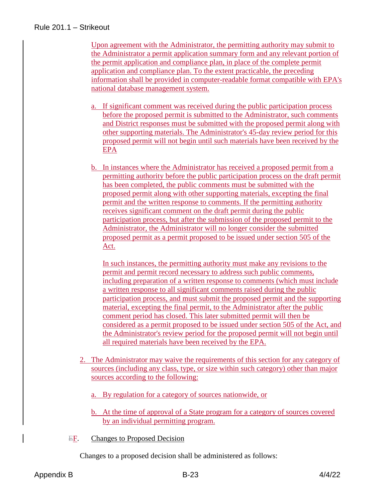Upon agreement with the Administrator, the permitting authority may submit to the Administrator a permit application summary form and any relevant portion of the permit application and compliance plan, in place of the complete permit application and compliance plan. To the extent practicable, the preceding information shall be provided in computer-readable format compatible with EPA's national database management system.

- a. If significant comment was received during the public participation process before the proposed permit is submitted to the Administrator, such comments and District responses must be submitted with the proposed permit along with other supporting materials. The Administrator's 45-day review period for this proposed permit will not begin until such materials have been received by the EPA
- b. In instances where the Administrator has received a proposed permit from a permitting authority before the public participation process on the draft permit has been completed, the public comments must be submitted with the proposed permit along with other supporting materials, excepting the final permit and the written response to comments. If the permitting authority receives significant comment on the draft permit during the public participation process, but after the submission of the proposed permit to the Administrator, the Administrator will no longer consider the submitted proposed permit as a permit proposed to be issued under section 505 of the Act.

In such instances, the permitting authority must make any revisions to the permit and permit record necessary to address such public comments, including preparation of a written response to comments (which must include a written response to all significant comments raised during the public participation process, and must submit the proposed permit and the supporting material, excepting the final permit, to the Administrator after the public comment period has closed. This later submitted permit will then be considered as a permit proposed to be issued under section 505 of the Act, and the Administrator's review period for the proposed permit will not begin until all required materials have been received by the EPA.

- 2. The Administrator may waive the requirements of this section for any category of sources (including any class, type, or size within such category) other than major sources according to the following:
	- a. By regulation for a category of sources nationwide, or
	- b. At the time of approval of a State program for a category of sources covered by an individual permitting program.
- EF. Changes to Proposed Decision

Changes to a proposed decision shall be administered as follows: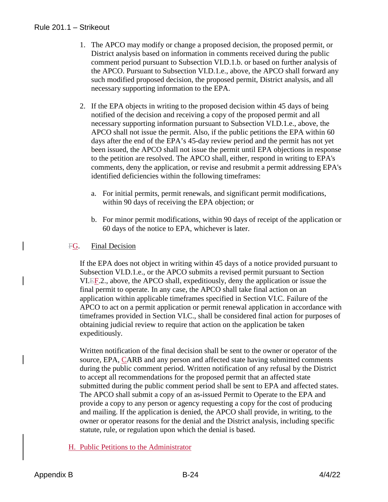- 1. The APCO may modify or change a proposed decision, the proposed permit, or District analysis based on information in comments received during the public comment period pursuant to Subsection VI.D.1.b. or based on further analysis of the APCO. Pursuant to Subsection VI.D.1.e., above, the APCO shall forward any such modified proposed decision, the proposed permit, District analysis, and all necessary supporting information to the EPA.
- 2. If the EPA objects in writing to the proposed decision within 45 days of being notified of the decision and receiving a copy of the proposed permit and all necessary supporting information pursuant to Subsection VI.D.1.e., above, the APCO shall not issue the permit. Also, if the public petitions the EPA within 60 days after the end of the EPA's 45-day review period and the permit has not yet been issued, the APCO shall not issue the permit until EPA objections in response to the petition are resolved. The APCO shall, either, respond in writing to EPA's comments, deny the application, or revise and resubmit a permit addressing EPA's identified deficiencies within the following timeframes:
	- a. For initial permits, permit renewals, and significant permit modifications, within 90 days of receiving the EPA objection; or
	- b. For minor permit modifications, within 90 days of receipt of the application or 60 days of the notice to EPA, whichever is later.

#### **FG.** Final Decision

If the EPA does not object in writing within 45 days of a notice provided pursuant to Subsection VI.D.1.e., or the APCO submits a revised permit pursuant to Section VI.EF.2., above, the APCO shall, expeditiously, deny the application or issue the final permit to operate. In any case, the APCO shall take final action on an application within applicable timeframes specified in Section VI.C. Failure of the APCO to act on a permit application or permit renewal application in accordance with timeframes provided in Section VI.C., shall be considered final action for purposes of obtaining judicial review to require that action on the application be taken expeditiously.

Written notification of the final decision shall be sent to the owner or operator of the source, EPA, CARB and any person and affected state having submitted comments during the public comment period. Written notification of any refusal by the District to accept all recommendations for the proposed permit that an affected state submitted during the public comment period shall be sent to EPA and affected states. The APCO shall submit a copy of an as-issued Permit to Operate to the EPA and provide a copy to any person or agency requesting a copy for the cost of producing and mailing. If the application is denied, the APCO shall provide, in writing, to the owner or operator reasons for the denial and the District analysis, including specific statute, rule, or regulation upon which the denial is based.

## H. Public Petitions to the Administrator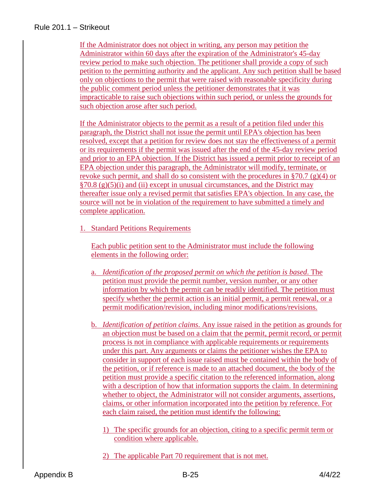If the Administrator does not object in writing, any person may petition the Administrator within 60 days after the expiration of the Administrator's 45-day review period to make such objection. The petitioner shall provide a copy of such petition to the permitting authority and the applicant. Any such petition shall be based only on objections to the permit that were raised with reasonable specificity during the public comment period unless the petitioner demonstrates that it was impracticable to raise such objections within such period, or unless the grounds for such objection arose after such period.

If the Administrator objects to the permit as a result of a petition filed under this paragraph, the District shall not issue the permit until EPA's objection has been resolved, except that a petition for review does not stay the effectiveness of a permit or its requirements if the permit was issued after the end of the 45-day review period and prior to an EPA objection. If the District has issued a permit prior to receipt of an EPA objection under this paragraph, the Administrator will modify, terminate, or revoke such permit, and shall do so consistent with the procedures in §70.7 (g)(4) or  $\S 70.8$  (g)(5)(i) and (ii) except in unusual circumstances, and the District may thereafter issue only a revised permit that satisfies EPA's objection. In any case, the source will not be in violation of the requirement to have submitted a timely and complete application.

1. Standard Petitions Requirements

Each public petition sent to the Administrator must include the following elements in the following order:

- a. *Identification of the proposed permit on which the petition is based*. The petition must provide the permit number, version number, or any other information by which the permit can be readily identified. The petition must specify whether the permit action is an initial permit, a permit renewal, or a permit modification/revision, including minor modifications/revisions.
- b. *Identification of petition claims*. Any issue raised in the petition as grounds for an objection must be based on a claim that the permit, permit record, or permit process is not in compliance with applicable requirements or requirements under this part. Any arguments or claims the petitioner wishes the EPA to consider in support of each issue raised must be contained within the body of the petition, or if reference is made to an attached document, the body of the petition must provide a specific citation to the referenced information, along with a description of how that information supports the claim. In determining whether to object, the Administrator will not consider arguments, assertions, claims, or other information incorporated into the petition by reference. For each claim raised, the petition must identify the following:
	- 1) The specific grounds for an objection, citing to a specific permit term or condition where applicable.
	- 2) The applicable Part 70 requirement that is not met.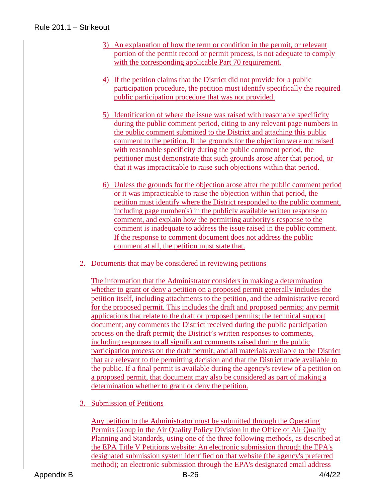- 3) An explanation of how the term or condition in the permit, or relevant portion of the permit record or permit process, is not adequate to comply with the corresponding applicable Part 70 requirement.
- 4) If the petition claims that the District did not provide for a public participation procedure, the petition must identify specifically the required public participation procedure that was not provided.
- 5) Identification of where the issue was raised with reasonable specificity during the public comment period, citing to any relevant page numbers in the public comment submitted to the District and attaching this public comment to the petition. If the grounds for the objection were not raised with reasonable specificity during the public comment period, the petitioner must demonstrate that such grounds arose after that period, or that it was impracticable to raise such objections within that period.
- 6) Unless the grounds for the objection arose after the public comment period or it was impracticable to raise the objection within that period, the petition must identify where the District responded to the public comment, including page number(s) in the publicly available written response to comment, and explain how the permitting authority's response to the comment is inadequate to address the issue raised in the public comment. If the response to comment document does not address the public comment at all, the petition must state that.
- 2. Documents that may be considered in reviewing petitions

The information that the Administrator considers in making a determination whether to grant or deny a petition on a proposed permit generally includes the petition itself, including attachments to the petition, and the administrative record for the proposed permit. This includes the draft and proposed permits; any permit applications that relate to the draft or proposed permits; the technical support document; any comments the District received during the public participation process on the draft permit; the District's written responses to comments, including responses to all significant comments raised during the public participation process on the draft permit; and all materials available to the District that are relevant to the permitting decision and that the District made available to the public. If a final permit is available during the agency's review of a petition on a proposed permit, that document may also be considered as part of making a determination whether to grant or deny the petition.

3. Submission of Petitions

Any petition to the Administrator must be submitted through the Operating Permits Group in the Air Quality Policy Division in the Office of Air Quality Planning and Standards, using one of the three following methods, as described at the EPA Title V Petitions website: An electronic submission through the EPA's designated submission system identified on that website (the agency's preferred method); an electronic submission through the EPA's designated email address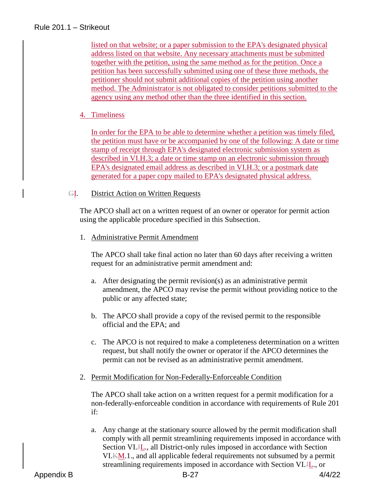listed on that website; or a paper submission to the EPA's designated physical address listed on that website. Any necessary attachments must be submitted together with the petition, using the same method as for the petition. Once a petition has been successfully submitted using one of these three methods, the petitioner should not submit additional copies of the petition using another method. The Administrator is not obligated to consider petitions submitted to the agency using any method other than the three identified in this section.

## 4. Timeliness

In order for the EPA to be able to determine whether a petition was timely filed, the petition must have or be accompanied by one of the following: A date or time stamp of receipt through EPA's designated electronic submission system as described in VI.H.3; a date or time stamp on an electronic submission through EPA's designated email address as described in VI.H.3; or a postmark date generated for a paper copy mailed to EPA's designated physical address.

#### GI. District Action on Written Requests

The APCO shall act on a written request of an owner or operator for permit action using the applicable procedure specified in this Subsection.

#### 1. Administrative Permit Amendment

The APCO shall take final action no later than 60 days after receiving a written request for an administrative permit amendment and:

- a. After designating the permit revision(s) as an administrative permit amendment, the APCO may revise the permit without providing notice to the public or any affected state;
- b. The APCO shall provide a copy of the revised permit to the responsible official and the EPA; and
- c. The APCO is not required to make a completeness determination on a written request, but shall notify the owner or operator if the APCO determines the permit can not be revised as an administrative permit amendment.
- 2. Permit Modification for Non-Federally-Enforceable Condition

The APCO shall take action on a written request for a permit modification for a non-federally-enforceable condition in accordance with requirements of Rule 201 if:

a. Any change at the stationary source allowed by the permit modification shall comply with all permit streamlining requirements imposed in accordance with Section VI.JL., all District-only rules imposed in accordance with Section VI.KM.1., and all applicable federal requirements not subsumed by a permit streamlining requirements imposed in accordance with Section VI.JL., or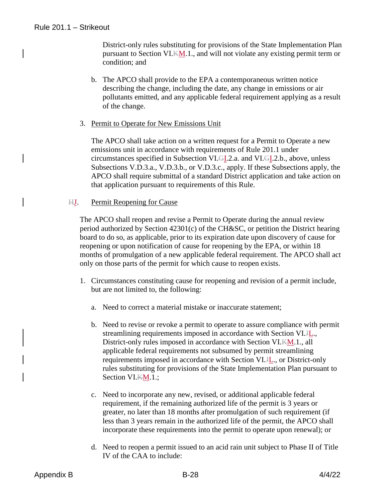District-only rules substituting for provisions of the State Implementation Plan pursuant to Section VI.KM.1., and will not violate any existing permit term or condition; and

- b. The APCO shall provide to the EPA a contemporaneous written notice describing the change, including the date, any change in emissions or air pollutants emitted, and any applicable federal requirement applying as a result of the change.
- 3. Permit to Operate for New Emissions Unit

The APCO shall take action on a written request for a Permit to Operate a new emissions unit in accordance with requirements of Rule 201.1 under circumstances specified in Subsection VI.GI.2.a. and VI.GI.2.b., above, unless Subsections V.D.3.a., V.D.3.b., or V.D.3.c., apply. If these Subsections apply, the APCO shall require submittal of a standard District application and take action on that application pursuant to requirements of this Rule.

#### HJ. Permit Reopening for Cause

The APCO shall reopen and revise a Permit to Operate during the annual review period authorized by Section 42301(c) of the CH&SC, or petition the District hearing board to do so, as applicable, prior to its expiration date upon discovery of cause for reopening or upon notification of cause for reopening by the EPA, or within 18 months of promulgation of a new applicable federal requirement. The APCO shall act only on those parts of the permit for which cause to reopen exists.

- 1. Circumstances constituting cause for reopening and revision of a permit include, but are not limited to, the following:
	- a. Need to correct a material mistake or inaccurate statement;
	- b. Need to revise or revoke a permit to operate to assure compliance with permit streamlining requirements imposed in accordance with Section VI.H., District-only rules imposed in accordance with Section VI.KM.1., all applicable federal requirements not subsumed by permit streamlining requirements imposed in accordance with Section VI.JL., or District-only rules substituting for provisions of the State Implementation Plan pursuant to Section VI.KM.1.;
	- c. Need to incorporate any new, revised, or additional applicable federal requirement, if the remaining authorized life of the permit is 3 years or greater, no later than 18 months after promulgation of such requirement (if less than 3 years remain in the authorized life of the permit, the APCO shall incorporate these requirements into the permit to operate upon renewal); or
	- d. Need to reopen a permit issued to an acid rain unit subject to Phase II of Title IV of the CAA to include: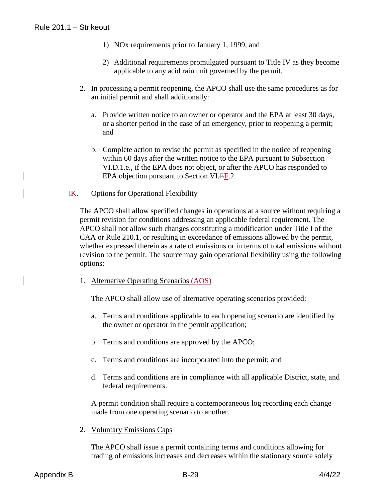- 1) NOx requirements prior to January 1, 1999, and
- 2) Additional requirements promulgated pursuant to Title IV as they become applicable to any acid rain unit governed by the permit.
- 2. In processing a permit reopening, the APCO shall use the same procedures as for an initial permit and shall additionally:
	- a. Provide written notice to an owner or operator and the EPA at least 30 days, or a shorter period in the case of an emergency, prior to reopening a permit; and
	- b. Complete action to revise the permit as specified in the notice of reopening within 60 days after the written notice to the EPA pursuant to Subsection VI.D.1.e., if the EPA does not object, or after the APCO has responded to EPA objection pursuant to Section VI.EF.2.
- IK. Options for Operational Flexibility

The APCO shall allow specified changes in operations at a source without requiring a permit revision for conditions addressing an applicable federal requirement. The APCO shall not allow such changes constituting a modification under Title I of the CAA or Rule 210.1, or resulting in exceedance of emissions allowed by the permit, whether expressed therein as a rate of emissions or in terms of total emissions without revision to the permit. The source may gain operational flexibility using the following options:

1. Alternative Operating Scenarios (AOS)

The APCO shall allow use of alternative operating scenarios provided:

- a. Terms and conditions applicable to each operating scenario are identified by the owner or operator in the permit application;
- b. Terms and conditions are approved by the APCO;
- c. Terms and conditions are incorporated into the permit; and
- d. Terms and conditions are in compliance with all applicable District, state, and federal requirements.

A permit condition shall require a contemporaneous log recording each change made from one operating scenario to another.

2. Voluntary Emissions Caps

The APCO shall issue a permit containing terms and conditions allowing for trading of emissions increases and decreases within the stationary source solely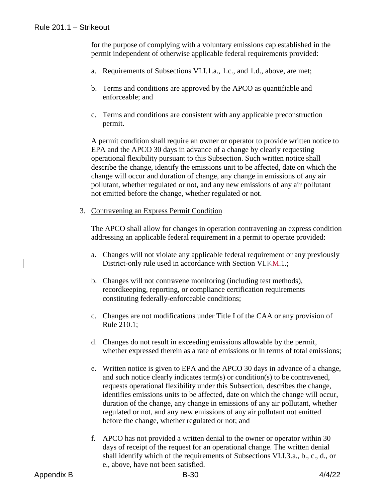for the purpose of complying with a voluntary emissions cap established in the permit independent of otherwise applicable federal requirements provided:

- a. Requirements of Subsections VI.I.1.a., 1.c., and 1.d., above, are met;
- b. Terms and conditions are approved by the APCO as quantifiable and enforceable; and
- c. Terms and conditions are consistent with any applicable preconstruction permit.

A permit condition shall require an owner or operator to provide written notice to EPA and the APCO 30 days in advance of a change by clearly requesting operational flexibility pursuant to this Subsection. Such written notice shall describe the change, identify the emissions unit to be affected, date on which the change will occur and duration of change, any change in emissions of any air pollutant, whether regulated or not, and any new emissions of any air pollutant not emitted before the change, whether regulated or not.

3. Contravening an Express Permit Condition

The APCO shall allow for changes in operation contravening an express condition addressing an applicable federal requirement in a permit to operate provided:

- a. Changes will not violate any applicable federal requirement or any previously District-only rule used in accordance with Section VI.KM.1.;
- b. Changes will not contravene monitoring (including test methods), recordkeeping, reporting, or compliance certification requirements constituting federally-enforceable conditions;
- c. Changes are not modifications under Title I of the CAA or any provision of Rule 210.1;
- d. Changes do not result in exceeding emissions allowable by the permit, whether expressed therein as a rate of emissions or in terms of total emissions;
- e. Written notice is given to EPA and the APCO 30 days in advance of a change, and such notice clearly indicates term(s) or condition(s) to be contravened, requests operational flexibility under this Subsection, describes the change, identifies emissions units to be affected, date on which the change will occur, duration of the change, any change in emissions of any air pollutant, whether regulated or not, and any new emissions of any air pollutant not emitted before the change, whether regulated or not; and
- f. APCO has not provided a written denial to the owner or operator within 30 days of receipt of the request for an operational change. The written denial shall identify which of the requirements of Subsections VI.I.3.a., b., c., d., or e., above, have not been satisfied.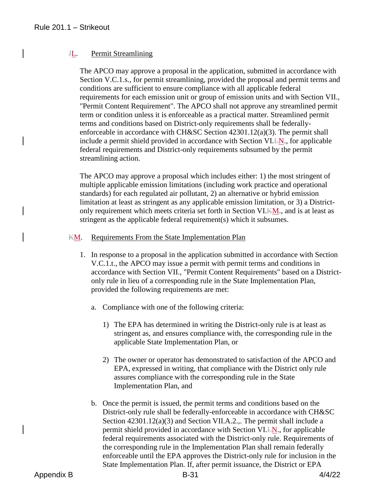### JL. Permit Streamlining

The APCO may approve a proposal in the application, submitted in accordance with Section V.C.1.s., for permit streamlining, provided the proposal and permit terms and conditions are sufficient to ensure compliance with all applicable federal requirements for each emission unit or group of emission units and with Section VII., "Permit Content Requirement". The APCO shall not approve any streamlined permit term or condition unless it is enforceable as a practical matter. Streamlined permit terms and conditions based on District-only requirements shall be federallyenforceable in accordance with CH&SC Section 42301.12(a)(3). The permit shall include a permit shield provided in accordance with Section VI. EN., for applicable federal requirements and District-only requirements subsumed by the permit streamlining action.

The APCO may approve a proposal which includes either: 1) the most stringent of multiple applicable emission limitations (including work practice and operational standards) for each regulated air pollutant, 2) an alternative or hybrid emission limitation at least as stringent as any applicable emission limitation, or 3) a Districtonly requirement which meets criteria set forth in Section VI.KM., and is at least as stringent as the applicable federal requirement(s) which it subsumes.

#### KM. Requirements From the State Implementation Plan

- 1. In response to a proposal in the application submitted in accordance with Section V.C.1.t., the APCO may issue a permit with permit terms and conditions in accordance with Section VII., "Permit Content Requirements" based on a Districtonly rule in lieu of a corresponding rule in the State Implementation Plan, provided the following requirements are met:
	- a. Compliance with one of the following criteria:
		- 1) The EPA has determined in writing the District-only rule is at least as stringent as, and ensures compliance with, the corresponding rule in the applicable State Implementation Plan, or
		- 2) The owner or operator has demonstrated to satisfaction of the APCO and EPA, expressed in writing, that compliance with the District only rule assures compliance with the corresponding rule in the State Implementation Plan, and
	- b. Once the permit is issued, the permit terms and conditions based on the District-only rule shall be federally-enforceable in accordance with CH&SC Section 42301.12(a)(3) and Section VII.A.2.,. The permit shall include a permit shield provided in accordance with Section VI.LN., for applicable federal requirements associated with the District-only rule. Requirements of the corresponding rule in the Implementation Plan shall remain federally enforceable until the EPA approves the District-only rule for inclusion in the State Implementation Plan. If, after permit issuance, the District or EPA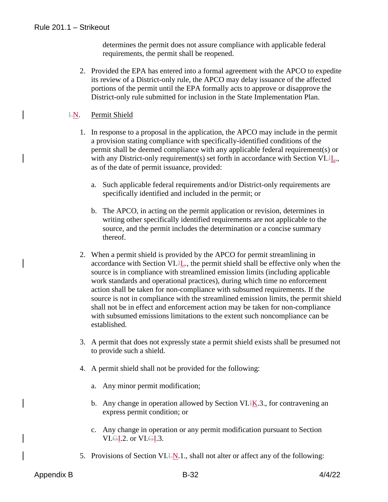determines the permit does not assure compliance with applicable federal requirements, the permit shall be reopened.

2. Provided the EPA has entered into a formal agreement with the APCO to expedite its review of a District-only rule, the APCO may delay issuance of the affected portions of the permit until the EPA formally acts to approve or disapprove the District-only rule submitted for inclusion in the State Implementation Plan.

## LN. Permit Shield

- 1. In response to a proposal in the application, the APCO may include in the permit a provision stating compliance with specifically-identified conditions of the permit shall be deemed compliance with any applicable federal requirement(s) or with any District-only requirement(s) set forth in accordance with Section VI.H<sub>1</sub>. as of the date of permit issuance, provided:
	- a. Such applicable federal requirements and/or District-only requirements are specifically identified and included in the permit; or
	- b. The APCO, in acting on the permit application or revision, determines in writing other specifically identified requirements are not applicable to the source, and the permit includes the determination or a concise summary thereof.
- 2. When a permit shield is provided by the APCO for permit streamlining in accordance with Section VI.H<sub>L</sub>, the permit shield shall be effective only when the source is in compliance with streamlined emission limits (including applicable work standards and operational practices), during which time no enforcement action shall be taken for non-compliance with subsumed requirements. If the source is not in compliance with the streamlined emission limits, the permit shield shall not be in effect and enforcement action may be taken for non-compliance with subsumed emissions limitations to the extent such noncompliance can be established.
- 3. A permit that does not expressly state a permit shield exists shall be presumed not to provide such a shield.
- 4. A permit shield shall not be provided for the following:
	- a. Any minor permit modification;
	- b. Any change in operation allowed by Section VI. $K<sub>1</sub>$ . for contravening an express permit condition; or
	- c. Any change in operation or any permit modification pursuant to Section VI.GI.2. or VI.GI.3.
- 5. Provisions of Section VI.LN.1., shall not alter or affect any of the following: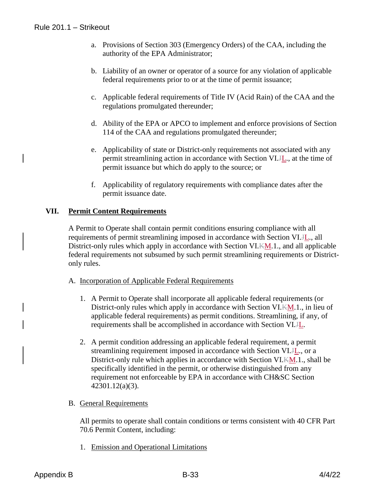- a. Provisions of Section 303 (Emergency Orders) of the CAA, including the authority of the EPA Administrator;
- b. Liability of an owner or operator of a source for any violation of applicable federal requirements prior to or at the time of permit issuance;
- c. Applicable federal requirements of Title IV (Acid Rain) of the CAA and the regulations promulgated thereunder;
- d. Ability of the EPA or APCO to implement and enforce provisions of Section 114 of the CAA and regulations promulgated thereunder;
- e. Applicability of state or District-only requirements not associated with any permit streamlining action in accordance with Section VI.JL., at the time of permit issuance but which do apply to the source; or
- f. Applicability of regulatory requirements with compliance dates after the permit issuance date.

# **VII. Permit Content Requirements**

A Permit to Operate shall contain permit conditions ensuring compliance with all requirements of permit streamlining imposed in accordance with Section VI.JL., all District-only rules which apply in accordance with Section VI.KM.1., and all applicable federal requirements not subsumed by such permit streamlining requirements or Districtonly rules.

- A. Incorporation of Applicable Federal Requirements
	- 1. A Permit to Operate shall incorporate all applicable federal requirements (or District-only rules which apply in accordance with Section VI.KM.1., in lieu of applicable federal requirements) as permit conditions. Streamlining, if any, of requirements shall be accomplished in accordance with Section VI.JL.
	- 2. A permit condition addressing an applicable federal requirement, a permit streamlining requirement imposed in accordance with Section VI.JL., or a District-only rule which applies in accordance with Section VI.KM.1., shall be specifically identified in the permit, or otherwise distinguished from any requirement not enforceable by EPA in accordance with CH&SC Section 42301.12(a)(3).

## B. General Requirements

All permits to operate shall contain conditions or terms consistent with 40 CFR Part 70.6 Permit Content, including:

1. Emission and Operational Limitations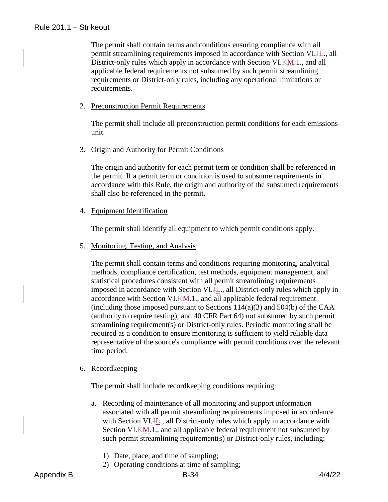The permit shall contain terms and conditions ensuring compliance with all permit streamlining requirements imposed in accordance with Section VI.JL., all District-only rules which apply in accordance with Section VI.KM.1., and all applicable federal requirements not subsumed by such permit streamlining requirements or District-only rules, including any operational limitations or requirements.

2. Preconstruction Permit Requirements

The permit shall include all preconstruction permit conditions for each emissions unit.

3. Origin and Authority for Permit Conditions

The origin and authority for each permit term or condition shall be referenced in the permit. If a permit term or condition is used to subsume requirements in accordance with this Rule, the origin and authority of the subsumed requirements shall also be referenced in the permit.

4. Equipment Identification

The permit shall identify all equipment to which permit conditions apply.

5. Monitoring, Testing, and Analysis

The permit shall contain terms and conditions requiring monitoring, analytical methods, compliance certification, test methods, equipment management, and statistical procedures consistent with all permit streamlining requirements imposed in accordance with Section VI.JL., all District-only rules which apply in accordance with Section VI. $K_{\text{M}}$ .1., and all applicable federal requirement (including those imposed pursuant to Sections  $114(a)(3)$  and  $504(b)$  of the CAA (authority to require testing), and 40 CFR Part 64) not subsumed by such permit streamlining requirement(s) or District-only rules. Periodic monitoring shall be required as a condition to ensure monitoring is sufficient to yield reliable data representative of the source's compliance with permit conditions over the relevant time period.

6. Recordkeeping

The permit shall include recordkeeping conditions requiring:

- a. Recording of maintenance of all monitoring and support information associated with all permit streamlining requirements imposed in accordance with Section VI.H<sub>n</sub>, all District-only rules which apply in accordance with Section VI.KM.1., and all applicable federal requirement not subsumed by such permit streamlining requirement(s) or District-only rules, including:
	- 1) Date, place, and time of sampling;
	- 2) Operating conditions at time of sampling;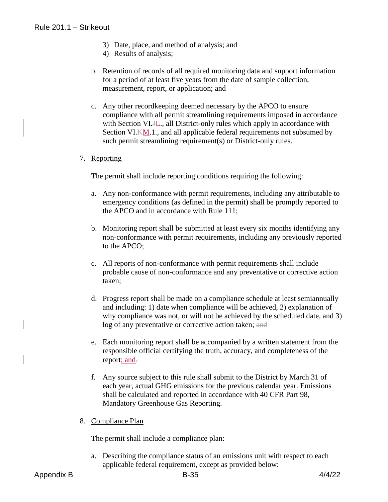- 3) Date, place, and method of analysis; and
- 4) Results of analysis;
- b. Retention of records of all required monitoring data and support information for a period of at least five years from the date of sample collection, measurement, report, or application; and
- c. Any other recordkeeping deemed necessary by the APCO to ensure compliance with all permit streamlining requirements imposed in accordance with Section VI.H<sub>n</sub>, all District-only rules which apply in accordance with Section VI.KM.1., and all applicable federal requirements not subsumed by such permit streamlining requirement(s) or District-only rules.
- 7. Reporting

The permit shall include reporting conditions requiring the following:

- a. Any non-conformance with permit requirements, including any attributable to emergency conditions (as defined in the permit) shall be promptly reported to the APCO and in accordance with Rule 111;
- b. Monitoring report shall be submitted at least every six months identifying any non-conformance with permit requirements, including any previously reported to the APCO;
- c. All reports of non-conformance with permit requirements shall include probable cause of non-conformance and any preventative or corrective action taken;
- d. Progress report shall be made on a compliance schedule at least semiannually and including: 1) date when compliance will be achieved, 2) explanation of why compliance was not, or will not be achieved by the scheduled date, and 3) log of any preventative or corrective action taken; and
- e. Each monitoring report shall be accompanied by a written statement from the responsible official certifying the truth, accuracy, and completeness of the report; and-
- f. Any source subject to this rule shall submit to the District by March 31 of each year, actual GHG emissions for the previous calendar year. Emissions shall be calculated and reported in accordance with 40 CFR Part 98, Mandatory Greenhouse Gas Reporting.
- 8. Compliance Plan

The permit shall include a compliance plan:

a. Describing the compliance status of an emissions unit with respect to each applicable federal requirement, except as provided below: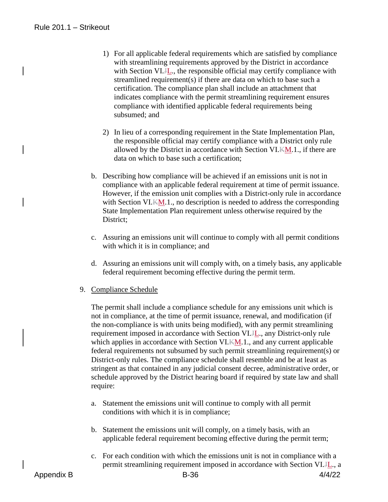- 1) For all applicable federal requirements which are satisfied by compliance with streamlining requirements approved by the District in accordance with Section VI.H., the responsible official may certify compliance with streamlined requirement(s) if there are data on which to base such a certification. The compliance plan shall include an attachment that indicates compliance with the permit streamlining requirement ensures compliance with identified applicable federal requirements being subsumed; and
- 2) In lieu of a corresponding requirement in the State Implementation Plan, the responsible official may certify compliance with a District only rule allowed by the District in accordance with Section VI.KM.1., if there are data on which to base such a certification;
- b. Describing how compliance will be achieved if an emissions unit is not in compliance with an applicable federal requirement at time of permit issuance. However, if the emission unit complies with a District-only rule in accordance with Section VI.KM.1., no description is needed to address the corresponding State Implementation Plan requirement unless otherwise required by the District;
- c. Assuring an emissions unit will continue to comply with all permit conditions with which it is in compliance; and
- d. Assuring an emissions unit will comply with, on a timely basis, any applicable federal requirement becoming effective during the permit term.
- 9. Compliance Schedule

The permit shall include a compliance schedule for any emissions unit which is not in compliance, at the time of permit issuance, renewal, and modification (if the non-compliance is with units being modified), with any permit streamlining requirement imposed in accordance with Section VI.H<sub>1</sub>, any District-only rule which applies in accordance with Section VI.KM.1., and any current applicable federal requirements not subsumed by such permit streamlining requirement(s) or District-only rules. The compliance schedule shall resemble and be at least as stringent as that contained in any judicial consent decree, administrative order, or schedule approved by the District hearing board if required by state law and shall require:

- a. Statement the emissions unit will continue to comply with all permit conditions with which it is in compliance;
- b. Statement the emissions unit will comply, on a timely basis, with an applicable federal requirement becoming effective during the permit term;
- c. For each condition with which the emissions unit is not in compliance with a permit streamlining requirement imposed in accordance with Section VI.JL., a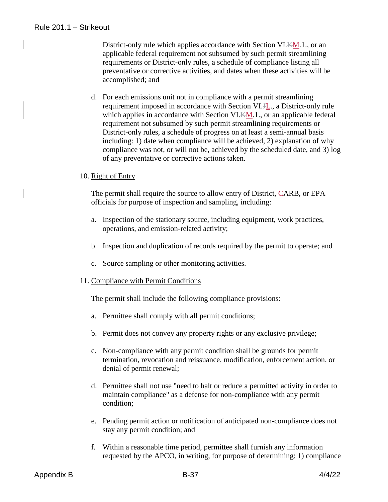District-only rule which applies accordance with Section VI.KM.1., or an applicable federal requirement not subsumed by such permit streamlining requirements or District-only rules, a schedule of compliance listing all preventative or corrective activities, and dates when these activities will be accomplished; and

d. For each emissions unit not in compliance with a permit streamlining requirement imposed in accordance with Section VI.JL., a District-only rule which applies in accordance with Section VI.KM.1., or an applicable federal requirement not subsumed by such permit streamlining requirements or District-only rules, a schedule of progress on at least a semi-annual basis including: 1) date when compliance will be achieved, 2) explanation of why compliance was not, or will not be, achieved by the scheduled date, and 3) log of any preventative or corrective actions taken.

#### 10. Right of Entry

The permit shall require the source to allow entry of District, CARB, or EPA officials for purpose of inspection and sampling, including:

- a. Inspection of the stationary source, including equipment, work practices, operations, and emission-related activity;
- b. Inspection and duplication of records required by the permit to operate; and
- c. Source sampling or other monitoring activities.
- 11. Compliance with Permit Conditions

The permit shall include the following compliance provisions:

- a. Permittee shall comply with all permit conditions;
- b. Permit does not convey any property rights or any exclusive privilege;
- c. Non-compliance with any permit condition shall be grounds for permit termination, revocation and reissuance, modification, enforcement action, or denial of permit renewal;
- d. Permittee shall not use "need to halt or reduce a permitted activity in order to maintain compliance" as a defense for non-compliance with any permit condition;
- e. Pending permit action or notification of anticipated non-compliance does not stay any permit condition; and
- f. Within a reasonable time period, permittee shall furnish any information requested by the APCO, in writing, for purpose of determining: 1) compliance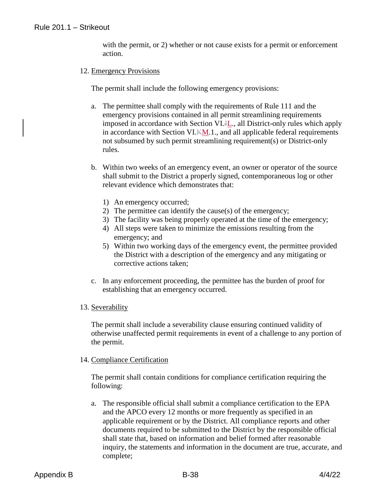with the permit, or 2) whether or not cause exists for a permit or enforcement action.

#### 12. Emergency Provisions

The permit shall include the following emergency provisions:

- a. The permittee shall comply with the requirements of Rule 111 and the emergency provisions contained in all permit streamlining requirements imposed in accordance with Section VI.JL., all District-only rules which apply in accordance with Section VI.KM.1., and all applicable federal requirements not subsumed by such permit streamlining requirement(s) or District-only rules.
- b. Within two weeks of an emergency event, an owner or operator of the source shall submit to the District a properly signed, contemporaneous log or other relevant evidence which demonstrates that:
	- 1) An emergency occurred;
	- 2) The permittee can identify the cause(s) of the emergency;
	- 3) The facility was being properly operated at the time of the emergency;
	- 4) All steps were taken to minimize the emissions resulting from the emergency; and
	- 5) Within two working days of the emergency event, the permittee provided the District with a description of the emergency and any mitigating or corrective actions taken;
- c. In any enforcement proceeding, the permittee has the burden of proof for establishing that an emergency occurred.
- 13. Severability

The permit shall include a severability clause ensuring continued validity of otherwise unaffected permit requirements in event of a challenge to any portion of the permit.

## 14. Compliance Certification

The permit shall contain conditions for compliance certification requiring the following:

a. The responsible official shall submit a compliance certification to the EPA and the APCO every 12 months or more frequently as specified in an applicable requirement or by the District. All compliance reports and other documents required to be submitted to the District by the responsible official shall state that, based on information and belief formed after reasonable inquiry, the statements and information in the document are true, accurate, and complete;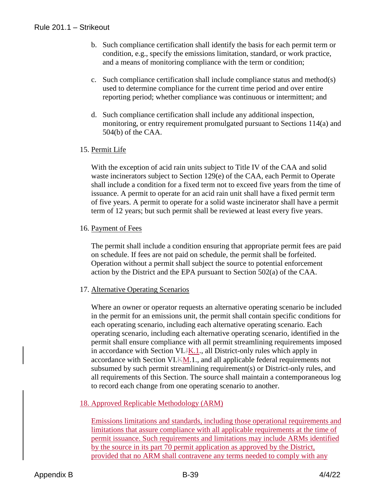- b. Such compliance certification shall identify the basis for each permit term or condition, e.g., specify the emissions limitation, standard, or work practice, and a means of monitoring compliance with the term or condition;
- c. Such compliance certification shall include compliance status and method(s) used to determine compliance for the current time period and over entire reporting period; whether compliance was continuous or intermittent; and
- d. Such compliance certification shall include any additional inspection, monitoring, or entry requirement promulgated pursuant to Sections 114(a) and 504(b) of the CAA.

## 15. Permit Life

With the exception of acid rain units subject to Title IV of the CAA and solid waste incinerators subject to Section 129(e) of the CAA, each Permit to Operate shall include a condition for a fixed term not to exceed five years from the time of issuance. A permit to operate for an acid rain unit shall have a fixed permit term of five years. A permit to operate for a solid waste incinerator shall have a permit term of 12 years; but such permit shall be reviewed at least every five years.

## 16. Payment of Fees

The permit shall include a condition ensuring that appropriate permit fees are paid on schedule. If fees are not paid on schedule, the permit shall be forfeited. Operation without a permit shall subject the source to potential enforcement action by the District and the EPA pursuant to Section 502(a) of the CAA.

## 17. Alternative Operating Scenarios

Where an owner or operator requests an alternative operating scenario be included in the permit for an emissions unit, the permit shall contain specific conditions for each operating scenario, including each alternative operating scenario. Each operating scenario, including each alternative operating scenario, identified in the permit shall ensure compliance with all permit streamlining requirements imposed in accordance with Section VI.JK.1., all District-only rules which apply in accordance with Section VI.KM.1., and all applicable federal requirements not subsumed by such permit streamlining requirement(s) or District-only rules, and all requirements of this Section. The source shall maintain a contemporaneous log to record each change from one operating scenario to another.

## 18. Approved Replicable Methodology (ARM)

Emissions limitations and standards, including those operational requirements and limitations that assure compliance with all applicable requirements at the time of permit issuance. Such requirements and limitations may include ARMs identified by the source in its part 70 permit application as approved by the District, provided that no ARM shall contravene any terms needed to comply with any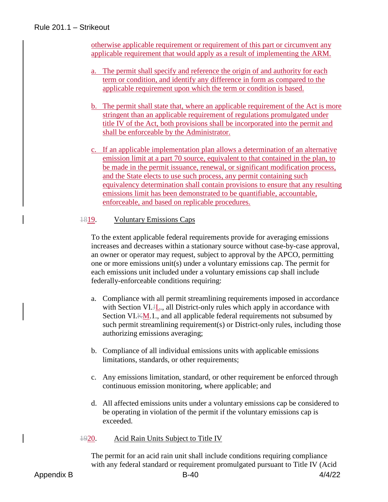otherwise applicable requirement or requirement of this part or circumvent any applicable requirement that would apply as a result of implementing the ARM.

- a. The permit shall specify and reference the origin of and authority for each term or condition, and identify any difference in form as compared to the applicable requirement upon which the term or condition is based.
- b. The permit shall state that, where an applicable requirement of the Act is more stringent than an applicable requirement of regulations promulgated under title IV of the Act, both provisions shall be incorporated into the permit and shall be enforceable by the Administrator.
- c. If an applicable implementation plan allows a determination of an alternative emission limit at a part 70 source, equivalent to that contained in the plan, to be made in the permit issuance, renewal, or significant modification process, and the State elects to use such process, any permit containing such equivalency determination shall contain provisions to ensure that any resulting emissions limit has been demonstrated to be quantifiable, accountable, enforceable, and based on replicable procedures.

#### 1819. Voluntary Emissions Caps

To the extent applicable federal requirements provide for averaging emissions increases and decreases within a stationary source without case-by-case approval, an owner or operator may request, subject to approval by the APCO, permitting one or more emissions unit(s) under a voluntary emissions cap. The permit for each emissions unit included under a voluntary emissions cap shall include federally-enforceable conditions requiring:

- a. Compliance with all permit streamlining requirements imposed in accordance with Section VI.H<sub>ri</sub>, all District-only rules which apply in accordance with Section VI.KM.1., and all applicable federal requirements not subsumed by such permit streamlining requirement(s) or District-only rules, including those authorizing emissions averaging;
- b. Compliance of all individual emissions units with applicable emissions limitations, standards, or other requirements;
- c. Any emissions limitation, standard, or other requirement be enforced through continuous emission monitoring, where applicable; and
- d. All affected emissions units under a voluntary emissions cap be considered to be operating in violation of the permit if the voluntary emissions cap is exceeded.
- 1920. Acid Rain Units Subject to Title IV

The permit for an acid rain unit shall include conditions requiring compliance with any federal standard or requirement promulgated pursuant to Title IV (Acid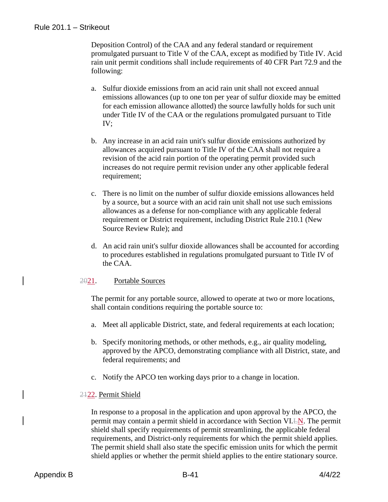Deposition Control) of the CAA and any federal standard or requirement promulgated pursuant to Title V of the CAA, except as modified by Title IV. Acid rain unit permit conditions shall include requirements of 40 CFR Part 72.9 and the following:

- a. Sulfur dioxide emissions from an acid rain unit shall not exceed annual emissions allowances (up to one ton per year of sulfur dioxide may be emitted for each emission allowance allotted) the source lawfully holds for such unit under Title IV of the CAA or the regulations promulgated pursuant to Title IV;
- b. Any increase in an acid rain unit's sulfur dioxide emissions authorized by allowances acquired pursuant to Title IV of the CAA shall not require a revision of the acid rain portion of the operating permit provided such increases do not require permit revision under any other applicable federal requirement;
- c. There is no limit on the number of sulfur dioxide emissions allowances held by a source, but a source with an acid rain unit shall not use such emissions allowances as a defense for non-compliance with any applicable federal requirement or District requirement, including District Rule 210.1 (New Source Review Rule); and
- d. An acid rain unit's sulfur dioxide allowances shall be accounted for according to procedures established in regulations promulgated pursuant to Title IV of the CAA.

## 2021. Portable Sources

The permit for any portable source, allowed to operate at two or more locations, shall contain conditions requiring the portable source to:

- a. Meet all applicable District, state, and federal requirements at each location;
- b. Specify monitoring methods, or other methods, e.g., air quality modeling, approved by the APCO, demonstrating compliance with all District, state, and federal requirements; and
- c. Notify the APCO ten working days prior to a change in location.

## 2122. Permit Shield

In response to a proposal in the application and upon approval by the APCO, the permit may contain a permit shield in accordance with Section VI.LN. The permit shield shall specify requirements of permit streamlining, the applicable federal requirements, and District-only requirements for which the permit shield applies. The permit shield shall also state the specific emission units for which the permit shield applies or whether the permit shield applies to the entire stationary source.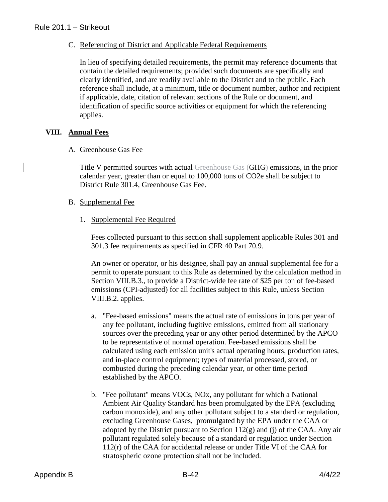### C. Referencing of District and Applicable Federal Requirements

In lieu of specifying detailed requirements, the permit may reference documents that contain the detailed requirements; provided such documents are specifically and clearly identified, and are readily available to the District and to the public. Each reference shall include, at a minimum, title or document number, author and recipient if applicable, date, citation of relevant sections of the Rule or document, and identification of specific source activities or equipment for which the referencing applies.

## **VIII. Annual Fees**

#### A. Greenhouse Gas Fee

Title V permitted sources with actual Greenhouse Gas (GHG) emissions, in the prior calendar year, greater than or equal to 100,000 tons of CO2e shall be subject to District Rule 301.4, Greenhouse Gas Fee.

#### B. Supplemental Fee

#### 1. Supplemental Fee Required

Fees collected pursuant to this section shall supplement applicable Rules 301 and 301.3 fee requirements as specified in CFR 40 Part 70.9.

An owner or operator, or his designee, shall pay an annual supplemental fee for a permit to operate pursuant to this Rule as determined by the calculation method in Section VIII.B.3., to provide a District-wide fee rate of \$25 per ton of fee-based emissions (CPI-adjusted) for all facilities subject to this Rule, unless Section VIII.B.2. applies.

- a. "Fee-based emissions" means the actual rate of emissions in tons per year of any fee pollutant, including fugitive emissions, emitted from all stationary sources over the preceding year or any other period determined by the APCO to be representative of normal operation. Fee-based emissions shall be calculated using each emission unit's actual operating hours, production rates, and in-place control equipment; types of material processed, stored, or combusted during the preceding calendar year, or other time period established by the APCO.
- b. "Fee pollutant" means VOCs, NOx, any pollutant for which a National Ambient Air Quality Standard has been promulgated by the EPA (excluding carbon monoxide), and any other pollutant subject to a standard or regulation, excluding Greenhouse Gases, promulgated by the EPA under the CAA or adopted by the District pursuant to Section  $112(g)$  and (j) of the CAA. Any air pollutant regulated solely because of a standard or regulation under Section 112(r) of the CAA for accidental release or under Title VI of the CAA for stratospheric ozone protection shall not be included.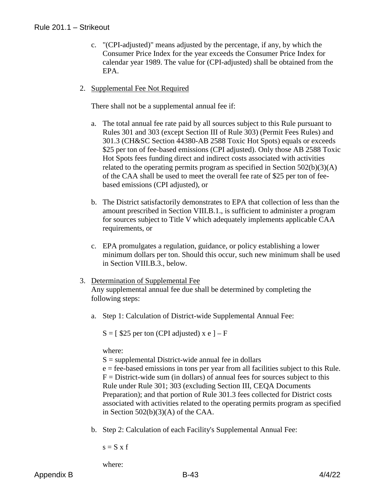- c. "(CPI-adjusted)" means adjusted by the percentage, if any, by which the Consumer Price Index for the year exceeds the Consumer Price Index for calendar year 1989. The value for (CPI-adjusted) shall be obtained from the EPA.
- 2. Supplemental Fee Not Required

There shall not be a supplemental annual fee if:

- a. The total annual fee rate paid by all sources subject to this Rule pursuant to Rules 301 and 303 (except Section III of Rule 303) (Permit Fees Rules) and 301.3 (CH&SC Section 44380-AB 2588 Toxic Hot Spots) equals or exceeds \$25 per ton of fee-based emissions (CPI adjusted). Only those AB 2588 Toxic Hot Spots fees funding direct and indirect costs associated with activities related to the operating permits program as specified in Section 502(b)(3)(A) of the CAA shall be used to meet the overall fee rate of \$25 per ton of feebased emissions (CPI adjusted), or
- b. The District satisfactorily demonstrates to EPA that collection of less than the amount prescribed in Section VIII.B.1., is sufficient to administer a program for sources subject to Title V which adequately implements applicable CAA requirements, or
- c. EPA promulgates a regulation, guidance, or policy establishing a lower minimum dollars per ton. Should this occur, such new minimum shall be used in Section VIII.B.3., below.
- 3. Determination of Supplemental Fee Any supplemental annual fee due shall be determined by completing the following steps:
	- a. Step 1: Calculation of District-wide Supplemental Annual Fee:

 $S = [$  \$25 per ton (CPI adjusted) x e ] – F

where:

 $S =$  supplemental District-wide annual fee in dollars e = fee-based emissions in tons per year from all facilities subject to this Rule.  $F =$  District-wide sum (in dollars) of annual fees for sources subject to this Rule under Rule 301; 303 (excluding Section III, CEQA Documents

Preparation); and that portion of Rule 301.3 fees collected for District costs associated with activities related to the operating permits program as specified in Section  $502(b)(3)(A)$  of the CAA.

b. Step 2: Calculation of each Facility's Supplemental Annual Fee:

 $s = S \times f$ 

where: